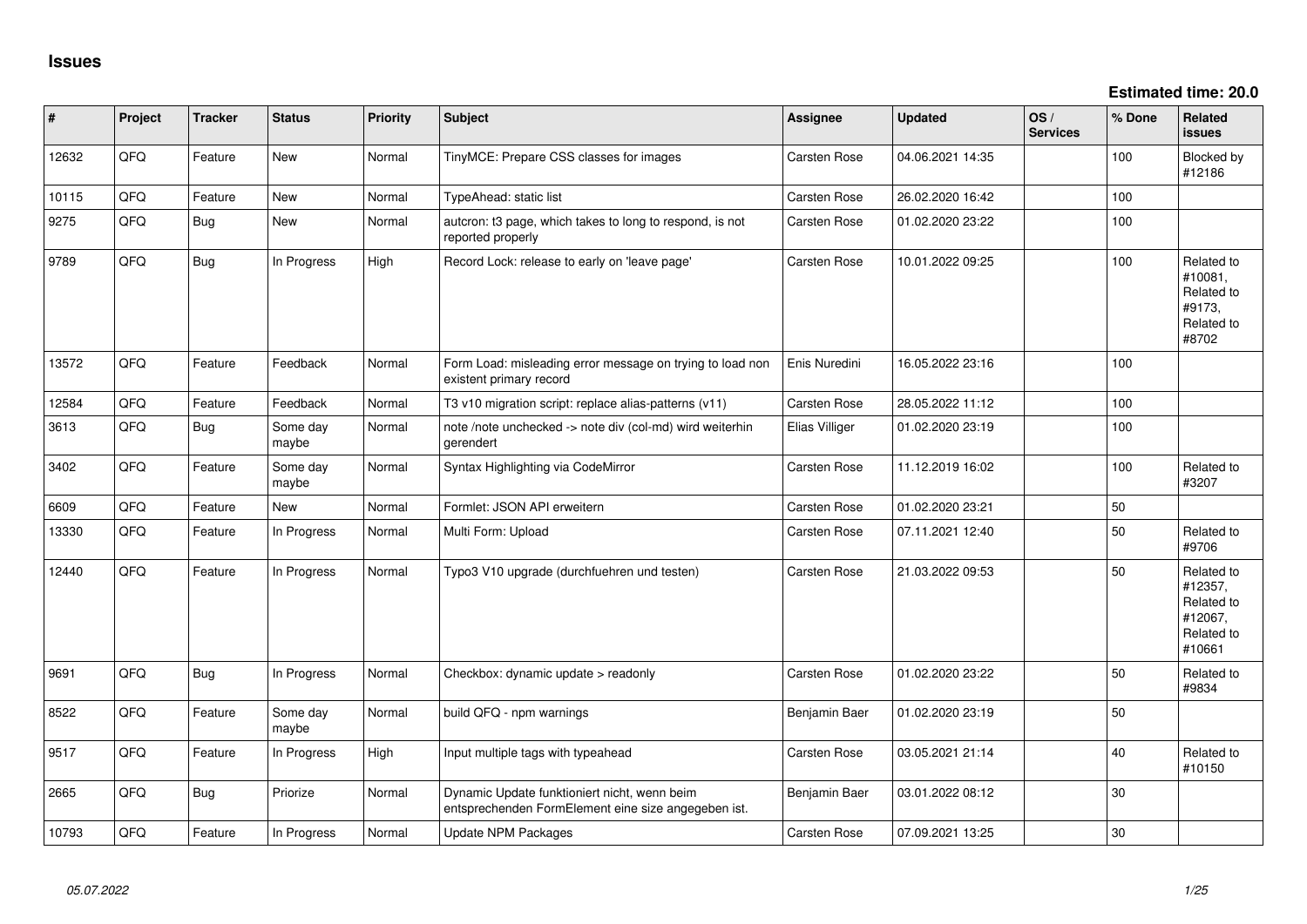**Estimated time: 20.0**

| #     | Project | <b>Tracker</b> | <b>Status</b>     | <b>Priority</b> | <b>Subject</b>                                                                                      | <b>Assignee</b> | <b>Updated</b>   | OS/<br><b>Services</b> | % Done | Related<br>issues                                                      |
|-------|---------|----------------|-------------------|-----------------|-----------------------------------------------------------------------------------------------------|-----------------|------------------|------------------------|--------|------------------------------------------------------------------------|
| 12632 | QFQ     | Feature        | New               | Normal          | TinyMCE: Prepare CSS classes for images                                                             | Carsten Rose    | 04.06.2021 14:35 |                        | 100    | Blocked by<br>#12186                                                   |
| 10115 | QFQ     | Feature        | <b>New</b>        | Normal          | TypeAhead: static list                                                                              | Carsten Rose    | 26.02.2020 16:42 |                        | 100    |                                                                        |
| 9275  | QFQ     | <b>Bug</b>     | <b>New</b>        | Normal          | autcron: t3 page, which takes to long to respond, is not<br>reported properly                       | Carsten Rose    | 01.02.2020 23:22 |                        | 100    |                                                                        |
| 9789  | QFQ     | <b>Bug</b>     | In Progress       | High            | Record Lock: release to early on 'leave page'                                                       | Carsten Rose    | 10.01.2022 09:25 |                        | 100    | Related to<br>#10081,<br>Related to<br>#9173.<br>Related to<br>#8702   |
| 13572 | QFQ     | Feature        | Feedback          | Normal          | Form Load: misleading error message on trying to load non<br>existent primary record                | Enis Nuredini   | 16.05.2022 23:16 |                        | 100    |                                                                        |
| 12584 | QFQ     | Feature        | Feedback          | Normal          | T3 v10 migration script: replace alias-patterns (v11)                                               | Carsten Rose    | 28.05.2022 11:12 |                        | 100    |                                                                        |
| 3613  | QFQ     | <b>Bug</b>     | Some day<br>maybe | Normal          | note /note unchecked -> note div (col-md) wird weiterhin<br>gerendert                               | Elias Villiger  | 01.02.2020 23:19 |                        | 100    |                                                                        |
| 3402  | QFQ     | Feature        | Some day<br>maybe | Normal          | Syntax Highlighting via CodeMirror                                                                  | Carsten Rose    | 11.12.2019 16:02 |                        | 100    | Related to<br>#3207                                                    |
| 6609  | QFQ     | Feature        | <b>New</b>        | Normal          | Formlet: JSON API erweitern                                                                         | Carsten Rose    | 01.02.2020 23:21 |                        | 50     |                                                                        |
| 13330 | QFQ     | Feature        | In Progress       | Normal          | Multi Form: Upload                                                                                  | Carsten Rose    | 07.11.2021 12:40 |                        | 50     | Related to<br>#9706                                                    |
| 12440 | QFQ     | Feature        | In Progress       | Normal          | Typo3 V10 upgrade (durchfuehren und testen)                                                         | Carsten Rose    | 21.03.2022 09:53 |                        | 50     | Related to<br>#12357,<br>Related to<br>#12067,<br>Related to<br>#10661 |
| 9691  | QFQ     | <b>Bug</b>     | In Progress       | Normal          | Checkbox: dynamic update > readonly                                                                 | Carsten Rose    | 01.02.2020 23:22 |                        | 50     | Related to<br>#9834                                                    |
| 8522  | QFQ     | Feature        | Some day<br>maybe | Normal          | build QFQ - npm warnings                                                                            | Benjamin Baer   | 01.02.2020 23:19 |                        | 50     |                                                                        |
| 9517  | QFQ     | Feature        | In Progress       | High            | Input multiple tags with typeahead                                                                  | Carsten Rose    | 03.05.2021 21:14 |                        | 40     | Related to<br>#10150                                                   |
| 2665  | QFQ     | <b>Bug</b>     | Priorize          | Normal          | Dynamic Update funktioniert nicht, wenn beim<br>entsprechenden FormElement eine size angegeben ist. | Benjamin Baer   | 03.01.2022 08:12 |                        | 30     |                                                                        |
| 10793 | QFQ     | Feature        | In Progress       | Normal          | Update NPM Packages                                                                                 | Carsten Rose    | 07.09.2021 13:25 |                        | 30     |                                                                        |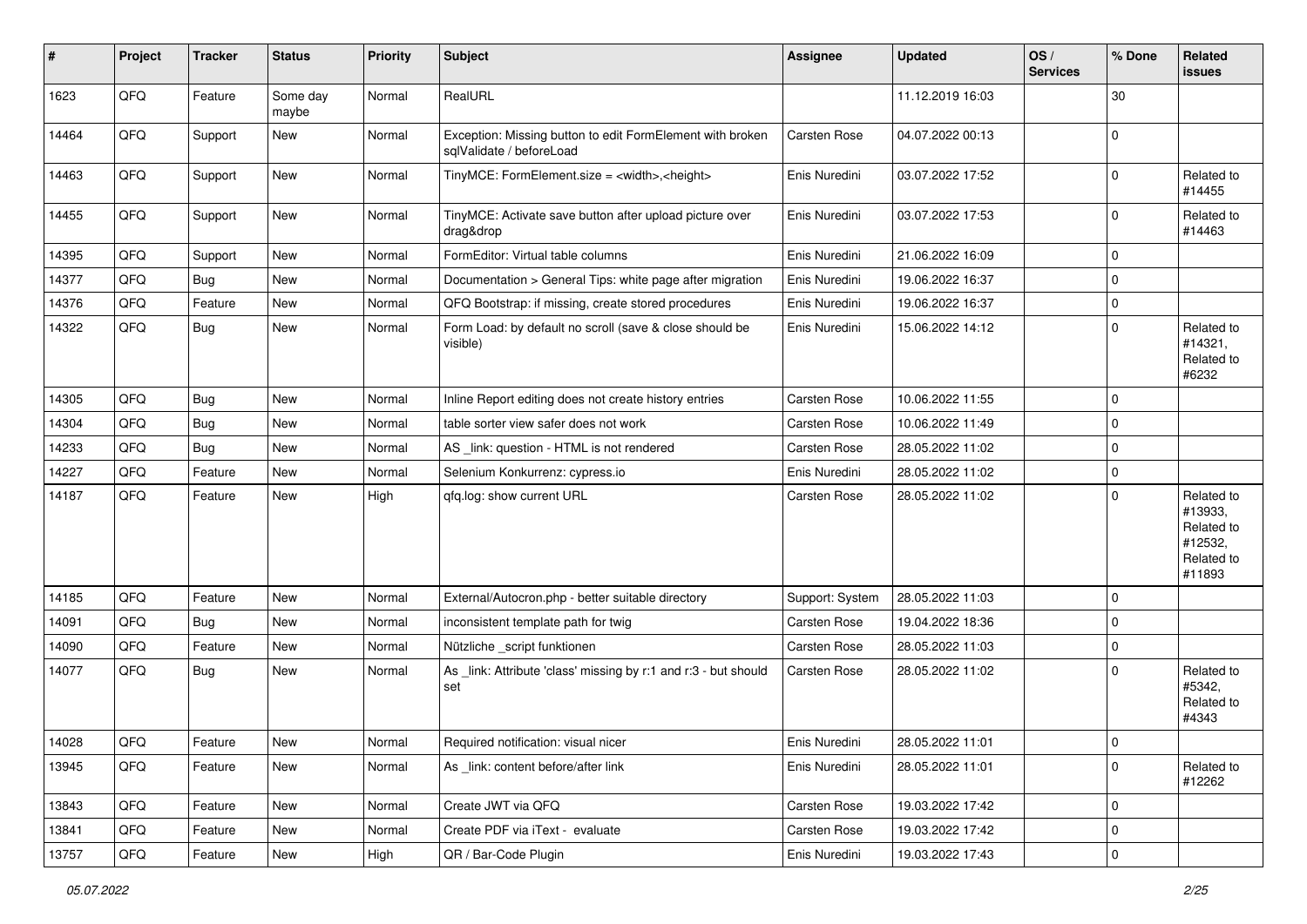| #     | Project | <b>Tracker</b> | <b>Status</b>     | <b>Priority</b> | <b>Subject</b>                                                                        | <b>Assignee</b> | <b>Updated</b>   | OS/<br><b>Services</b> | % Done      | Related<br><b>issues</b>                                               |
|-------|---------|----------------|-------------------|-----------------|---------------------------------------------------------------------------------------|-----------------|------------------|------------------------|-------------|------------------------------------------------------------------------|
| 1623  | QFQ     | Feature        | Some day<br>maybe | Normal          | RealURL                                                                               |                 | 11.12.2019 16:03 |                        | 30          |                                                                        |
| 14464 | QFQ     | Support        | New               | Normal          | Exception: Missing button to edit FormElement with broken<br>sqlValidate / beforeLoad | Carsten Rose    | 04.07.2022 00:13 |                        | $\mathbf 0$ |                                                                        |
| 14463 | QFQ     | Support        | New               | Normal          | TinyMCE: FormElement.size = <width>,<height></height></width>                         | Enis Nuredini   | 03.07.2022 17:52 |                        | 0           | Related to<br>#14455                                                   |
| 14455 | QFQ     | Support        | New               | Normal          | TinyMCE: Activate save button after upload picture over<br>drag&drop                  | Enis Nuredini   | 03.07.2022 17:53 |                        | 0           | Related to<br>#14463                                                   |
| 14395 | QFQ     | Support        | New               | Normal          | FormEditor: Virtual table columns                                                     | Enis Nuredini   | 21.06.2022 16:09 |                        | $\mathbf 0$ |                                                                        |
| 14377 | QFQ     | Bug            | New               | Normal          | Documentation > General Tips: white page after migration                              | Enis Nuredini   | 19.06.2022 16:37 |                        | $\Omega$    |                                                                        |
| 14376 | QFQ     | Feature        | New               | Normal          | QFQ Bootstrap: if missing, create stored procedures                                   | Enis Nuredini   | 19.06.2022 16:37 |                        | $\mathbf 0$ |                                                                        |
| 14322 | QFQ     | Bug            | New               | Normal          | Form Load: by default no scroll (save & close should be<br>visible)                   | Enis Nuredini   | 15.06.2022 14:12 |                        | $\Omega$    | Related to<br>#14321,<br>Related to<br>#6232                           |
| 14305 | QFQ     | <b>Bug</b>     | New               | Normal          | Inline Report editing does not create history entries                                 | Carsten Rose    | 10.06.2022 11:55 |                        | $\Omega$    |                                                                        |
| 14304 | QFQ     | Bug            | New               | Normal          | table sorter view safer does not work                                                 | Carsten Rose    | 10.06.2022 11:49 |                        | $\Omega$    |                                                                        |
| 14233 | QFQ     | Bug            | New               | Normal          | AS _link: question - HTML is not rendered                                             | Carsten Rose    | 28.05.2022 11:02 |                        | 0           |                                                                        |
| 14227 | QFQ     | Feature        | New               | Normal          | Selenium Konkurrenz: cypress.io                                                       | Enis Nuredini   | 28.05.2022 11:02 |                        | 0           |                                                                        |
| 14187 | QFQ     | Feature        | New               | High            | qfq.log: show current URL                                                             | Carsten Rose    | 28.05.2022 11:02 |                        | $\Omega$    | Related to<br>#13933,<br>Related to<br>#12532,<br>Related to<br>#11893 |
| 14185 | QFQ     | Feature        | New               | Normal          | External/Autocron.php - better suitable directory                                     | Support: System | 28.05.2022 11:03 |                        | $\Omega$    |                                                                        |
| 14091 | QFQ     | Bug            | New               | Normal          | inconsistent template path for twig                                                   | Carsten Rose    | 19.04.2022 18:36 |                        | $\Omega$    |                                                                        |
| 14090 | QFQ     | Feature        | New               | Normal          | Nützliche _script funktionen                                                          | Carsten Rose    | 28.05.2022 11:03 |                        | $\mathbf 0$ |                                                                        |
| 14077 | QFQ     | Bug            | New               | Normal          | As _link: Attribute 'class' missing by r:1 and r:3 - but should<br>set                | Carsten Rose    | 28.05.2022 11:02 |                        | $\mathbf 0$ | Related to<br>#5342,<br>Related to<br>#4343                            |
| 14028 | QFQ     | Feature        | New               | Normal          | Required notification: visual nicer                                                   | Enis Nuredini   | 28.05.2022 11:01 |                        | 0           |                                                                        |
| 13945 | QFQ     | Feature        | New               | Normal          | As _link: content before/after link                                                   | Enis Nuredini   | 28.05.2022 11:01 |                        | $\mathbf 0$ | Related to<br>#12262                                                   |
| 13843 | QFQ     | Feature        | New               | Normal          | Create JWT via QFQ                                                                    | Carsten Rose    | 19.03.2022 17:42 |                        | 0           |                                                                        |
| 13841 | QFQ     | Feature        | New               | Normal          | Create PDF via iText - evaluate                                                       | Carsten Rose    | 19.03.2022 17:42 |                        | 0           |                                                                        |
| 13757 | QFQ     | Feature        | New               | High            | QR / Bar-Code Plugin                                                                  | Enis Nuredini   | 19.03.2022 17:43 |                        | 0           |                                                                        |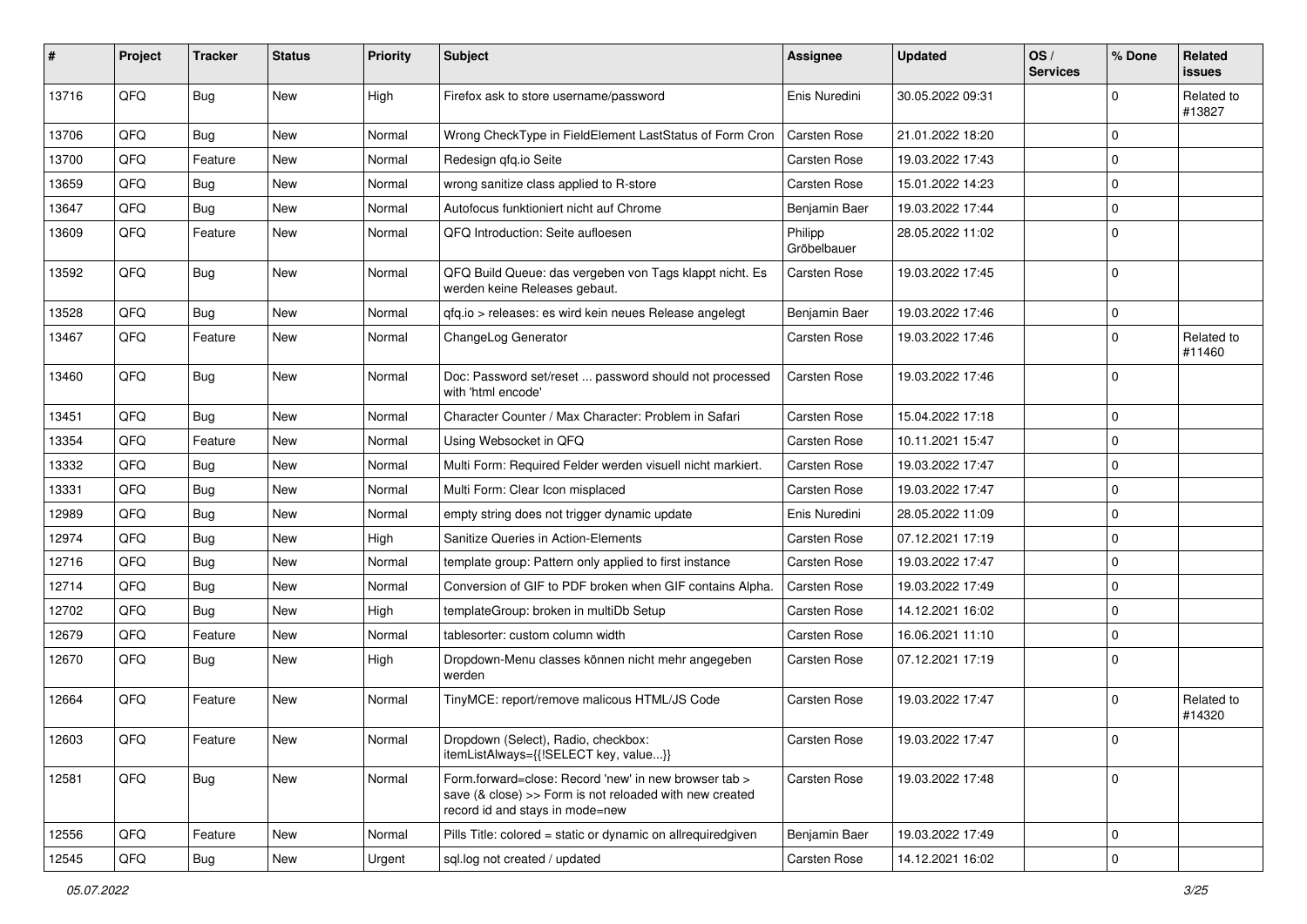| #     | Project | <b>Tracker</b> | <b>Status</b> | <b>Priority</b> | Subject                                                                                                                                             | <b>Assignee</b>        | <b>Updated</b>   | OS/<br><b>Services</b> | % Done      | Related<br><b>issues</b> |
|-------|---------|----------------|---------------|-----------------|-----------------------------------------------------------------------------------------------------------------------------------------------------|------------------------|------------------|------------------------|-------------|--------------------------|
| 13716 | QFQ     | Bug            | <b>New</b>    | High            | Firefox ask to store username/password                                                                                                              | Enis Nuredini          | 30.05.2022 09:31 |                        | $\Omega$    | Related to<br>#13827     |
| 13706 | QFQ     | <b>Bug</b>     | New           | Normal          | Wrong CheckType in FieldElement LastStatus of Form Cron                                                                                             | <b>Carsten Rose</b>    | 21.01.2022 18:20 |                        | $\Omega$    |                          |
| 13700 | QFQ     | Feature        | New           | Normal          | Redesign qfq.io Seite                                                                                                                               | Carsten Rose           | 19.03.2022 17:43 |                        | $\mathbf 0$ |                          |
| 13659 | QFQ     | <b>Bug</b>     | New           | Normal          | wrong sanitize class applied to R-store                                                                                                             | Carsten Rose           | 15.01.2022 14:23 |                        | $\mathbf 0$ |                          |
| 13647 | QFQ     | <b>Bug</b>     | <b>New</b>    | Normal          | Autofocus funktioniert nicht auf Chrome                                                                                                             | Benjamin Baer          | 19.03.2022 17:44 |                        | $\mathbf 0$ |                          |
| 13609 | QFQ     | Feature        | New           | Normal          | QFQ Introduction: Seite aufloesen                                                                                                                   | Philipp<br>Gröbelbauer | 28.05.2022 11:02 |                        | 0           |                          |
| 13592 | QFQ     | <b>Bug</b>     | New           | Normal          | QFQ Build Queue: das vergeben von Tags klappt nicht. Es<br>werden keine Releases gebaut.                                                            | Carsten Rose           | 19.03.2022 17:45 |                        | 0           |                          |
| 13528 | QFQ     | Bug            | New           | Normal          | qfq.io > releases: es wird kein neues Release angelegt                                                                                              | Benjamin Baer          | 19.03.2022 17:46 |                        | $\mathbf 0$ |                          |
| 13467 | QFQ     | Feature        | <b>New</b>    | Normal          | ChangeLog Generator                                                                                                                                 | Carsten Rose           | 19.03.2022 17:46 |                        | $\Omega$    | Related to<br>#11460     |
| 13460 | QFQ     | Bug            | New           | Normal          | Doc: Password set/reset  password should not processed<br>with 'html encode'                                                                        | Carsten Rose           | 19.03.2022 17:46 |                        | $\mathbf 0$ |                          |
| 13451 | QFQ     | Bug            | New           | Normal          | Character Counter / Max Character: Problem in Safari                                                                                                | Carsten Rose           | 15.04.2022 17:18 |                        | $\Omega$    |                          |
| 13354 | QFQ     | Feature        | <b>New</b>    | Normal          | Using Websocket in QFQ                                                                                                                              | Carsten Rose           | 10.11.2021 15:47 |                        | $\mathbf 0$ |                          |
| 13332 | QFQ     | <b>Bug</b>     | New           | Normal          | Multi Form: Required Felder werden visuell nicht markiert.                                                                                          | Carsten Rose           | 19.03.2022 17:47 |                        | $\mathbf 0$ |                          |
| 13331 | QFQ     | <b>Bug</b>     | New           | Normal          | Multi Form: Clear Icon misplaced                                                                                                                    | Carsten Rose           | 19.03.2022 17:47 |                        | $\Omega$    |                          |
| 12989 | QFQ     | <b>Bug</b>     | New           | Normal          | empty string does not trigger dynamic update                                                                                                        | Enis Nuredini          | 28.05.2022 11:09 |                        | $\Omega$    |                          |
| 12974 | QFQ     | <b>Bug</b>     | New           | High            | Sanitize Queries in Action-Elements                                                                                                                 | Carsten Rose           | 07.12.2021 17:19 |                        | 0           |                          |
| 12716 | QFQ     | <b>Bug</b>     | <b>New</b>    | Normal          | template group: Pattern only applied to first instance                                                                                              | Carsten Rose           | 19.03.2022 17:47 |                        | $\mathbf 0$ |                          |
| 12714 | QFQ     | Bug            | New           | Normal          | Conversion of GIF to PDF broken when GIF contains Alpha.                                                                                            | Carsten Rose           | 19.03.2022 17:49 |                        | $\mathbf 0$ |                          |
| 12702 | QFQ     | <b>Bug</b>     | New           | High            | templateGroup: broken in multiDb Setup                                                                                                              | Carsten Rose           | 14.12.2021 16:02 |                        | $\Omega$    |                          |
| 12679 | QFQ     | Feature        | New           | Normal          | tablesorter: custom column width                                                                                                                    | Carsten Rose           | 16.06.2021 11:10 |                        | 0           |                          |
| 12670 | QFQ     | <b>Bug</b>     | New           | High            | Dropdown-Menu classes können nicht mehr angegeben<br>werden                                                                                         | Carsten Rose           | 07.12.2021 17:19 |                        | $\Omega$    |                          |
| 12664 | QFQ     | Feature        | New           | Normal          | TinyMCE: report/remove malicous HTML/JS Code                                                                                                        | Carsten Rose           | 19.03.2022 17:47 |                        | $\mathbf 0$ | Related to<br>#14320     |
| 12603 | QFQ     | Feature        | New           | Normal          | Dropdown (Select), Radio, checkbox:<br>itemListAlways={{!SELECT key, value}}                                                                        | Carsten Rose           | 19.03.2022 17:47 |                        |             |                          |
| 12581 | QFQ     | <b>Bug</b>     | New           | Normal          | Form forward=close: Record 'new' in new browser tab ><br>save (& close) >> Form is not reloaded with new created<br>record id and stays in mode=new | Carsten Rose           | 19.03.2022 17:48 |                        | $\mathbf 0$ |                          |
| 12556 | QFQ     | Feature        | New           | Normal          | Pills Title: colored = static or dynamic on allrequiredgiven                                                                                        | Benjamin Baer          | 19.03.2022 17:49 |                        | $\mathbf 0$ |                          |
| 12545 | QFQ     | Bug            | New           | Urgent          | sql.log not created / updated                                                                                                                       | Carsten Rose           | 14.12.2021 16:02 |                        | $\mathbf 0$ |                          |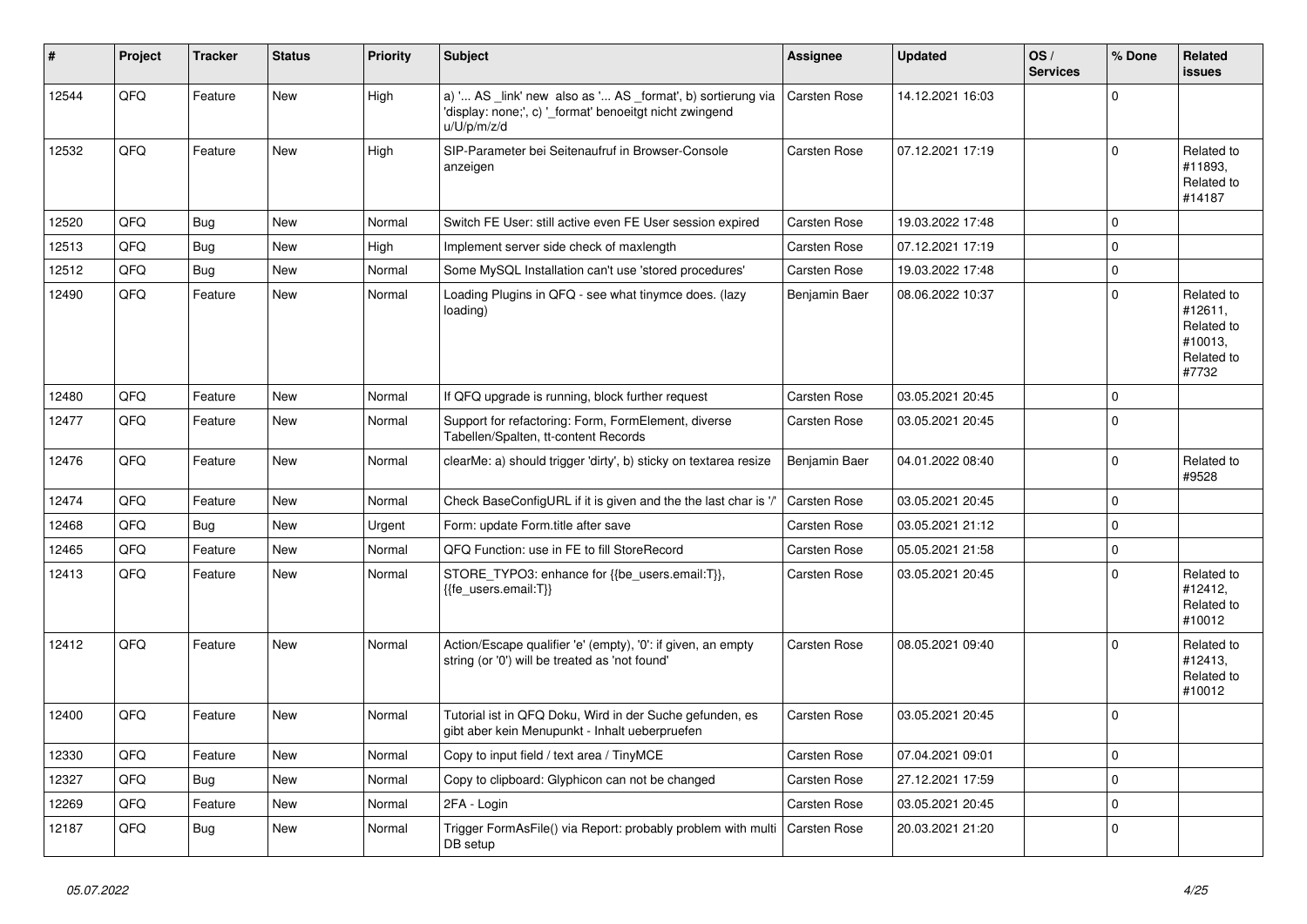| #     | Project | <b>Tracker</b> | <b>Status</b> | <b>Priority</b> | <b>Subject</b>                                                                                                                        | <b>Assignee</b> | <b>Updated</b>   | OS/<br><b>Services</b> | % Done      | Related<br><b>issues</b>                                              |
|-------|---------|----------------|---------------|-----------------|---------------------------------------------------------------------------------------------------------------------------------------|-----------------|------------------|------------------------|-------------|-----------------------------------------------------------------------|
| 12544 | QFQ     | Feature        | <b>New</b>    | High            | a) ' AS _link' new also as ' AS _format', b) sortierung via<br>'display: none;', c) '_format' benoeitgt nicht zwingend<br>u/U/p/m/z/d | Carsten Rose    | 14.12.2021 16:03 |                        | $\Omega$    |                                                                       |
| 12532 | QFQ     | Feature        | <b>New</b>    | High            | SIP-Parameter bei Seitenaufruf in Browser-Console<br>anzeigen                                                                         | Carsten Rose    | 07.12.2021 17:19 |                        | $\Omega$    | Related to<br>#11893.<br>Related to<br>#14187                         |
| 12520 | QFQ     | Bug            | New           | Normal          | Switch FE User: still active even FE User session expired                                                                             | Carsten Rose    | 19.03.2022 17:48 |                        | $\Omega$    |                                                                       |
| 12513 | QFQ     | Bug            | <b>New</b>    | High            | Implement server side check of maxlength                                                                                              | Carsten Rose    | 07.12.2021 17:19 |                        | $\Omega$    |                                                                       |
| 12512 | QFQ     | Bug            | <b>New</b>    | Normal          | Some MySQL Installation can't use 'stored procedures'                                                                                 | Carsten Rose    | 19.03.2022 17:48 |                        | $\Omega$    |                                                                       |
| 12490 | QFQ     | Feature        | New           | Normal          | Loading Plugins in QFQ - see what tinymce does. (lazy<br>loading)                                                                     | Benjamin Baer   | 08.06.2022 10:37 |                        | $\Omega$    | Related to<br>#12611,<br>Related to<br>#10013,<br>Related to<br>#7732 |
| 12480 | QFQ     | Feature        | <b>New</b>    | Normal          | If QFQ upgrade is running, block further request                                                                                      | Carsten Rose    | 03.05.2021 20:45 |                        | $\Omega$    |                                                                       |
| 12477 | QFQ     | Feature        | <b>New</b>    | Normal          | Support for refactoring: Form, FormElement, diverse<br>Tabellen/Spalten, tt-content Records                                           | Carsten Rose    | 03.05.2021 20:45 |                        | $\Omega$    |                                                                       |
| 12476 | QFQ     | Feature        | New           | Normal          | clearMe: a) should trigger 'dirty', b) sticky on textarea resize                                                                      | Benjamin Baer   | 04.01.2022 08:40 |                        | $\mathbf 0$ | Related to<br>#9528                                                   |
| 12474 | QFQ     | Feature        | New           | Normal          | Check BaseConfigURL if it is given and the the last char is '/'                                                                       | Carsten Rose    | 03.05.2021 20:45 |                        | $\Omega$    |                                                                       |
| 12468 | QFQ     | <b>Bug</b>     | <b>New</b>    | Urgent          | Form: update Form.title after save                                                                                                    | Carsten Rose    | 03.05.2021 21:12 |                        | $\Omega$    |                                                                       |
| 12465 | QFQ     | Feature        | <b>New</b>    | Normal          | QFQ Function: use in FE to fill StoreRecord                                                                                           | Carsten Rose    | 05.05.2021 21:58 |                        | $\Omega$    |                                                                       |
| 12413 | QFQ     | Feature        | <b>New</b>    | Normal          | STORE_TYPO3: enhance for {{be_users.email:T}},<br>{{fe users.email:T}}                                                                | Carsten Rose    | 03.05.2021 20:45 |                        | $\Omega$    | Related to<br>#12412,<br>Related to<br>#10012                         |
| 12412 | QFQ     | Feature        | New           | Normal          | Action/Escape qualifier 'e' (empty), '0': if given, an empty<br>string (or '0') will be treated as 'not found'                        | Carsten Rose    | 08.05.2021 09:40 |                        | $\Omega$    | Related to<br>#12413,<br>Related to<br>#10012                         |
| 12400 | QFQ     | Feature        | <b>New</b>    | Normal          | Tutorial ist in QFQ Doku, Wird in der Suche gefunden, es<br>gibt aber kein Menupunkt - Inhalt ueberpruefen                            | Carsten Rose    | 03.05.2021 20:45 |                        | $\Omega$    |                                                                       |
| 12330 | QFQ     | Feature        | <b>New</b>    | Normal          | Copy to input field / text area / TinyMCE                                                                                             | Carsten Rose    | 07.04.2021 09:01 |                        | $\Omega$    |                                                                       |
| 12327 | QFQ     | Bug            | <b>New</b>    | Normal          | Copy to clipboard: Glyphicon can not be changed                                                                                       | Carsten Rose    | 27.12.2021 17:59 |                        | $\Omega$    |                                                                       |
| 12269 | QFQ     | Feature        | New           | Normal          | 2FA - Login                                                                                                                           | Carsten Rose    | 03.05.2021 20:45 |                        | $\Omega$    |                                                                       |
| 12187 | QFQ     | Bug            | <b>New</b>    | Normal          | Trigger FormAsFile() via Report: probably problem with multi<br>DB setup                                                              | Carsten Rose    | 20.03.2021 21:20 |                        | $\Omega$    |                                                                       |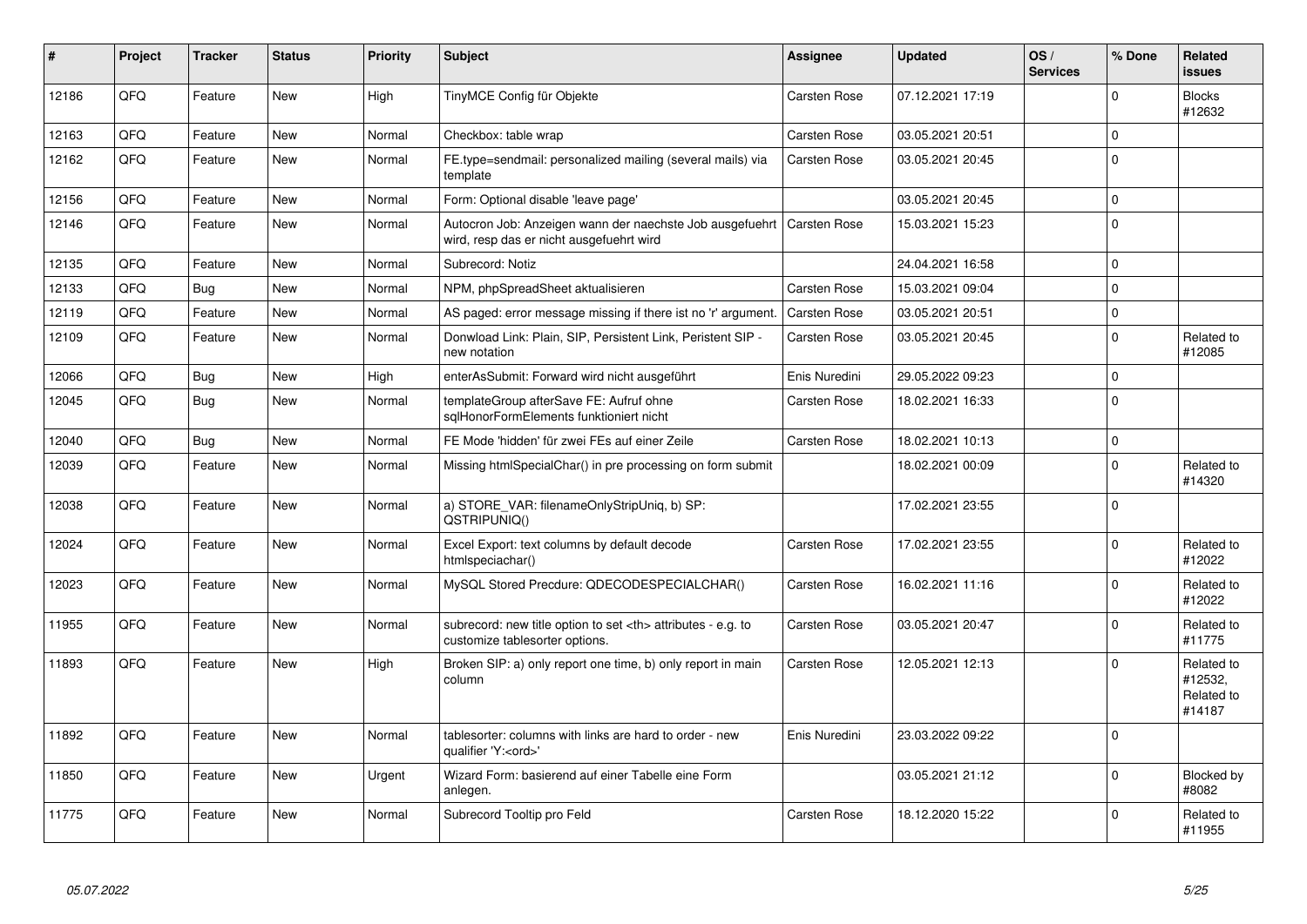| #     | Project | <b>Tracker</b> | <b>Status</b> | <b>Priority</b> | <b>Subject</b>                                                                                       | <b>Assignee</b>                                        | <b>Updated</b>   | OS/<br><b>Services</b> | % Done   | Related<br><b>issues</b>                      |                      |
|-------|---------|----------------|---------------|-----------------|------------------------------------------------------------------------------------------------------|--------------------------------------------------------|------------------|------------------------|----------|-----------------------------------------------|----------------------|
| 12186 | QFQ     | Feature        | <b>New</b>    | High            | TinyMCE Config für Objekte                                                                           | Carsten Rose                                           | 07.12.2021 17:19 |                        | $\Omega$ | <b>Blocks</b><br>#12632                       |                      |
| 12163 | OFQ     | Feature        | <b>New</b>    | Normal          | Checkbox: table wrap                                                                                 | Carsten Rose                                           | 03.05.2021 20:51 |                        | $\Omega$ |                                               |                      |
| 12162 | QFQ     | Feature        | New           | Normal          | FE.type=sendmail: personalized mailing (several mails) via<br>template                               | Carsten Rose                                           | 03.05.2021 20:45 |                        | $\Omega$ |                                               |                      |
| 12156 | QFQ     | Feature        | <b>New</b>    | Normal          | Form: Optional disable 'leave page'                                                                  |                                                        | 03.05.2021 20:45 |                        | $\Omega$ |                                               |                      |
| 12146 | QFQ     | Feature        | New           | Normal          | Autocron Job: Anzeigen wann der naechste Job ausgefuehrt<br>wird, resp das er nicht ausgefuehrt wird | Carsten Rose                                           | 15.03.2021 15:23 |                        | $\Omega$ |                                               |                      |
| 12135 | QFQ     | Feature        | <b>New</b>    | Normal          | Subrecord: Notiz                                                                                     |                                                        | 24.04.2021 16:58 |                        | $\Omega$ |                                               |                      |
| 12133 | QFQ     | Bug            | <b>New</b>    | Normal          | NPM, phpSpreadSheet aktualisieren                                                                    | Carsten Rose                                           | 15.03.2021 09:04 |                        | $\Omega$ |                                               |                      |
| 12119 | QFQ     | Feature        | New           | Normal          | AS paged: error message missing if there ist no 'r' argument.                                        | Carsten Rose                                           | 03.05.2021 20:51 |                        | $\Omega$ |                                               |                      |
| 12109 | QFQ     | Feature        | <b>New</b>    | Normal          | Donwload Link: Plain, SIP, Persistent Link, Peristent SIP -<br>new notation                          | <b>Carsten Rose</b>                                    | 03.05.2021 20:45 |                        | $\Omega$ | Related to<br>#12085                          |                      |
| 12066 | QFQ     | Bug            | New           | High            | enterAsSubmit: Forward wird nicht ausgeführt                                                         | Enis Nuredini                                          | 29.05.2022 09:23 |                        | $\Omega$ |                                               |                      |
| 12045 | QFQ     | Bug            | <b>New</b>    | Normal          | templateGroup afterSave FE: Aufruf ohne<br>sqlHonorFormElements funktioniert nicht                   | Carsten Rose                                           | 18.02.2021 16:33 |                        | $\Omega$ |                                               |                      |
| 12040 | QFQ     | <b>Bug</b>     | New           | Normal          | FE Mode 'hidden' für zwei FEs auf einer Zeile                                                        | <b>Carsten Rose</b>                                    | 18.02.2021 10:13 |                        | $\Omega$ |                                               |                      |
| 12039 | QFQ     | Feature        | New           | Normal          | Missing htmlSpecialChar() in pre processing on form submit                                           |                                                        | 18.02.2021 00:09 |                        | $\Omega$ | Related to<br>#14320                          |                      |
| 12038 | QFQ     | Feature        | <b>New</b>    | Normal          | a) STORE_VAR: filenameOnlyStripUniq, b) SP:<br>QSTRIPUNIQ()                                          |                                                        | 17.02.2021 23:55 |                        | $\Omega$ |                                               |                      |
| 12024 | QFQ     | Feature        | <b>New</b>    | Normal          | Excel Export: text columns by default decode<br>htmlspeciachar()                                     | Carsten Rose                                           | 17.02.2021 23:55 |                        | $\Omega$ | Related to<br>#12022                          |                      |
| 12023 | QFQ     | Feature        | <b>New</b>    | Normal          | MySQL Stored Precdure: QDECODESPECIALCHAR()                                                          | Carsten Rose                                           | 16.02.2021 11:16 |                        | $\Omega$ | Related to<br>#12022                          |                      |
| 11955 | QFQ     | Feature        | <b>New</b>    | Normal          | subrecord: new title option to set <th> attributes - e.g. to<br/>customize tablesorter options.</th> | attributes - e.g. to<br>customize tablesorter options. | Carsten Rose     | 03.05.2021 20:47       |          | $\Omega$                                      | Related to<br>#11775 |
| 11893 | QFQ     | Feature        | <b>New</b>    | High            | Broken SIP: a) only report one time, b) only report in main<br>column                                | Carsten Rose                                           | 12.05.2021 12:13 |                        | $\Omega$ | Related to<br>#12532.<br>Related to<br>#14187 |                      |
| 11892 | QFQ     | Feature        | <b>New</b>    | Normal          | tablesorter: columns with links are hard to order - new<br>qualifier 'Y: <ord>'</ord>                | Enis Nuredini                                          | 23.03.2022 09:22 |                        | $\Omega$ |                                               |                      |
| 11850 | QFQ     | Feature        | New           | Urgent          | Wizard Form: basierend auf einer Tabelle eine Form<br>anlegen.                                       |                                                        | 03.05.2021 21:12 |                        | $\Omega$ | Blocked by<br>#8082                           |                      |
| 11775 | QFQ     | Feature        | <b>New</b>    | Normal          | Subrecord Tooltip pro Feld                                                                           | <b>Carsten Rose</b>                                    | 18.12.2020 15:22 |                        | $\Omega$ | Related to<br>#11955                          |                      |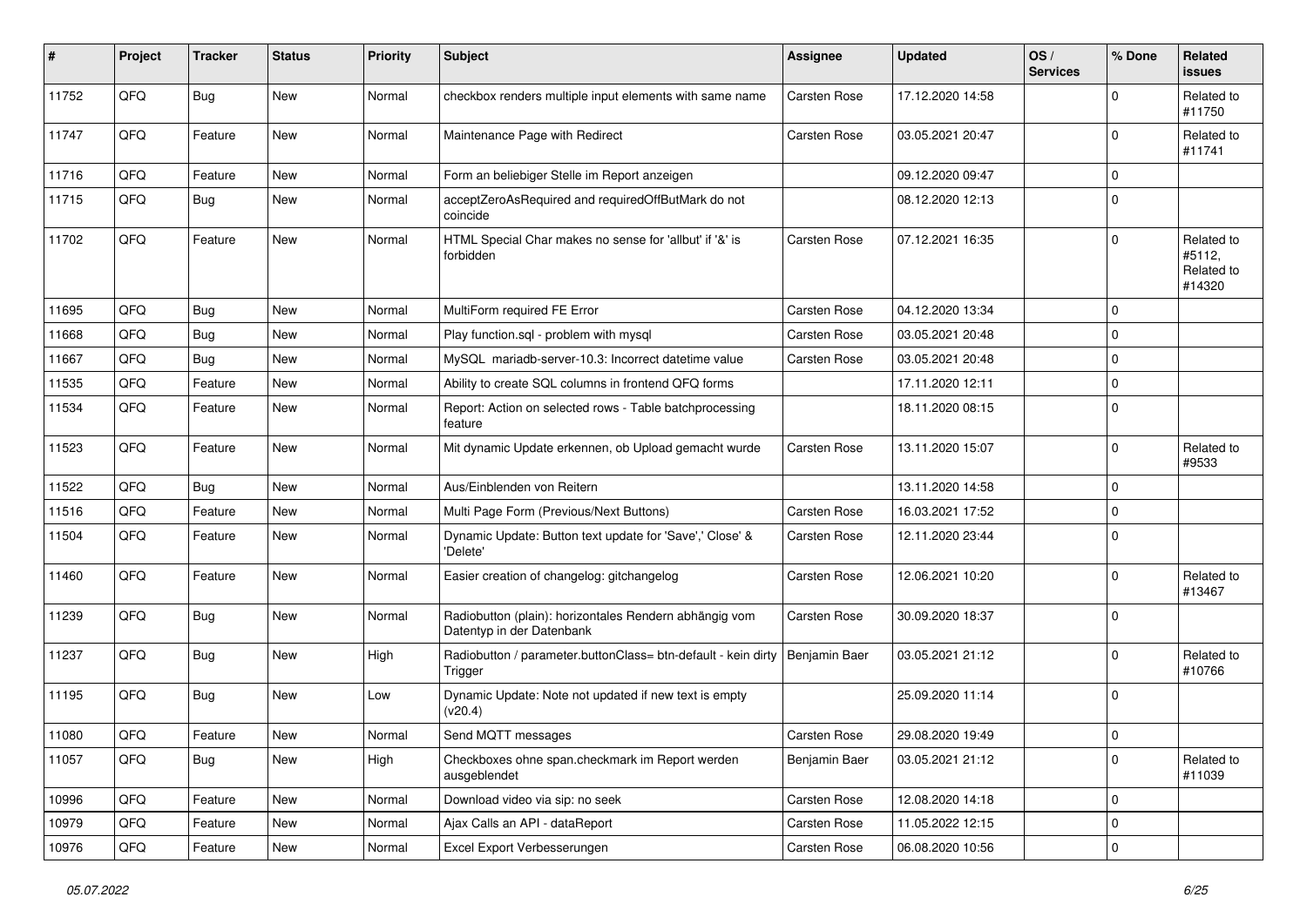| #     | Project | <b>Tracker</b> | <b>Status</b> | <b>Priority</b> | <b>Subject</b>                                                                      | <b>Assignee</b>     | <b>Updated</b>   | OS/<br><b>Services</b> | % Done      | Related<br><b>issues</b>                     |
|-------|---------|----------------|---------------|-----------------|-------------------------------------------------------------------------------------|---------------------|------------------|------------------------|-------------|----------------------------------------------|
| 11752 | QFQ     | Bug            | New           | Normal          | checkbox renders multiple input elements with same name                             | Carsten Rose        | 17.12.2020 14:58 |                        | $\Omega$    | Related to<br>#11750                         |
| 11747 | QFQ     | Feature        | New           | Normal          | Maintenance Page with Redirect                                                      | Carsten Rose        | 03.05.2021 20:47 |                        | $\Omega$    | Related to<br>#11741                         |
| 11716 | QFQ     | Feature        | New           | Normal          | Form an beliebiger Stelle im Report anzeigen                                        |                     | 09.12.2020 09:47 |                        | $\mathbf 0$ |                                              |
| 11715 | QFQ     | Bug            | New           | Normal          | acceptZeroAsRequired and requiredOffButMark do not<br>coincide                      |                     | 08.12.2020 12:13 |                        | $\Omega$    |                                              |
| 11702 | QFQ     | Feature        | <b>New</b>    | Normal          | HTML Special Char makes no sense for 'allbut' if '&' is<br>forbidden                | Carsten Rose        | 07.12.2021 16:35 |                        | $\Omega$    | Related to<br>#5112,<br>Related to<br>#14320 |
| 11695 | QFQ     | <b>Bug</b>     | <b>New</b>    | Normal          | MultiForm required FE Error                                                         | Carsten Rose        | 04.12.2020 13:34 |                        | $\mathbf 0$ |                                              |
| 11668 | QFQ     | Bug            | New           | Normal          | Play function.sql - problem with mysql                                              | Carsten Rose        | 03.05.2021 20:48 |                        | $\mathbf 0$ |                                              |
| 11667 | QFQ     | Bug            | <b>New</b>    | Normal          | MySQL mariadb-server-10.3: Incorrect datetime value                                 | Carsten Rose        | 03.05.2021 20:48 |                        | $\mathbf 0$ |                                              |
| 11535 | QFQ     | Feature        | <b>New</b>    | Normal          | Ability to create SQL columns in frontend QFQ forms                                 |                     | 17.11.2020 12:11 |                        | $\mathbf 0$ |                                              |
| 11534 | QFQ     | Feature        | New           | Normal          | Report: Action on selected rows - Table batchprocessing<br>feature                  |                     | 18.11.2020 08:15 |                        | $\mathbf 0$ |                                              |
| 11523 | QFQ     | Feature        | New           | Normal          | Mit dynamic Update erkennen, ob Upload gemacht wurde                                | Carsten Rose        | 13.11.2020 15:07 |                        | $\mathbf 0$ | Related to<br>#9533                          |
| 11522 | QFQ     | Bug            | <b>New</b>    | Normal          | Aus/Einblenden von Reitern                                                          |                     | 13.11.2020 14:58 |                        | $\mathbf 0$ |                                              |
| 11516 | QFQ     | Feature        | <b>New</b>    | Normal          | Multi Page Form (Previous/Next Buttons)                                             | Carsten Rose        | 16.03.2021 17:52 |                        | $\mathbf 0$ |                                              |
| 11504 | QFQ     | Feature        | New           | Normal          | Dynamic Update: Button text update for 'Save',' Close' &<br>'Delete'                | Carsten Rose        | 12.11.2020 23:44 |                        | $\mathbf 0$ |                                              |
| 11460 | QFQ     | Feature        | <b>New</b>    | Normal          | Easier creation of changelog: gitchangelog                                          | Carsten Rose        | 12.06.2021 10:20 |                        | $\mathbf 0$ | Related to<br>#13467                         |
| 11239 | QFQ     | Bug            | New           | Normal          | Radiobutton (plain): horizontales Rendern abhängig vom<br>Datentyp in der Datenbank | Carsten Rose        | 30.09.2020 18:37 |                        | $\mathbf 0$ |                                              |
| 11237 | QFQ     | Bug            | <b>New</b>    | High            | Radiobutton / parameter.buttonClass= btn-default - kein dirty<br>Trigger            | Benjamin Baer       | 03.05.2021 21:12 |                        | $\mathbf 0$ | Related to<br>#10766                         |
| 11195 | QFQ     | Bug            | <b>New</b>    | Low             | Dynamic Update: Note not updated if new text is empty<br>(v20.4)                    |                     | 25.09.2020 11:14 |                        | $\Omega$    |                                              |
| 11080 | QFQ     | Feature        | <b>New</b>    | Normal          | Send MQTT messages                                                                  | <b>Carsten Rose</b> | 29.08.2020 19:49 |                        | I٥          |                                              |
| 11057 | QFQ     | Bug            | New           | High            | Checkboxes ohne span.checkmark im Report werden<br>ausgeblendet                     | Benjamin Baer       | 03.05.2021 21:12 |                        | 0           | Related to<br>#11039                         |
| 10996 | QFQ     | Feature        | <b>New</b>    | Normal          | Download video via sip: no seek                                                     | Carsten Rose        | 12.08.2020 14:18 |                        | 0           |                                              |
| 10979 | QFQ     | Feature        | New           | Normal          | Ajax Calls an API - dataReport                                                      | Carsten Rose        | 11.05.2022 12:15 |                        | $\pmb{0}$   |                                              |
| 10976 | QFQ     | Feature        | New           | Normal          | Excel Export Verbesserungen                                                         | Carsten Rose        | 06.08.2020 10:56 |                        | 0           |                                              |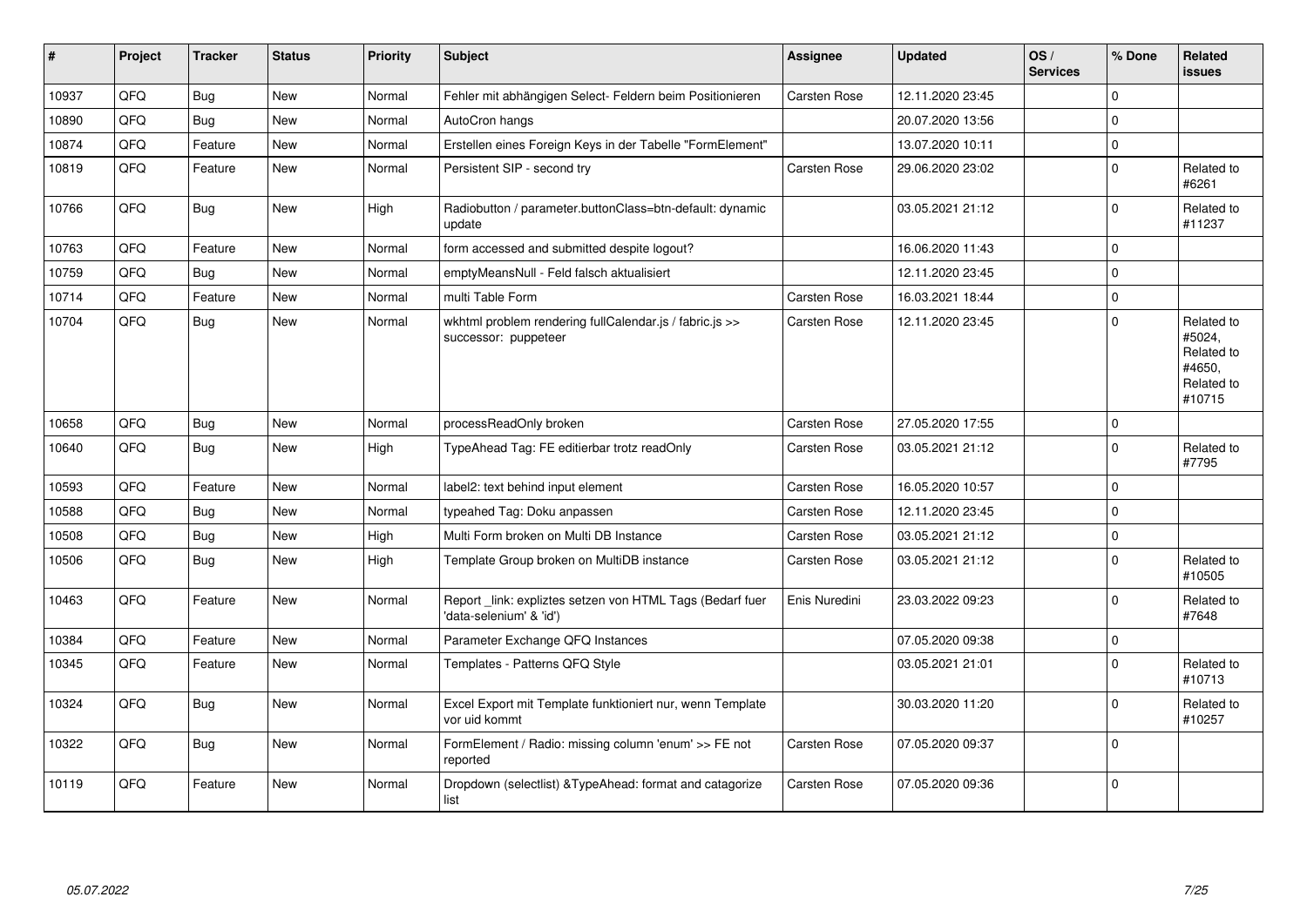| $\vert$ # | Project | <b>Tracker</b> | <b>Status</b> | <b>Priority</b> | <b>Subject</b>                                                                      | <b>Assignee</b> | <b>Updated</b>   | OS/<br><b>Services</b> | % Done      | Related<br>issues                                                    |
|-----------|---------|----------------|---------------|-----------------|-------------------------------------------------------------------------------------|-----------------|------------------|------------------------|-------------|----------------------------------------------------------------------|
| 10937     | QFQ     | Bug            | <b>New</b>    | Normal          | Fehler mit abhängigen Select- Feldern beim Positionieren                            | Carsten Rose    | 12.11.2020 23:45 |                        | $\Omega$    |                                                                      |
| 10890     | QFQ     | <b>Bug</b>     | New           | Normal          | AutoCron hangs                                                                      |                 | 20.07.2020 13:56 |                        | $\Omega$    |                                                                      |
| 10874     | QFQ     | Feature        | <b>New</b>    | Normal          | Erstellen eines Foreign Keys in der Tabelle "FormElement"                           |                 | 13.07.2020 10:11 |                        | $\Omega$    |                                                                      |
| 10819     | QFQ     | Feature        | New           | Normal          | Persistent SIP - second try                                                         | Carsten Rose    | 29.06.2020 23:02 |                        | 0           | Related to<br>#6261                                                  |
| 10766     | QFQ     | <b>Bug</b>     | <b>New</b>    | High            | Radiobutton / parameter.buttonClass=btn-default: dynamic<br>update                  |                 | 03.05.2021 21:12 |                        | 0           | Related to<br>#11237                                                 |
| 10763     | QFQ     | Feature        | New           | Normal          | form accessed and submitted despite logout?                                         |                 | 16.06.2020 11:43 |                        | $\Omega$    |                                                                      |
| 10759     | QFQ     | Bug            | <b>New</b>    | Normal          | emptyMeansNull - Feld falsch aktualisiert                                           |                 | 12.11.2020 23:45 |                        | 0           |                                                                      |
| 10714     | QFQ     | Feature        | <b>New</b>    | Normal          | multi Table Form                                                                    | Carsten Rose    | 16.03.2021 18:44 |                        | 0           |                                                                      |
| 10704     | QFQ     | Bug            | <b>New</b>    | Normal          | wkhtml problem rendering fullCalendar.js / fabric.js >><br>successor: puppeteer     | Carsten Rose    | 12.11.2020 23:45 |                        | 0           | Related to<br>#5024,<br>Related to<br>#4650,<br>Related to<br>#10715 |
| 10658     | QFQ     | Bug            | New           | Normal          | processReadOnly broken                                                              | Carsten Rose    | 27.05.2020 17:55 |                        | 0           |                                                                      |
| 10640     | QFQ     | <b>Bug</b>     | <b>New</b>    | High            | TypeAhead Tag: FE editierbar trotz readOnly                                         | Carsten Rose    | 03.05.2021 21:12 |                        | 0           | Related to<br>#7795                                                  |
| 10593     | QFQ     | Feature        | New           | Normal          | label2: text behind input element                                                   | Carsten Rose    | 16.05.2020 10:57 |                        | $\Omega$    |                                                                      |
| 10588     | QFQ     | <b>Bug</b>     | <b>New</b>    | Normal          | typeahed Tag: Doku anpassen                                                         | Carsten Rose    | 12.11.2020 23:45 |                        | $\mathbf 0$ |                                                                      |
| 10508     | QFQ     | <b>Bug</b>     | New           | High            | Multi Form broken on Multi DB Instance                                              | Carsten Rose    | 03.05.2021 21:12 |                        | $\mathbf 0$ |                                                                      |
| 10506     | QFQ     | Bug            | <b>New</b>    | High            | Template Group broken on MultiDB instance                                           | Carsten Rose    | 03.05.2021 21:12 |                        | $\mathbf 0$ | Related to<br>#10505                                                 |
| 10463     | QFQ     | Feature        | <b>New</b>    | Normal          | Report_link: expliztes setzen von HTML Tags (Bedarf fuer<br>'data-selenium' & 'id') | Enis Nuredini   | 23.03.2022 09:23 |                        | 0           | Related to<br>#7648                                                  |
| 10384     | QFQ     | Feature        | New           | Normal          | Parameter Exchange QFQ Instances                                                    |                 | 07.05.2020 09:38 |                        | 0           |                                                                      |
| 10345     | QFQ     | Feature        | <b>New</b>    | Normal          | Templates - Patterns QFQ Style                                                      |                 | 03.05.2021 21:01 |                        | 0           | Related to<br>#10713                                                 |
| 10324     | QFQ     | <b>Bug</b>     | <b>New</b>    | Normal          | Excel Export mit Template funktioniert nur, wenn Template<br>vor uid kommt          |                 | 30.03.2020 11:20 |                        | $\Omega$    | Related to<br>#10257                                                 |
| 10322     | QFQ     | <b>Bug</b>     | <b>New</b>    | Normal          | FormElement / Radio: missing column 'enum' >> FE not<br>reported                    | Carsten Rose    | 07.05.2020 09:37 |                        | $\Omega$    |                                                                      |
| 10119     | QFQ     | Feature        | New           | Normal          | Dropdown (selectlist) & Type Ahead: format and catagorize<br>list                   | Carsten Rose    | 07.05.2020 09:36 |                        | $\Omega$    |                                                                      |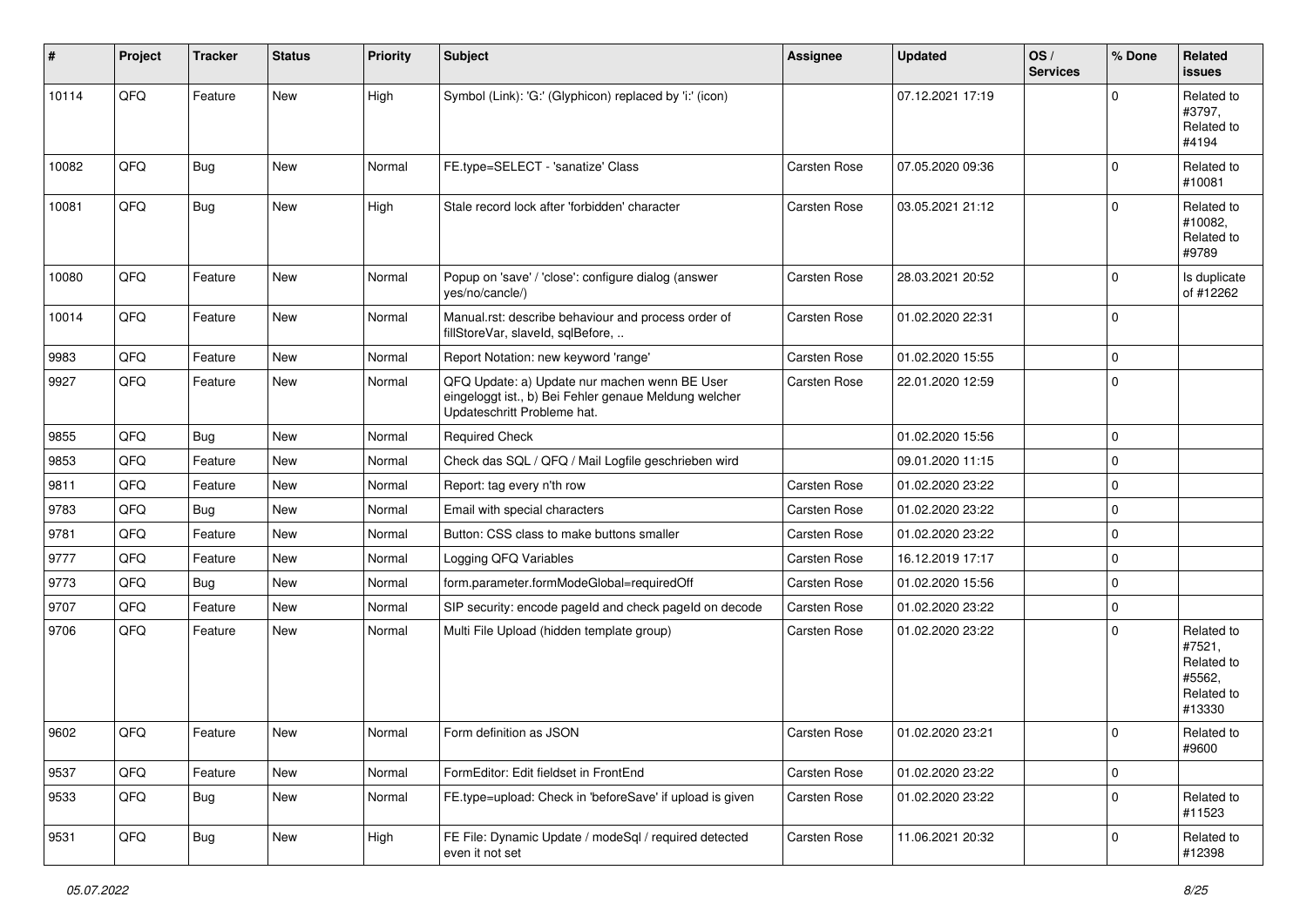| #     | Project | <b>Tracker</b> | <b>Status</b> | Priority | <b>Subject</b>                                                                                                                        | <b>Assignee</b>     | <b>Updated</b>   | OS/<br><b>Services</b> | % Done      | Related<br><b>issues</b>                                             |
|-------|---------|----------------|---------------|----------|---------------------------------------------------------------------------------------------------------------------------------------|---------------------|------------------|------------------------|-------------|----------------------------------------------------------------------|
| 10114 | QFQ     | Feature        | <b>New</b>    | High     | Symbol (Link): 'G:' (Glyphicon) replaced by 'i:' (icon)                                                                               |                     | 07.12.2021 17:19 |                        | $\Omega$    | Related to<br>#3797,<br>Related to<br>#4194                          |
| 10082 | QFQ     | Bug            | New           | Normal   | FE.type=SELECT - 'sanatize' Class                                                                                                     | Carsten Rose        | 07.05.2020 09:36 |                        | $\Omega$    | Related to<br>#10081                                                 |
| 10081 | QFQ     | Bug            | <b>New</b>    | High     | Stale record lock after 'forbidden' character                                                                                         | Carsten Rose        | 03.05.2021 21:12 |                        | $\Omega$    | Related to<br>#10082.<br>Related to<br>#9789                         |
| 10080 | QFQ     | Feature        | <b>New</b>    | Normal   | Popup on 'save' / 'close': configure dialog (answer<br>yes/no/cancle/)                                                                | Carsten Rose        | 28.03.2021 20:52 |                        | $\mathbf 0$ | Is duplicate<br>of #12262                                            |
| 10014 | QFQ     | Feature        | <b>New</b>    | Normal   | Manual.rst: describe behaviour and process order of<br>fillStoreVar, slaveId, sqlBefore,                                              | Carsten Rose        | 01.02.2020 22:31 |                        | $\mathbf 0$ |                                                                      |
| 9983  | QFQ     | Feature        | <b>New</b>    | Normal   | Report Notation: new keyword 'range'                                                                                                  | Carsten Rose        | 01.02.2020 15:55 |                        | $\mathbf 0$ |                                                                      |
| 9927  | QFQ     | Feature        | <b>New</b>    | Normal   | QFQ Update: a) Update nur machen wenn BE User<br>eingeloggt ist., b) Bei Fehler genaue Meldung welcher<br>Updateschritt Probleme hat. | Carsten Rose        | 22.01.2020 12:59 |                        | $\Omega$    |                                                                      |
| 9855  | QFQ     | Bug            | New           | Normal   | <b>Required Check</b>                                                                                                                 |                     | 01.02.2020 15:56 |                        | $\mathbf 0$ |                                                                      |
| 9853  | QFQ     | Feature        | New           | Normal   | Check das SQL / QFQ / Mail Logfile geschrieben wird                                                                                   |                     | 09.01.2020 11:15 |                        | $\mathbf 0$ |                                                                      |
| 9811  | QFQ     | Feature        | <b>New</b>    | Normal   | Report: tag every n'th row                                                                                                            | <b>Carsten Rose</b> | 01.02.2020 23:22 |                        | $\mathbf 0$ |                                                                      |
| 9783  | QFQ     | Bug            | <b>New</b>    | Normal   | Email with special characters                                                                                                         | Carsten Rose        | 01.02.2020 23:22 |                        | $\mathbf 0$ |                                                                      |
| 9781  | QFQ     | Feature        | <b>New</b>    | Normal   | Button: CSS class to make buttons smaller                                                                                             | Carsten Rose        | 01.02.2020 23:22 |                        | $\mathbf 0$ |                                                                      |
| 9777  | QFQ     | Feature        | New           | Normal   | Logging QFQ Variables                                                                                                                 | Carsten Rose        | 16.12.2019 17:17 |                        | $\mathbf 0$ |                                                                      |
| 9773  | QFQ     | <b>Bug</b>     | <b>New</b>    | Normal   | form.parameter.formModeGlobal=requiredOff                                                                                             | Carsten Rose        | 01.02.2020 15:56 |                        | 0           |                                                                      |
| 9707  | QFQ     | Feature        | <b>New</b>    | Normal   | SIP security: encode pageld and check pageld on decode                                                                                | Carsten Rose        | 01.02.2020 23:22 |                        | $\mathbf 0$ |                                                                      |
| 9706  | QFQ     | Feature        | New           | Normal   | Multi File Upload (hidden template group)                                                                                             | Carsten Rose        | 01.02.2020 23:22 |                        | $\mathbf 0$ | Related to<br>#7521,<br>Related to<br>#5562,<br>Related to<br>#13330 |
| 9602  | QFQ     | Feature        | New           | Normal   | Form definition as JSON                                                                                                               | <b>Carsten Rose</b> | 01.02.2020 23:21 |                        | $\Omega$    | Related to<br>#9600                                                  |
| 9537  | QFQ     | Feature        | New           | Normal   | FormEditor: Edit fieldset in FrontEnd                                                                                                 | Carsten Rose        | 01.02.2020 23:22 |                        | 0           |                                                                      |
| 9533  | QFQ     | <b>Bug</b>     | New           | Normal   | FE.type=upload: Check in 'beforeSave' if upload is given                                                                              | Carsten Rose        | 01.02.2020 23:22 |                        | 0           | Related to<br>#11523                                                 |
| 9531  | QFQ     | <b>Bug</b>     | New           | High     | FE File: Dynamic Update / modeSql / required detected<br>even it not set                                                              | Carsten Rose        | 11.06.2021 20:32 |                        | 0           | Related to<br>#12398                                                 |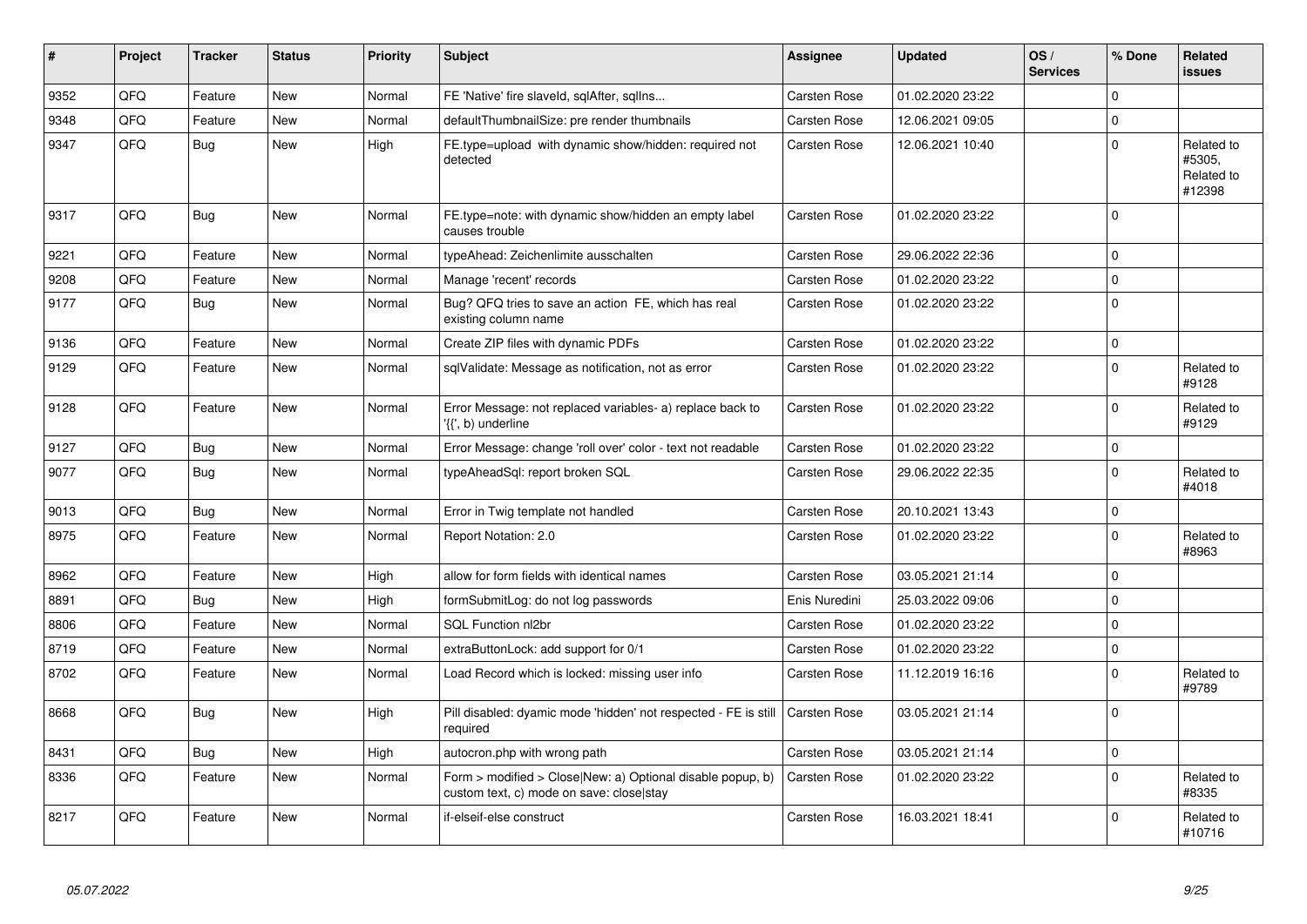| #    | Project | <b>Tracker</b> | <b>Status</b> | <b>Priority</b> | <b>Subject</b>                                                                                         | <b>Assignee</b>     | <b>Updated</b>   | OS/<br><b>Services</b> | % Done      | Related<br><b>issues</b>                     |
|------|---------|----------------|---------------|-----------------|--------------------------------------------------------------------------------------------------------|---------------------|------------------|------------------------|-------------|----------------------------------------------|
| 9352 | QFQ     | Feature        | <b>New</b>    | Normal          | FE 'Native' fire slaveld, sqlAfter, sqllns                                                             | Carsten Rose        | 01.02.2020 23:22 |                        | $\Omega$    |                                              |
| 9348 | QFQ     | Feature        | New           | Normal          | defaultThumbnailSize: pre render thumbnails                                                            | Carsten Rose        | 12.06.2021 09:05 |                        | $\Omega$    |                                              |
| 9347 | QFQ     | <b>Bug</b>     | New           | High            | FE.type=upload with dynamic show/hidden: required not<br>detected                                      | Carsten Rose        | 12.06.2021 10:40 |                        | $\mathbf 0$ | Related to<br>#5305,<br>Related to<br>#12398 |
| 9317 | QFQ     | Bug            | <b>New</b>    | Normal          | FE.type=note: with dynamic show/hidden an empty label<br>causes trouble                                | Carsten Rose        | 01.02.2020 23:22 |                        | $\Omega$    |                                              |
| 9221 | QFQ     | Feature        | <b>New</b>    | Normal          | typeAhead: Zeichenlimite ausschalten                                                                   | Carsten Rose        | 29.06.2022 22:36 |                        | $\Omega$    |                                              |
| 9208 | QFQ     | Feature        | <b>New</b>    | Normal          | Manage 'recent' records                                                                                | Carsten Rose        | 01.02.2020 23:22 |                        | $\Omega$    |                                              |
| 9177 | QFQ     | <b>Bug</b>     | <b>New</b>    | Normal          | Bug? QFQ tries to save an action FE, which has real<br>existing column name                            | Carsten Rose        | 01.02.2020 23:22 |                        | $\Omega$    |                                              |
| 9136 | QFQ     | Feature        | <b>New</b>    | Normal          | Create ZIP files with dynamic PDFs                                                                     | Carsten Rose        | 01.02.2020 23:22 |                        | 0           |                                              |
| 9129 | QFQ     | Feature        | New           | Normal          | sqlValidate: Message as notification, not as error                                                     | Carsten Rose        | 01.02.2020 23:22 |                        | $\Omega$    | Related to<br>#9128                          |
| 9128 | QFQ     | Feature        | New           | Normal          | Error Message: not replaced variables- a) replace back to<br>'{{', b) underline                        | Carsten Rose        | 01.02.2020 23:22 |                        | $\Omega$    | Related to<br>#9129                          |
| 9127 | QFQ     | <b>Bug</b>     | <b>New</b>    | Normal          | Error Message: change 'roll over' color - text not readable                                            | Carsten Rose        | 01.02.2020 23:22 |                        | $\Omega$    |                                              |
| 9077 | QFQ     | Bug            | <b>New</b>    | Normal          | typeAheadSql: report broken SQL                                                                        | Carsten Rose        | 29.06.2022 22:35 |                        | $\Omega$    | Related to<br>#4018                          |
| 9013 | QFQ     | Bug            | <b>New</b>    | Normal          | Error in Twig template not handled                                                                     | Carsten Rose        | 20.10.2021 13:43 |                        | $\Omega$    |                                              |
| 8975 | QFQ     | Feature        | <b>New</b>    | Normal          | Report Notation: 2.0                                                                                   | Carsten Rose        | 01.02.2020 23:22 |                        | $\Omega$    | Related to<br>#8963                          |
| 8962 | QFQ     | Feature        | <b>New</b>    | High            | allow for form fields with identical names                                                             | Carsten Rose        | 03.05.2021 21:14 |                        | $\Omega$    |                                              |
| 8891 | QFQ     | Bug            | <b>New</b>    | High            | formSubmitLog: do not log passwords                                                                    | Enis Nuredini       | 25.03.2022 09:06 |                        | $\mathbf 0$ |                                              |
| 8806 | QFQ     | Feature        | <b>New</b>    | Normal          | <b>SQL Function nl2br</b>                                                                              | Carsten Rose        | 01.02.2020 23:22 |                        | $\Omega$    |                                              |
| 8719 | QFQ     | Feature        | <b>New</b>    | Normal          | extraButtonLock: add support for 0/1                                                                   | Carsten Rose        | 01.02.2020 23:22 |                        | $\mathbf 0$ |                                              |
| 8702 | QFQ     | Feature        | <b>New</b>    | Normal          | Load Record which is locked: missing user info                                                         | <b>Carsten Rose</b> | 11.12.2019 16:16 |                        | $\Omega$    | Related to<br>#9789                          |
| 8668 | QFQ     | Bug            | <b>New</b>    | High            | Pill disabled: dyamic mode 'hidden' not respected - FE is still<br>required                            | Carsten Rose        | 03.05.2021 21:14 |                        | $\Omega$    |                                              |
| 8431 | QFQ     | Bug            | <b>New</b>    | High            | autocron.php with wrong path                                                                           | Carsten Rose        | 03.05.2021 21:14 |                        | $\Omega$    |                                              |
| 8336 | QFQ     | Feature        | <b>New</b>    | Normal          | Form > modified > Close New: a) Optional disable popup, b)<br>custom text, c) mode on save: close stay | Carsten Rose        | 01.02.2020 23:22 |                        | $\Omega$    | Related to<br>#8335                          |
| 8217 | QFQ     | Feature        | <b>New</b>    | Normal          | if-elseif-else construct                                                                               | Carsten Rose        | 16.03.2021 18:41 |                        | $\Omega$    | Related to<br>#10716                         |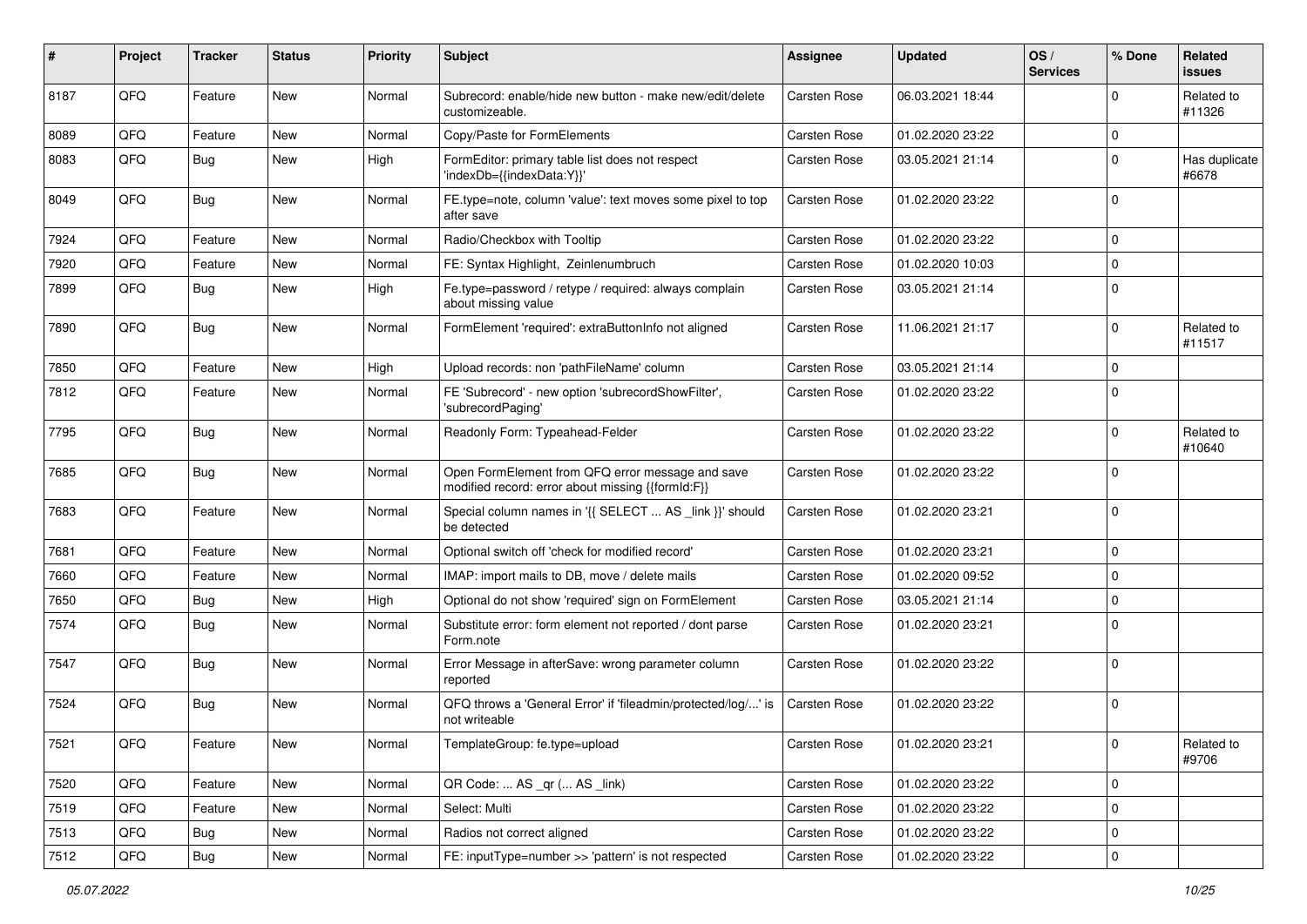| #    | Project | <b>Tracker</b> | <b>Status</b> | <b>Priority</b> | Subject                                                                                               | <b>Assignee</b> | <b>Updated</b>   | OS/<br><b>Services</b> | % Done      | Related<br><b>issues</b> |
|------|---------|----------------|---------------|-----------------|-------------------------------------------------------------------------------------------------------|-----------------|------------------|------------------------|-------------|--------------------------|
| 8187 | QFQ     | Feature        | <b>New</b>    | Normal          | Subrecord: enable/hide new button - make new/edit/delete<br>customizeable.                            | Carsten Rose    | 06.03.2021 18:44 |                        | $\Omega$    | Related to<br>#11326     |
| 8089 | QFQ     | Feature        | New           | Normal          | Copy/Paste for FormElements                                                                           | Carsten Rose    | 01.02.2020 23:22 |                        | $\mathbf 0$ |                          |
| 8083 | QFQ     | <b>Bug</b>     | New           | High            | FormEditor: primary table list does not respect<br>'indexDb={{indexData:Y}}'                          | Carsten Rose    | 03.05.2021 21:14 |                        | $\mathbf 0$ | Has duplicate<br>#6678   |
| 8049 | QFQ     | Bug            | <b>New</b>    | Normal          | FE.type=note, column 'value': text moves some pixel to top<br>after save                              | Carsten Rose    | 01.02.2020 23:22 |                        | $\mathbf 0$ |                          |
| 7924 | QFQ     | Feature        | <b>New</b>    | Normal          | Radio/Checkbox with Tooltip                                                                           | Carsten Rose    | 01.02.2020 23:22 |                        | $\mathbf 0$ |                          |
| 7920 | QFQ     | Feature        | New           | Normal          | FE: Syntax Highlight, Zeinlenumbruch                                                                  | Carsten Rose    | 01.02.2020 10:03 |                        | $\mathbf 0$ |                          |
| 7899 | QFQ     | <b>Bug</b>     | <b>New</b>    | High            | Fe.type=password / retype / required: always complain<br>about missing value                          | Carsten Rose    | 03.05.2021 21:14 |                        | $\mathbf 0$ |                          |
| 7890 | QFQ     | <b>Bug</b>     | <b>New</b>    | Normal          | FormElement 'required': extraButtonInfo not aligned                                                   | Carsten Rose    | 11.06.2021 21:17 |                        | $\mathbf 0$ | Related to<br>#11517     |
| 7850 | QFQ     | Feature        | <b>New</b>    | High            | Upload records: non 'pathFileName' column                                                             | Carsten Rose    | 03.05.2021 21:14 |                        | $\mathbf 0$ |                          |
| 7812 | QFQ     | Feature        | New           | Normal          | FE 'Subrecord' - new option 'subrecordShowFilter',<br>'subrecordPaging'                               | Carsten Rose    | 01.02.2020 23:22 |                        | $\mathbf 0$ |                          |
| 7795 | QFQ     | Bug            | <b>New</b>    | Normal          | Readonly Form: Typeahead-Felder                                                                       | Carsten Rose    | 01.02.2020 23:22 |                        | $\mathbf 0$ | Related to<br>#10640     |
| 7685 | QFQ     | Bug            | <b>New</b>    | Normal          | Open FormElement from QFQ error message and save<br>modified record: error about missing {{formId:F}} | Carsten Rose    | 01.02.2020 23:22 |                        | $\mathbf 0$ |                          |
| 7683 | QFQ     | Feature        | New           | Normal          | Special column names in '{{ SELECT  AS _link }}' should<br>be detected                                | Carsten Rose    | 01.02.2020 23:21 |                        | $\mathbf 0$ |                          |
| 7681 | QFQ     | Feature        | <b>New</b>    | Normal          | Optional switch off 'check for modified record'                                                       | Carsten Rose    | 01.02.2020 23:21 |                        | $\mathbf 0$ |                          |
| 7660 | QFQ     | Feature        | New           | Normal          | IMAP: import mails to DB, move / delete mails                                                         | Carsten Rose    | 01.02.2020 09:52 |                        | $\mathbf 0$ |                          |
| 7650 | QFQ     | <b>Bug</b>     | <b>New</b>    | High            | Optional do not show 'required' sign on FormElement                                                   | Carsten Rose    | 03.05.2021 21:14 |                        | $\mathbf 0$ |                          |
| 7574 | QFQ     | <b>Bug</b>     | New           | Normal          | Substitute error: form element not reported / dont parse<br>Form.note                                 | Carsten Rose    | 01.02.2020 23:21 |                        | $\mathbf 0$ |                          |
| 7547 | QFQ     | <b>Bug</b>     | <b>New</b>    | Normal          | Error Message in afterSave: wrong parameter column<br>reported                                        | Carsten Rose    | 01.02.2020 23:22 |                        | $\mathbf 0$ |                          |
| 7524 | QFQ     | Bug            | <b>New</b>    | Normal          | QFQ throws a 'General Error' if 'fileadmin/protected/log/' is<br>not writeable                        | Carsten Rose    | 01.02.2020 23:22 |                        | $\mathbf 0$ |                          |
| 7521 | QFQ     | Feature        | New           | Normal          | TemplateGroup: fe.type=upload                                                                         | Carsten Rose    | 01.02.2020 23:21 |                        | 0           | Related to<br>#9706      |
| 7520 | QFQ     | Feature        | New           | Normal          | QR Code:  AS _qr ( AS _link)                                                                          | Carsten Rose    | 01.02.2020 23:22 |                        | $\mathbf 0$ |                          |
| 7519 | QFQ     | Feature        | New           | Normal          | Select: Multi                                                                                         | Carsten Rose    | 01.02.2020 23:22 |                        | $\mathbf 0$ |                          |
| 7513 | QFQ     | Bug            | New           | Normal          | Radios not correct aligned                                                                            | Carsten Rose    | 01.02.2020 23:22 |                        | $\mathbf 0$ |                          |
| 7512 | QFQ     | Bug            | New           | Normal          | FE: inputType=number >> 'pattern' is not respected                                                    | Carsten Rose    | 01.02.2020 23:22 |                        | $\pmb{0}$   |                          |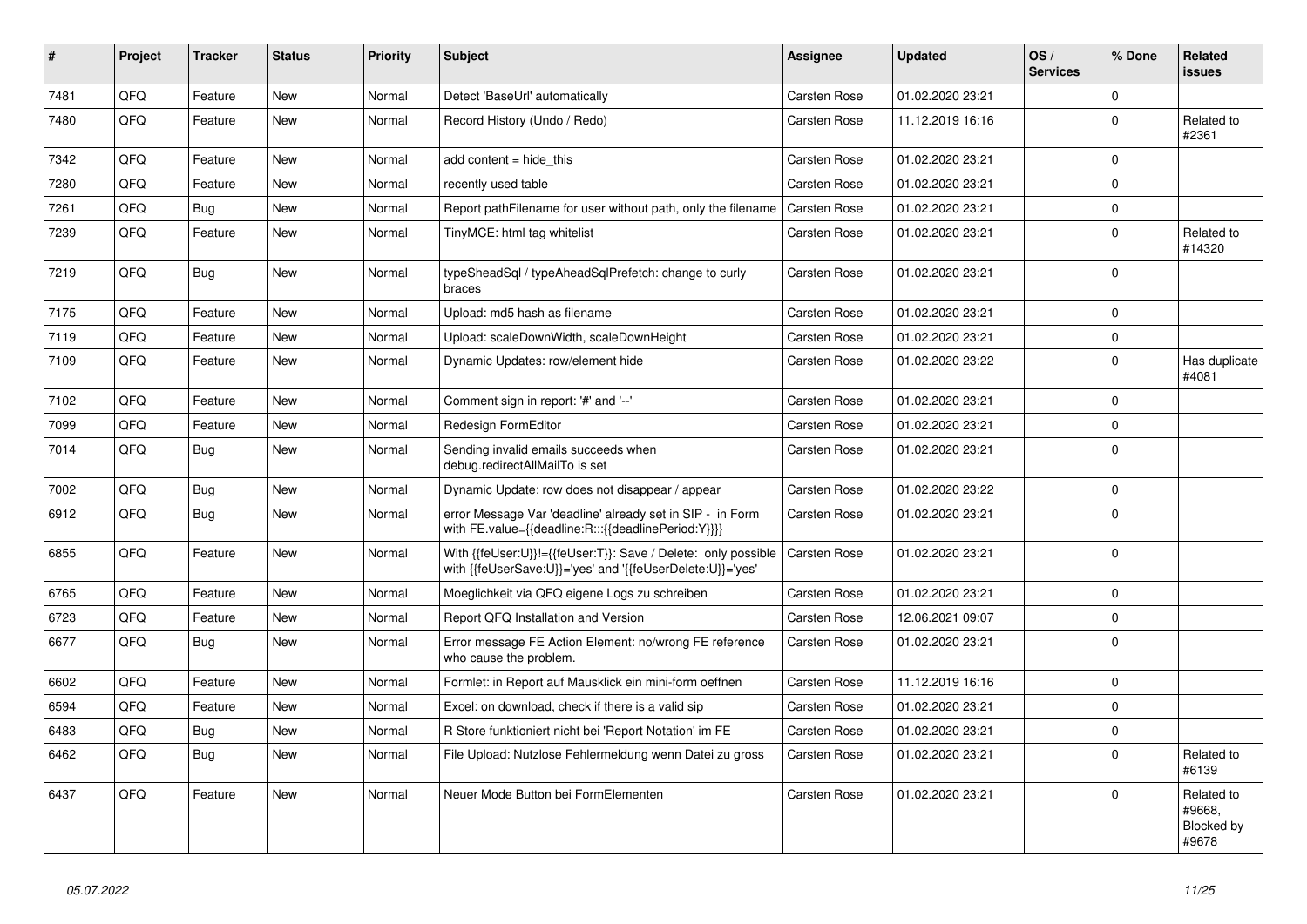| #    | Project | <b>Tracker</b> | <b>Status</b> | <b>Priority</b> | <b>Subject</b>                                                                                                             | Assignee     | <b>Updated</b>   | OS/<br><b>Services</b> | % Done      | Related<br><b>issues</b>                    |
|------|---------|----------------|---------------|-----------------|----------------------------------------------------------------------------------------------------------------------------|--------------|------------------|------------------------|-------------|---------------------------------------------|
| 7481 | QFQ     | Feature        | <b>New</b>    | Normal          | Detect 'BaseUrl' automatically                                                                                             | Carsten Rose | 01.02.2020 23:21 |                        | $\Omega$    |                                             |
| 7480 | QFQ     | Feature        | <b>New</b>    | Normal          | Record History (Undo / Redo)                                                                                               | Carsten Rose | 11.12.2019 16:16 |                        | $\Omega$    | Related to<br>#2361                         |
| 7342 | QFQ     | Feature        | <b>New</b>    | Normal          | add content $=$ hide this                                                                                                  | Carsten Rose | 01.02.2020 23:21 |                        | $\Omega$    |                                             |
| 7280 | QFQ     | Feature        | New           | Normal          | recently used table                                                                                                        | Carsten Rose | 01.02.2020 23:21 |                        | $\mathbf 0$ |                                             |
| 7261 | QFQ     | <b>Bug</b>     | <b>New</b>    | Normal          | Report pathFilename for user without path, only the filename                                                               | Carsten Rose | 01.02.2020 23:21 |                        | $\mathbf 0$ |                                             |
| 7239 | QFQ     | Feature        | <b>New</b>    | Normal          | TinyMCE: html tag whitelist                                                                                                | Carsten Rose | 01.02.2020 23:21 |                        | $\mathbf 0$ | Related to<br>#14320                        |
| 7219 | QFQ     | <b>Bug</b>     | <b>New</b>    | Normal          | typeSheadSql / typeAheadSqlPrefetch: change to curly<br>braces                                                             | Carsten Rose | 01.02.2020 23:21 |                        | $\mathbf 0$ |                                             |
| 7175 | QFQ     | Feature        | New           | Normal          | Upload: md5 hash as filename                                                                                               | Carsten Rose | 01.02.2020 23:21 |                        | $\mathbf 0$ |                                             |
| 7119 | QFQ     | Feature        | <b>New</b>    | Normal          | Upload: scaleDownWidth, scaleDownHeight                                                                                    | Carsten Rose | 01.02.2020 23:21 |                        | $\Omega$    |                                             |
| 7109 | QFQ     | Feature        | New           | Normal          | Dynamic Updates: row/element hide                                                                                          | Carsten Rose | 01.02.2020 23:22 |                        | $\mathbf 0$ | Has duplicate<br>#4081                      |
| 7102 | QFQ     | Feature        | <b>New</b>    | Normal          | Comment sign in report: '#' and '--'                                                                                       | Carsten Rose | 01.02.2020 23:21 |                        | $\mathbf 0$ |                                             |
| 7099 | QFQ     | Feature        | <b>New</b>    | Normal          | Redesign FormEditor                                                                                                        | Carsten Rose | 01.02.2020 23:21 |                        | $\mathbf 0$ |                                             |
| 7014 | QFQ     | <b>Bug</b>     | <b>New</b>    | Normal          | Sending invalid emails succeeds when<br>debug.redirectAllMailTo is set                                                     | Carsten Rose | 01.02.2020 23:21 |                        | $\mathbf 0$ |                                             |
| 7002 | QFQ     | Bug            | <b>New</b>    | Normal          | Dynamic Update: row does not disappear / appear                                                                            | Carsten Rose | 01.02.2020 23:22 |                        | $\mathbf 0$ |                                             |
| 6912 | QFQ     | Bug            | New           | Normal          | error Message Var 'deadline' already set in SIP - in Form<br>with FE.value={{deadline:R:::{{deadlinePeriod:Y}}}}           | Carsten Rose | 01.02.2020 23:21 |                        | $\mathbf 0$ |                                             |
| 6855 | QFQ     | Feature        | <b>New</b>    | Normal          | With {{feUser:U}}!={{feUser:T}}: Save / Delete: only possible<br>with {{feUserSave:U}}='yes' and '{{feUserDelete:U}}='yes' | Carsten Rose | 01.02.2020 23:21 |                        | $\mathbf 0$ |                                             |
| 6765 | QFQ     | Feature        | <b>New</b>    | Normal          | Moeglichkeit via QFQ eigene Logs zu schreiben                                                                              | Carsten Rose | 01.02.2020 23:21 |                        | $\mathbf 0$ |                                             |
| 6723 | QFQ     | Feature        | New           | Normal          | Report QFQ Installation and Version                                                                                        | Carsten Rose | 12.06.2021 09:07 |                        | $\mathbf 0$ |                                             |
| 6677 | QFQ     | Bug            | <b>New</b>    | Normal          | Error message FE Action Element: no/wrong FE reference<br>who cause the problem.                                           | Carsten Rose | 01.02.2020 23:21 |                        | $\mathbf 0$ |                                             |
| 6602 | QFQ     | Feature        | <b>New</b>    | Normal          | Formlet: in Report auf Mausklick ein mini-form oeffnen                                                                     | Carsten Rose | 11.12.2019 16:16 |                        | $\Omega$    |                                             |
| 6594 | QFQ     | Feature        | <b>New</b>    | Normal          | Excel: on download, check if there is a valid sip                                                                          | Carsten Rose | 01.02.2020 23:21 |                        | $\Omega$    |                                             |
| 6483 | QFQ     | <b>Bug</b>     | <b>New</b>    | Normal          | R Store funktioniert nicht bei 'Report Notation' im FE                                                                     | Carsten Rose | 01.02.2020 23:21 |                        | $\mathbf 0$ |                                             |
| 6462 | QFQ     | <b>Bug</b>     | <b>New</b>    | Normal          | File Upload: Nutzlose Fehlermeldung wenn Datei zu gross                                                                    | Carsten Rose | 01.02.2020 23:21 |                        | $\mathbf 0$ | Related to<br>#6139                         |
| 6437 | QFQ     | Feature        | <b>New</b>    | Normal          | Neuer Mode Button bei FormElementen                                                                                        | Carsten Rose | 01.02.2020 23:21 |                        | $\mathbf 0$ | Related to<br>#9668,<br>Blocked by<br>#9678 |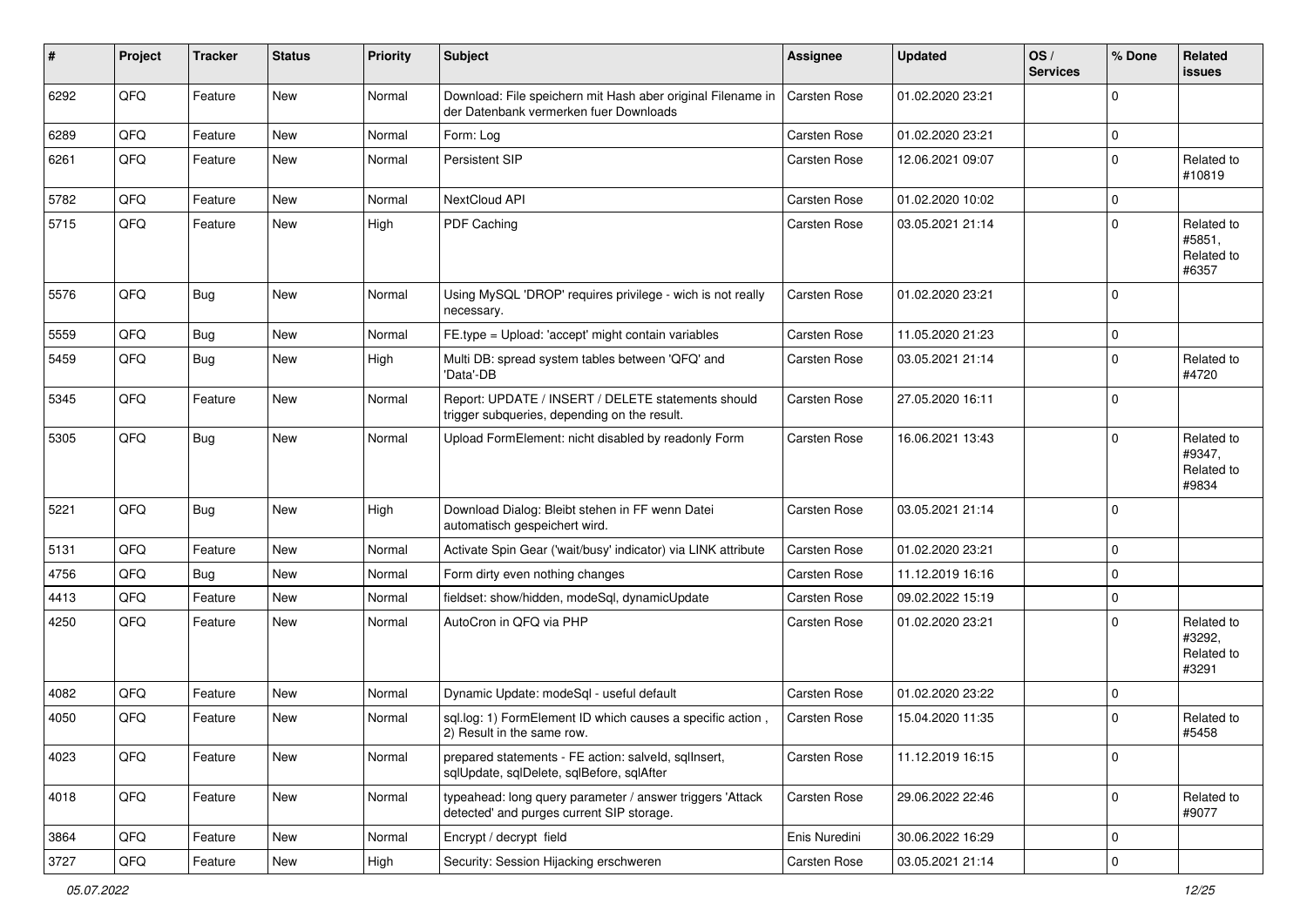| #    | Project | <b>Tracker</b> | <b>Status</b> | <b>Priority</b> | <b>Subject</b>                                                                                         | Assignee      | <b>Updated</b>   | OS/<br><b>Services</b> | % Done      | Related<br><b>issues</b>                    |
|------|---------|----------------|---------------|-----------------|--------------------------------------------------------------------------------------------------------|---------------|------------------|------------------------|-------------|---------------------------------------------|
| 6292 | QFQ     | Feature        | New           | Normal          | Download: File speichern mit Hash aber original Filename in<br>der Datenbank vermerken fuer Downloads  | Carsten Rose  | 01.02.2020 23:21 |                        | $\Omega$    |                                             |
| 6289 | QFQ     | Feature        | New           | Normal          | Form: Log                                                                                              | Carsten Rose  | 01.02.2020 23:21 |                        | $\mathbf 0$ |                                             |
| 6261 | QFQ     | Feature        | New           | Normal          | Persistent SIP                                                                                         | Carsten Rose  | 12.06.2021 09:07 |                        | $\mathbf 0$ | Related to<br>#10819                        |
| 5782 | QFQ     | Feature        | <b>New</b>    | Normal          | NextCloud API                                                                                          | Carsten Rose  | 01.02.2020 10:02 |                        | $\mathbf 0$ |                                             |
| 5715 | QFQ     | Feature        | New           | High            | PDF Caching                                                                                            | Carsten Rose  | 03.05.2021 21:14 |                        | $\mathbf 0$ | Related to<br>#5851,<br>Related to<br>#6357 |
| 5576 | QFQ     | Bug            | <b>New</b>    | Normal          | Using MySQL 'DROP' requires privilege - wich is not really<br>necessary.                               | Carsten Rose  | 01.02.2020 23:21 |                        | $\Omega$    |                                             |
| 5559 | QFQ     | Bug            | <b>New</b>    | Normal          | FE.type = Upload: 'accept' might contain variables                                                     | Carsten Rose  | 11.05.2020 21:23 |                        | $\mathbf 0$ |                                             |
| 5459 | QFQ     | Bug            | New           | High            | Multi DB: spread system tables between 'QFQ' and<br>'Data'-DB                                          | Carsten Rose  | 03.05.2021 21:14 |                        | $\mathbf 0$ | Related to<br>#4720                         |
| 5345 | QFQ     | Feature        | New           | Normal          | Report: UPDATE / INSERT / DELETE statements should<br>trigger subqueries, depending on the result.     | Carsten Rose  | 27.05.2020 16:11 |                        | $\mathbf 0$ |                                             |
| 5305 | QFQ     | Bug            | New           | Normal          | Upload FormElement: nicht disabled by readonly Form                                                    | Carsten Rose  | 16.06.2021 13:43 |                        | $\Omega$    | Related to<br>#9347,<br>Related to<br>#9834 |
| 5221 | QFQ     | Bug            | New           | High            | Download Dialog: Bleibt stehen in FF wenn Datei<br>automatisch gespeichert wird.                       | Carsten Rose  | 03.05.2021 21:14 |                        | $\Omega$    |                                             |
| 5131 | QFQ     | Feature        | New           | Normal          | Activate Spin Gear ('wait/busy' indicator) via LINK attribute                                          | Carsten Rose  | 01.02.2020 23:21 |                        | $\mathbf 0$ |                                             |
| 4756 | QFQ     | Bug            | <b>New</b>    | Normal          | Form dirty even nothing changes                                                                        | Carsten Rose  | 11.12.2019 16:16 |                        | $\mathbf 0$ |                                             |
| 4413 | QFQ     | Feature        | New           | Normal          | fieldset: show/hidden, modeSql, dynamicUpdate                                                          | Carsten Rose  | 09.02.2022 15:19 |                        | $\mathbf 0$ |                                             |
| 4250 | QFQ     | Feature        | New           | Normal          | AutoCron in QFQ via PHP                                                                                | Carsten Rose  | 01.02.2020 23:21 |                        | $\Omega$    | Related to<br>#3292,<br>Related to<br>#3291 |
| 4082 | QFQ     | Feature        | New           | Normal          | Dynamic Update: modeSql - useful default                                                               | Carsten Rose  | 01.02.2020 23:22 |                        | $\mathbf 0$ |                                             |
| 4050 | QFQ     | Feature        | New           | Normal          | sql.log: 1) FormElement ID which causes a specific action,<br>2) Result in the same row.               | Carsten Rose  | 15.04.2020 11:35 |                        | $\mathbf 0$ | Related to<br>#5458                         |
| 4023 | QFQ     | Feature        | New           | Normal          | prepared statements - FE action: salveld, sqlInsert,<br>sqlUpdate, sqlDelete, sqlBefore, sqlAfter      | Carsten Rose  | 11.12.2019 16:15 |                        | $\pmb{0}$   |                                             |
| 4018 | QFQ     | Feature        | New           | Normal          | typeahead: long query parameter / answer triggers 'Attack<br>detected' and purges current SIP storage. | Carsten Rose  | 29.06.2022 22:46 |                        | $\mathbf 0$ | Related to<br>#9077                         |
| 3864 | QFQ     | Feature        | New           | Normal          | Encrypt / decrypt field                                                                                | Enis Nuredini | 30.06.2022 16:29 |                        | 0           |                                             |
| 3727 | QFQ     | Feature        | New           | High            | Security: Session Hijacking erschweren                                                                 | Carsten Rose  | 03.05.2021 21:14 |                        | $\pmb{0}$   |                                             |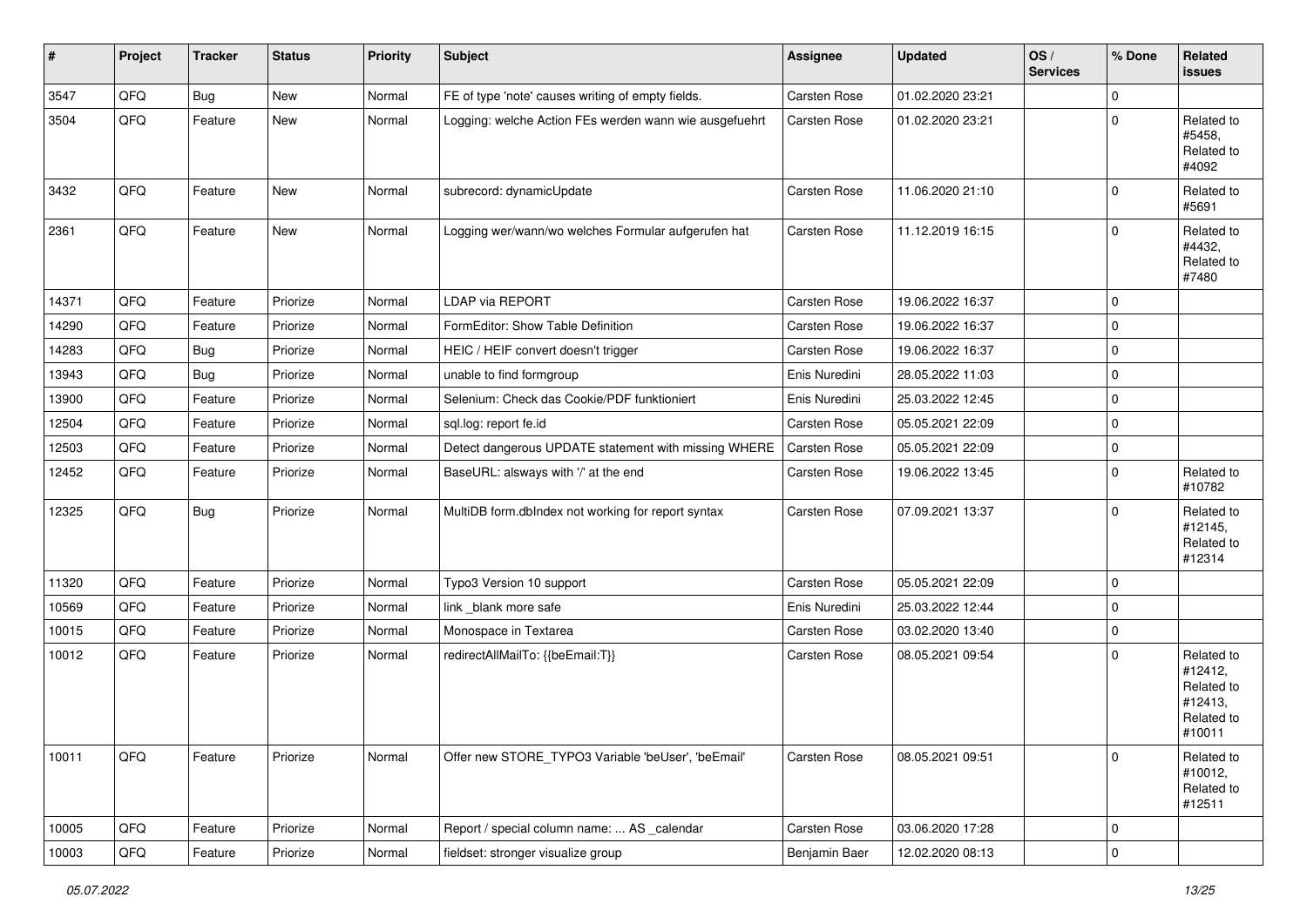| #     | Project | <b>Tracker</b> | <b>Status</b> | <b>Priority</b> | <b>Subject</b>                                         | Assignee      | <b>Updated</b>   | OS/<br><b>Services</b> | % Done      | Related<br>issues                                                      |
|-------|---------|----------------|---------------|-----------------|--------------------------------------------------------|---------------|------------------|------------------------|-------------|------------------------------------------------------------------------|
| 3547  | QFQ     | Bug            | New           | Normal          | FE of type 'note' causes writing of empty fields.      | Carsten Rose  | 01.02.2020 23:21 |                        | $\mathbf 0$ |                                                                        |
| 3504  | QFQ     | Feature        | New           | Normal          | Logging: welche Action FEs werden wann wie ausgefuehrt | Carsten Rose  | 01.02.2020 23:21 |                        | $\Omega$    | Related to<br>#5458,<br>Related to<br>#4092                            |
| 3432  | QFQ     | Feature        | New           | Normal          | subrecord: dynamicUpdate                               | Carsten Rose  | 11.06.2020 21:10 |                        | $\Omega$    | Related to<br>#5691                                                    |
| 2361  | QFQ     | Feature        | New           | Normal          | Logging wer/wann/wo welches Formular aufgerufen hat    | Carsten Rose  | 11.12.2019 16:15 |                        | $\Omega$    | Related to<br>#4432,<br>Related to<br>#7480                            |
| 14371 | QFQ     | Feature        | Priorize      | Normal          | <b>LDAP via REPORT</b>                                 | Carsten Rose  | 19.06.2022 16:37 |                        | $\Omega$    |                                                                        |
| 14290 | QFQ     | Feature        | Priorize      | Normal          | FormEditor: Show Table Definition                      | Carsten Rose  | 19.06.2022 16:37 |                        | 0           |                                                                        |
| 14283 | QFQ     | <b>Bug</b>     | Priorize      | Normal          | HEIC / HEIF convert doesn't trigger                    | Carsten Rose  | 19.06.2022 16:37 |                        | $\Omega$    |                                                                        |
| 13943 | QFQ     | <b>Bug</b>     | Priorize      | Normal          | unable to find formgroup                               | Enis Nuredini | 28.05.2022 11:03 |                        | $\mathbf 0$ |                                                                        |
| 13900 | QFQ     | Feature        | Priorize      | Normal          | Selenium: Check das Cookie/PDF funktioniert            | Enis Nuredini | 25.03.2022 12:45 |                        | $\mathbf 0$ |                                                                        |
| 12504 | QFQ     | Feature        | Priorize      | Normal          | sql.log: report fe.id                                  | Carsten Rose  | 05.05.2021 22:09 |                        | $\Omega$    |                                                                        |
| 12503 | QFQ     | Feature        | Priorize      | Normal          | Detect dangerous UPDATE statement with missing WHERE   | Carsten Rose  | 05.05.2021 22:09 |                        | 0           |                                                                        |
| 12452 | QFQ     | Feature        | Priorize      | Normal          | BaseURL: alsways with '/' at the end                   | Carsten Rose  | 19.06.2022 13:45 |                        | $\Omega$    | Related to<br>#10782                                                   |
| 12325 | QFQ     | <b>Bug</b>     | Priorize      | Normal          | MultiDB form.dblndex not working for report syntax     | Carsten Rose  | 07.09.2021 13:37 |                        | $\Omega$    | Related to<br>#12145,<br>Related to<br>#12314                          |
| 11320 | QFQ     | Feature        | Priorize      | Normal          | Typo3 Version 10 support                               | Carsten Rose  | 05.05.2021 22:09 |                        | $\Omega$    |                                                                        |
| 10569 | QFQ     | Feature        | Priorize      | Normal          | link _blank more safe                                  | Enis Nuredini | 25.03.2022 12:44 |                        | $\Omega$    |                                                                        |
| 10015 | QFQ     | Feature        | Priorize      | Normal          | Monospace in Textarea                                  | Carsten Rose  | 03.02.2020 13:40 |                        | $\mathbf 0$ |                                                                        |
| 10012 | QFQ     | Feature        | Priorize      | Normal          | redirectAllMailTo: {{beEmail:T}}                       | Carsten Rose  | 08.05.2021 09:54 |                        | $\Omega$    | Related to<br>#12412,<br>Related to<br>#12413,<br>Related to<br>#10011 |
| 10011 | QFQ     | Feature        | Priorize      | Normal          | Offer new STORE_TYPO3 Variable 'beUser', 'beEmail'     | Carsten Rose  | 08.05.2021 09:51 |                        | $\Omega$    | Related to<br>#10012,<br>Related to<br>#12511                          |
| 10005 | QFQ     | Feature        | Priorize      | Normal          | Report / special column name:  AS _calendar            | Carsten Rose  | 03.06.2020 17:28 |                        | 0           |                                                                        |
| 10003 | QFQ     | Feature        | Priorize      | Normal          | fieldset: stronger visualize group                     | Benjamin Baer | 12.02.2020 08:13 |                        | $\pmb{0}$   |                                                                        |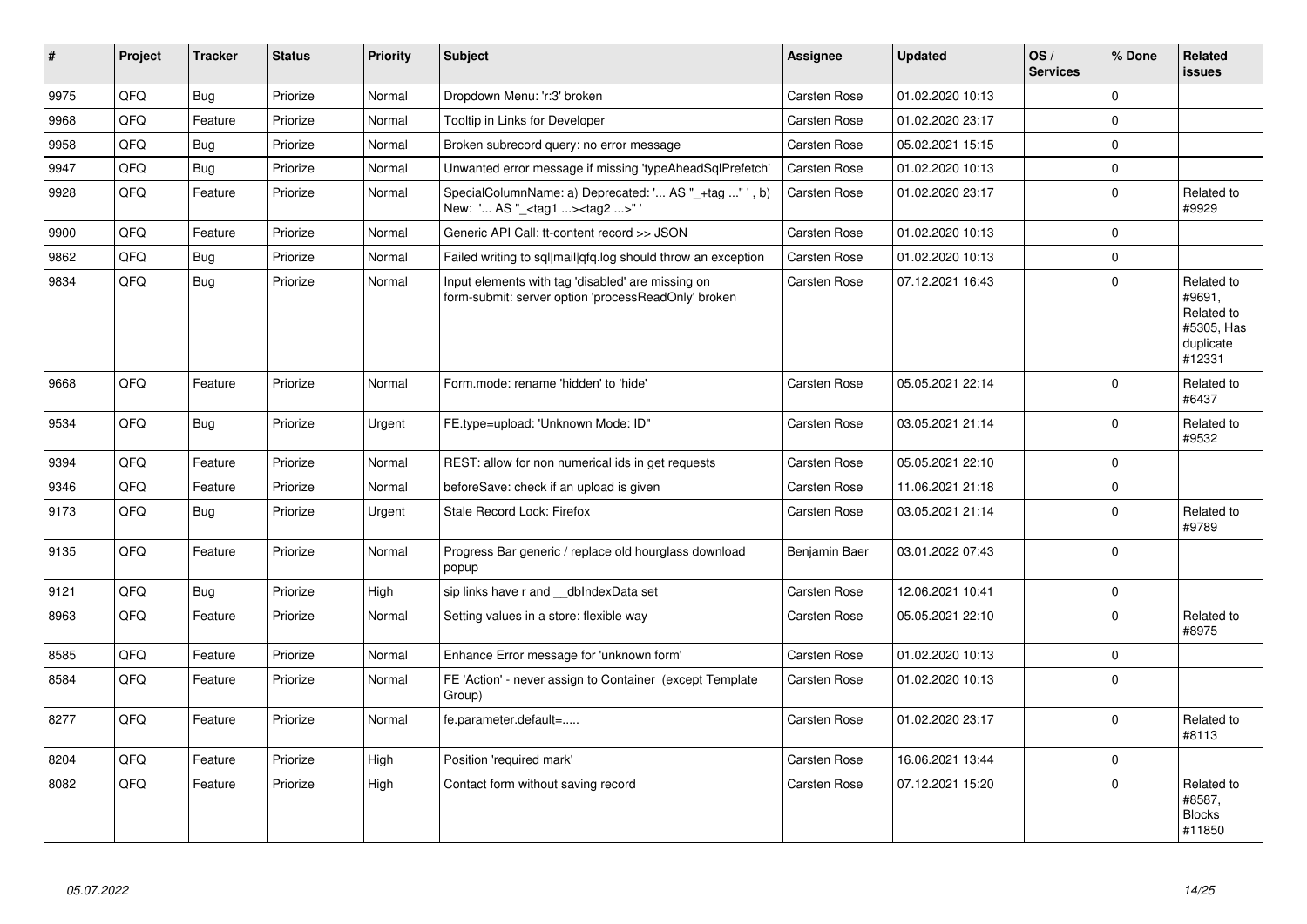| #    | Project | <b>Tracker</b> | <b>Status</b> | <b>Priority</b> | <b>Subject</b>                                                                                           | <b>Assignee</b>     | <b>Updated</b>   | OS/<br><b>Services</b> | % Done      | Related<br><b>issues</b>                                                |
|------|---------|----------------|---------------|-----------------|----------------------------------------------------------------------------------------------------------|---------------------|------------------|------------------------|-------------|-------------------------------------------------------------------------|
| 9975 | QFQ     | <b>Bug</b>     | Priorize      | Normal          | Dropdown Menu: 'r:3' broken                                                                              | Carsten Rose        | 01.02.2020 10:13 |                        | $\Omega$    |                                                                         |
| 9968 | QFQ     | Feature        | Priorize      | Normal          | Tooltip in Links for Developer                                                                           | Carsten Rose        | 01.02.2020 23:17 |                        | $\Omega$    |                                                                         |
| 9958 | QFQ     | <b>Bug</b>     | Priorize      | Normal          | Broken subrecord query: no error message                                                                 | Carsten Rose        | 05.02.2021 15:15 |                        | $\mathbf 0$ |                                                                         |
| 9947 | QFQ     | Bug            | Priorize      | Normal          | Unwanted error message if missing 'typeAheadSqlPrefetch'                                                 | <b>Carsten Rose</b> | 01.02.2020 10:13 |                        | $\mathbf 0$ |                                                                         |
| 9928 | QFQ     | Feature        | Priorize      | Normal          | SpecialColumnName: a) Deprecated: ' AS "_+tag " ', b)<br>New: ' AS " <tag1><tag2>"'</tag2></tag1>        | Carsten Rose        | 01.02.2020 23:17 |                        | $\Omega$    | Related to<br>#9929                                                     |
| 9900 | QFQ     | Feature        | Priorize      | Normal          | Generic API Call: tt-content record >> JSON                                                              | Carsten Rose        | 01.02.2020 10:13 |                        | $\Omega$    |                                                                         |
| 9862 | QFQ     | Bug            | Priorize      | Normal          | Failed writing to sql mail qfq.log should throw an exception                                             | Carsten Rose        | 01.02.2020 10:13 |                        | $\mathbf 0$ |                                                                         |
| 9834 | QFQ     | <b>Bug</b>     | Priorize      | Normal          | Input elements with tag 'disabled' are missing on<br>form-submit: server option 'processReadOnly' broken | Carsten Rose        | 07.12.2021 16:43 |                        | $\Omega$    | Related to<br>#9691,<br>Related to<br>#5305, Has<br>duplicate<br>#12331 |
| 9668 | QFQ     | Feature        | Priorize      | Normal          | Form.mode: rename 'hidden' to 'hide'                                                                     | <b>Carsten Rose</b> | 05.05.2021 22:14 |                        | $\Omega$    | Related to<br>#6437                                                     |
| 9534 | QFQ     | Bug            | Priorize      | Urgent          | FE.type=upload: 'Unknown Mode: ID"                                                                       | Carsten Rose        | 03.05.2021 21:14 |                        | $\mathbf 0$ | Related to<br>#9532                                                     |
| 9394 | QFQ     | Feature        | Priorize      | Normal          | REST: allow for non numerical ids in get requests                                                        | Carsten Rose        | 05.05.2021 22:10 |                        | $\mathbf 0$ |                                                                         |
| 9346 | QFQ     | Feature        | Priorize      | Normal          | beforeSave: check if an upload is given                                                                  | Carsten Rose        | 11.06.2021 21:18 |                        | $\Omega$    |                                                                         |
| 9173 | QFQ     | Bug            | Priorize      | Urgent          | Stale Record Lock: Firefox                                                                               | Carsten Rose        | 03.05.2021 21:14 |                        | $\mathbf 0$ | Related to<br>#9789                                                     |
| 9135 | QFQ     | Feature        | Priorize      | Normal          | Progress Bar generic / replace old hourglass download<br>popup                                           | Benjamin Baer       | 03.01.2022 07:43 |                        | $\mathbf 0$ |                                                                         |
| 9121 | QFQ     | <b>Bug</b>     | Priorize      | High            | sip links have r and dblndexData set                                                                     | Carsten Rose        | 12.06.2021 10:41 |                        | $\mathbf 0$ |                                                                         |
| 8963 | QFQ     | Feature        | Priorize      | Normal          | Setting values in a store: flexible way                                                                  | Carsten Rose        | 05.05.2021 22:10 |                        | $\mathbf 0$ | Related to<br>#8975                                                     |
| 8585 | QFQ     | Feature        | Priorize      | Normal          | Enhance Error message for 'unknown form'                                                                 | Carsten Rose        | 01.02.2020 10:13 |                        | $\mathbf 0$ |                                                                         |
| 8584 | QFQ     | Feature        | Priorize      | Normal          | FE 'Action' - never assign to Container (except Template<br>Group)                                       | Carsten Rose        | 01.02.2020 10:13 |                        | $\mathbf 0$ |                                                                         |
| 8277 | QFQ     | Feature        | Priorize      | Normal          | fe.parameter.default=                                                                                    | Carsten Rose        | 01.02.2020 23:17 |                        | $\Omega$    | Related to<br>#8113                                                     |
| 8204 | QFQ     | Feature        | Priorize      | High            | Position 'required mark'                                                                                 | Carsten Rose        | 16.06.2021 13:44 |                        | $\Omega$    |                                                                         |
| 8082 | QFQ     | Feature        | Priorize      | High            | Contact form without saving record                                                                       | Carsten Rose        | 07.12.2021 15:20 |                        | $\Omega$    | Related to<br>#8587,<br><b>Blocks</b><br>#11850                         |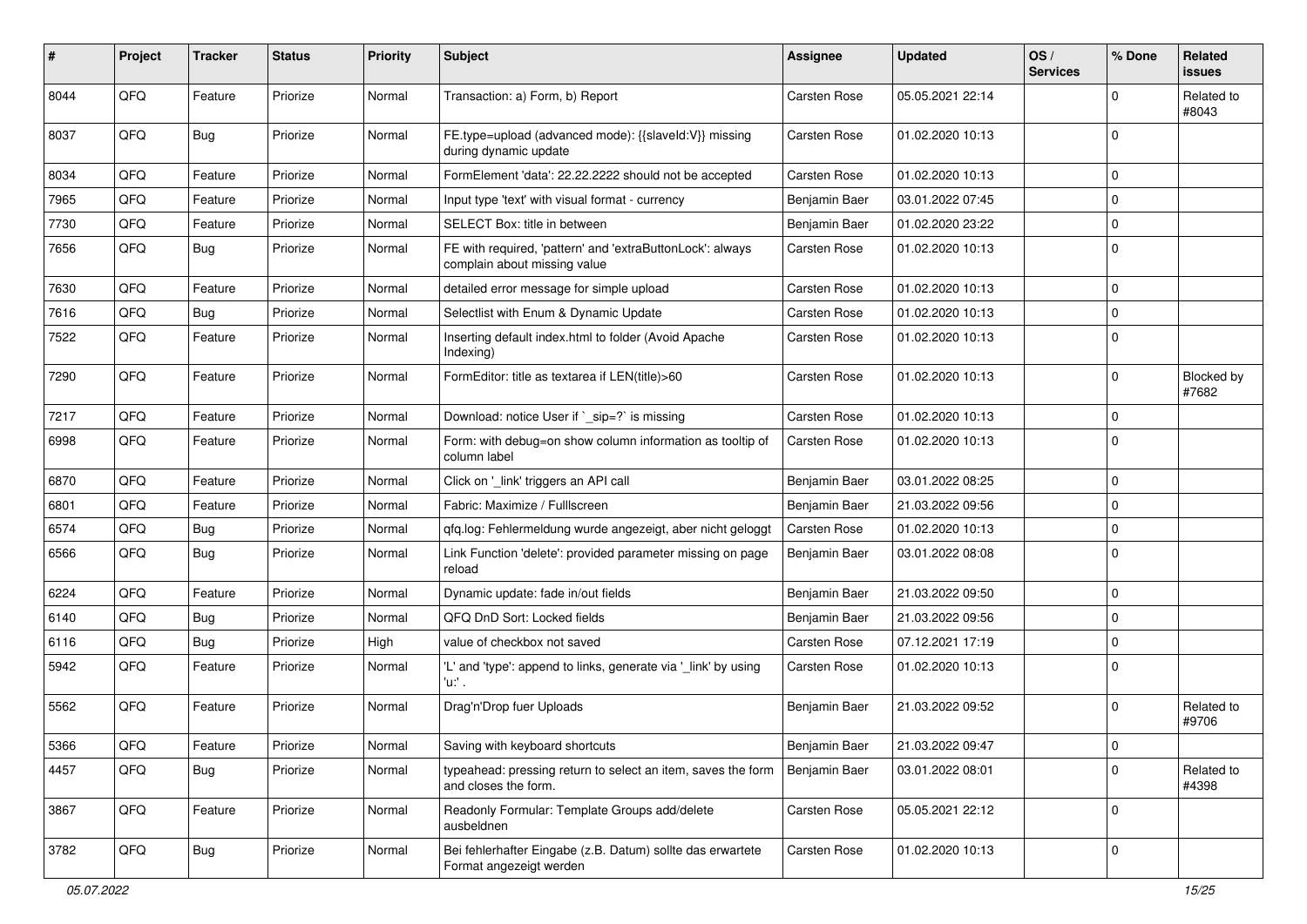| #    | Project | <b>Tracker</b> | <b>Status</b> | <b>Priority</b> | Subject                                                                                   | <b>Assignee</b> | <b>Updated</b>   | OS/<br><b>Services</b> | % Done      | Related<br><b>issues</b> |
|------|---------|----------------|---------------|-----------------|-------------------------------------------------------------------------------------------|-----------------|------------------|------------------------|-------------|--------------------------|
| 8044 | QFQ     | Feature        | Priorize      | Normal          | Transaction: a) Form, b) Report                                                           | Carsten Rose    | 05.05.2021 22:14 |                        | $\mathbf 0$ | Related to<br>#8043      |
| 8037 | QFQ     | Bug            | Priorize      | Normal          | FE.type=upload (advanced mode): {{slaveId:V}} missing<br>during dynamic update            | Carsten Rose    | 01.02.2020 10:13 |                        | $\mathbf 0$ |                          |
| 8034 | QFQ     | Feature        | Priorize      | Normal          | FormElement 'data': 22.22.2222 should not be accepted                                     | Carsten Rose    | 01.02.2020 10:13 |                        | $\mathbf 0$ |                          |
| 7965 | QFQ     | Feature        | Priorize      | Normal          | Input type 'text' with visual format - currency                                           | Benjamin Baer   | 03.01.2022 07:45 |                        | $\Omega$    |                          |
| 7730 | QFQ     | Feature        | Priorize      | Normal          | SELECT Box: title in between                                                              | Benjamin Baer   | 01.02.2020 23:22 |                        | $\mathbf 0$ |                          |
| 7656 | QFQ     | Bug            | Priorize      | Normal          | FE with required, 'pattern' and 'extraButtonLock': always<br>complain about missing value | Carsten Rose    | 01.02.2020 10:13 |                        | $\mathbf 0$ |                          |
| 7630 | QFQ     | Feature        | Priorize      | Normal          | detailed error message for simple upload                                                  | Carsten Rose    | 01.02.2020 10:13 |                        | $\mathbf 0$ |                          |
| 7616 | QFQ     | <b>Bug</b>     | Priorize      | Normal          | Selectlist with Enum & Dynamic Update                                                     | Carsten Rose    | 01.02.2020 10:13 |                        | $\mathbf 0$ |                          |
| 7522 | QFQ     | Feature        | Priorize      | Normal          | Inserting default index.html to folder (Avoid Apache<br>Indexing)                         | Carsten Rose    | 01.02.2020 10:13 |                        | $\mathbf 0$ |                          |
| 7290 | QFQ     | Feature        | Priorize      | Normal          | FormEditor: title as textarea if LEN(title)>60                                            | Carsten Rose    | 01.02.2020 10:13 |                        | $\mathbf 0$ | Blocked by<br>#7682      |
| 7217 | QFQ     | Feature        | Priorize      | Normal          | Download: notice User if `_sip=?` is missing                                              | Carsten Rose    | 01.02.2020 10:13 |                        | $\mathbf 0$ |                          |
| 6998 | QFQ     | Feature        | Priorize      | Normal          | Form: with debug=on show column information as tooltip of<br>column label                 | Carsten Rose    | 01.02.2020 10:13 |                        | $\Omega$    |                          |
| 6870 | QFQ     | Feature        | Priorize      | Normal          | Click on '_link' triggers an API call                                                     | Benjamin Baer   | 03.01.2022 08:25 |                        | $\mathbf 0$ |                          |
| 6801 | QFQ     | Feature        | Priorize      | Normal          | Fabric: Maximize / FullIscreen                                                            | Benjamin Baer   | 21.03.2022 09:56 |                        | 0           |                          |
| 6574 | QFQ     | <b>Bug</b>     | Priorize      | Normal          | gfg.log: Fehlermeldung wurde angezeigt, aber nicht geloggt                                | Carsten Rose    | 01.02.2020 10:13 |                        | $\mathbf 0$ |                          |
| 6566 | QFQ     | Bug            | Priorize      | Normal          | Link Function 'delete': provided parameter missing on page<br>reload                      | Benjamin Baer   | 03.01.2022 08:08 |                        | $\Omega$    |                          |
| 6224 | QFQ     | Feature        | Priorize      | Normal          | Dynamic update: fade in/out fields                                                        | Benjamin Baer   | 21.03.2022 09:50 |                        | $\mathbf 0$ |                          |
| 6140 | QFQ     | Bug            | Priorize      | Normal          | QFQ DnD Sort: Locked fields                                                               | Benjamin Baer   | 21.03.2022 09:56 |                        | $\mathbf 0$ |                          |
| 6116 | QFQ     | Bug            | Priorize      | High            | value of checkbox not saved                                                               | Carsten Rose    | 07.12.2021 17:19 |                        | $\mathbf 0$ |                          |
| 5942 | QFQ     | Feature        | Priorize      | Normal          | 'L' and 'type': append to links, generate via '_link' by using<br>'u:' .                  | Carsten Rose    | 01.02.2020 10:13 |                        | $\mathbf 0$ |                          |
| 5562 | QFQ     | Feature        | Priorize      | Normal          | Drag'n'Drop fuer Uploads                                                                  | Benjamin Baer   | 21.03.2022 09:52 |                        | 0           | Related to<br>#9706      |
| 5366 | QFG     | Feature        | Priorize      | Normal          | Saving with keyboard shortcuts                                                            | Benjamin Baer   | 21.03.2022 09:47 |                        | 0           |                          |
| 4457 | QFQ     | <b>Bug</b>     | Priorize      | Normal          | typeahead: pressing return to select an item, saves the form<br>and closes the form.      | Benjamin Baer   | 03.01.2022 08:01 |                        | $\mathbf 0$ | Related to<br>#4398      |
| 3867 | QFQ     | Feature        | Priorize      | Normal          | Readonly Formular: Template Groups add/delete<br>ausbeldnen                               | Carsten Rose    | 05.05.2021 22:12 |                        | $\mathbf 0$ |                          |
| 3782 | QFG     | <b>Bug</b>     | Priorize      | Normal          | Bei fehlerhafter Eingabe (z.B. Datum) sollte das erwartete<br>Format angezeigt werden     | Carsten Rose    | 01.02.2020 10:13 |                        | $\pmb{0}$   |                          |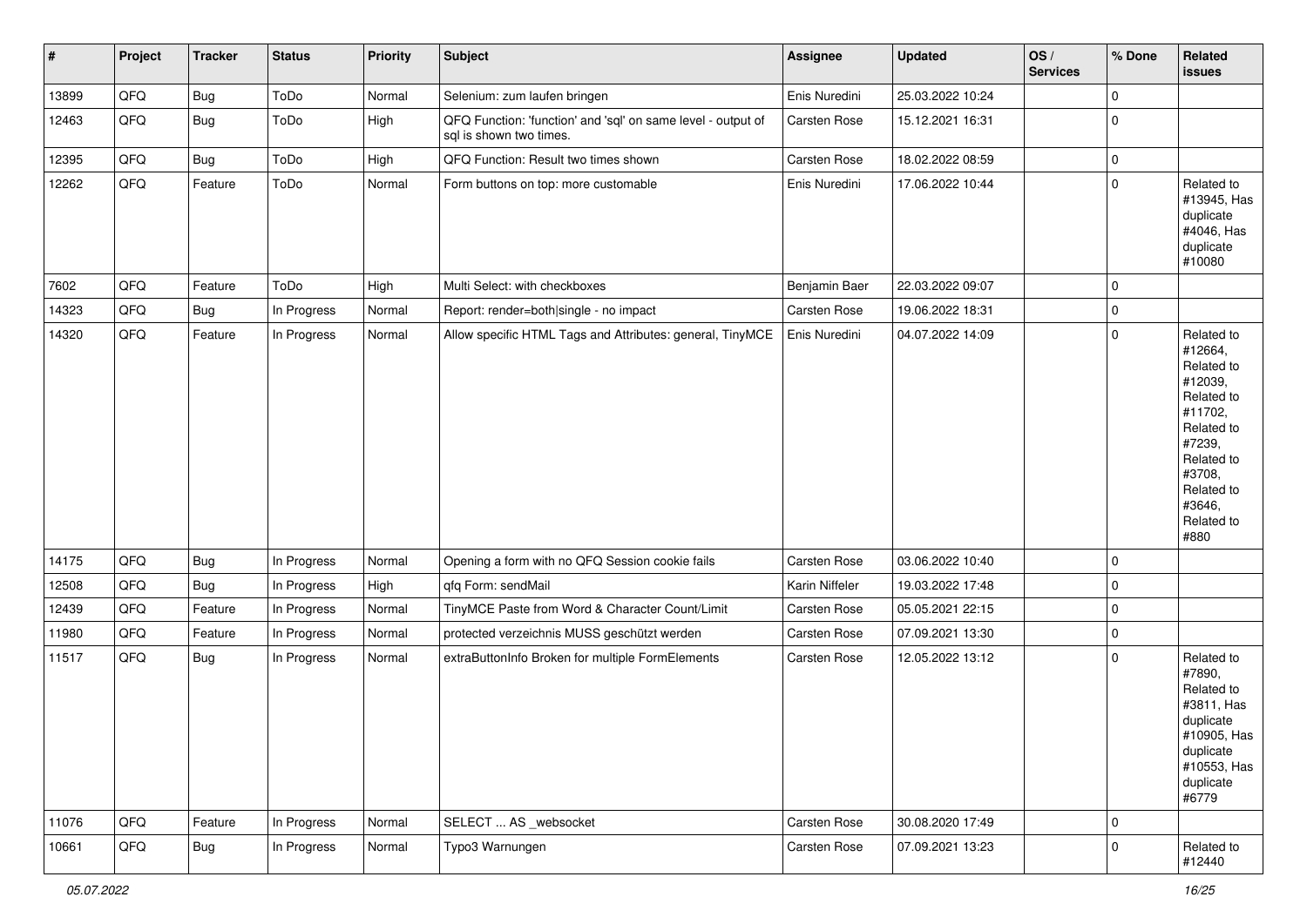| $\vert$ # | Project | <b>Tracker</b> | <b>Status</b> | <b>Priority</b> | <b>Subject</b>                                                                          | <b>Assignee</b> | <b>Updated</b>   | OS/<br><b>Services</b> | % Done      | Related<br><b>issues</b>                                                                                                                                              |
|-----------|---------|----------------|---------------|-----------------|-----------------------------------------------------------------------------------------|-----------------|------------------|------------------------|-------------|-----------------------------------------------------------------------------------------------------------------------------------------------------------------------|
| 13899     | QFQ     | Bug            | ToDo          | Normal          | Selenium: zum laufen bringen                                                            | Enis Nuredini   | 25.03.2022 10:24 |                        | 0           |                                                                                                                                                                       |
| 12463     | QFG     | <b>Bug</b>     | ToDo          | High            | QFQ Function: 'function' and 'sql' on same level - output of<br>sql is shown two times. | Carsten Rose    | 15.12.2021 16:31 |                        | $\mathbf 0$ |                                                                                                                                                                       |
| 12395     | QFQ     | Bug            | ToDo          | High            | QFQ Function: Result two times shown                                                    | Carsten Rose    | 18.02.2022 08:59 |                        | 0           |                                                                                                                                                                       |
| 12262     | QFQ     | Feature        | ToDo          | Normal          | Form buttons on top: more customable                                                    | Enis Nuredini   | 17.06.2022 10:44 |                        | $\mathbf 0$ | Related to<br>#13945, Has<br>duplicate<br>#4046, Has<br>duplicate<br>#10080                                                                                           |
| 7602      | QFQ     | Feature        | ToDo          | High            | Multi Select: with checkboxes                                                           | Benjamin Baer   | 22.03.2022 09:07 |                        | $\Omega$    |                                                                                                                                                                       |
| 14323     | QFQ     | <b>Bug</b>     | In Progress   | Normal          | Report: render=both single - no impact                                                  | Carsten Rose    | 19.06.2022 18:31 |                        | $\mathbf 0$ |                                                                                                                                                                       |
| 14320     | QFQ     | Feature        | In Progress   | Normal          | Allow specific HTML Tags and Attributes: general, TinyMCE                               | Enis Nuredini   | 04.07.2022 14:09 |                        | $\mathbf 0$ | Related to<br>#12664,<br>Related to<br>#12039,<br>Related to<br>#11702,<br>Related to<br>#7239,<br>Related to<br>#3708,<br>Related to<br>#3646,<br>Related to<br>#880 |
| 14175     | QFQ     | Bug            | In Progress   | Normal          | Opening a form with no QFQ Session cookie fails                                         | Carsten Rose    | 03.06.2022 10:40 |                        | $\mathbf 0$ |                                                                                                                                                                       |
| 12508     | QFQ     | <b>Bug</b>     | In Progress   | High            | qfq Form: sendMail                                                                      | Karin Niffeler  | 19.03.2022 17:48 |                        | $\mathbf 0$ |                                                                                                                                                                       |
| 12439     | QFQ     | Feature        | In Progress   | Normal          | TinyMCE Paste from Word & Character Count/Limit                                         | Carsten Rose    | 05.05.2021 22:15 |                        | $\mathbf 0$ |                                                                                                                                                                       |
| 11980     | QFQ     | Feature        | In Progress   | Normal          | protected verzeichnis MUSS geschützt werden                                             | Carsten Rose    | 07.09.2021 13:30 |                        | 0           |                                                                                                                                                                       |
| 11517     | QFQ     | <b>Bug</b>     | In Progress   | Normal          | extraButtonInfo Broken for multiple FormElements                                        | Carsten Rose    | 12.05.2022 13:12 |                        | $\Omega$    | Related to<br>#7890,<br>Related to<br>#3811, Has<br>duplicate<br>#10905, Has<br>duplicate<br>#10553, Has<br>duplicate<br>#6779                                        |
| 11076     | QFQ     | Feature        | In Progress   | Normal          | SELECT  AS _websocket                                                                   | Carsten Rose    | 30.08.2020 17:49 |                        | $\mathbf 0$ |                                                                                                                                                                       |
| 10661     | QFQ     | <b>Bug</b>     | In Progress   | Normal          | Typo3 Warnungen                                                                         | Carsten Rose    | 07.09.2021 13:23 |                        | 0           | Related to<br>#12440                                                                                                                                                  |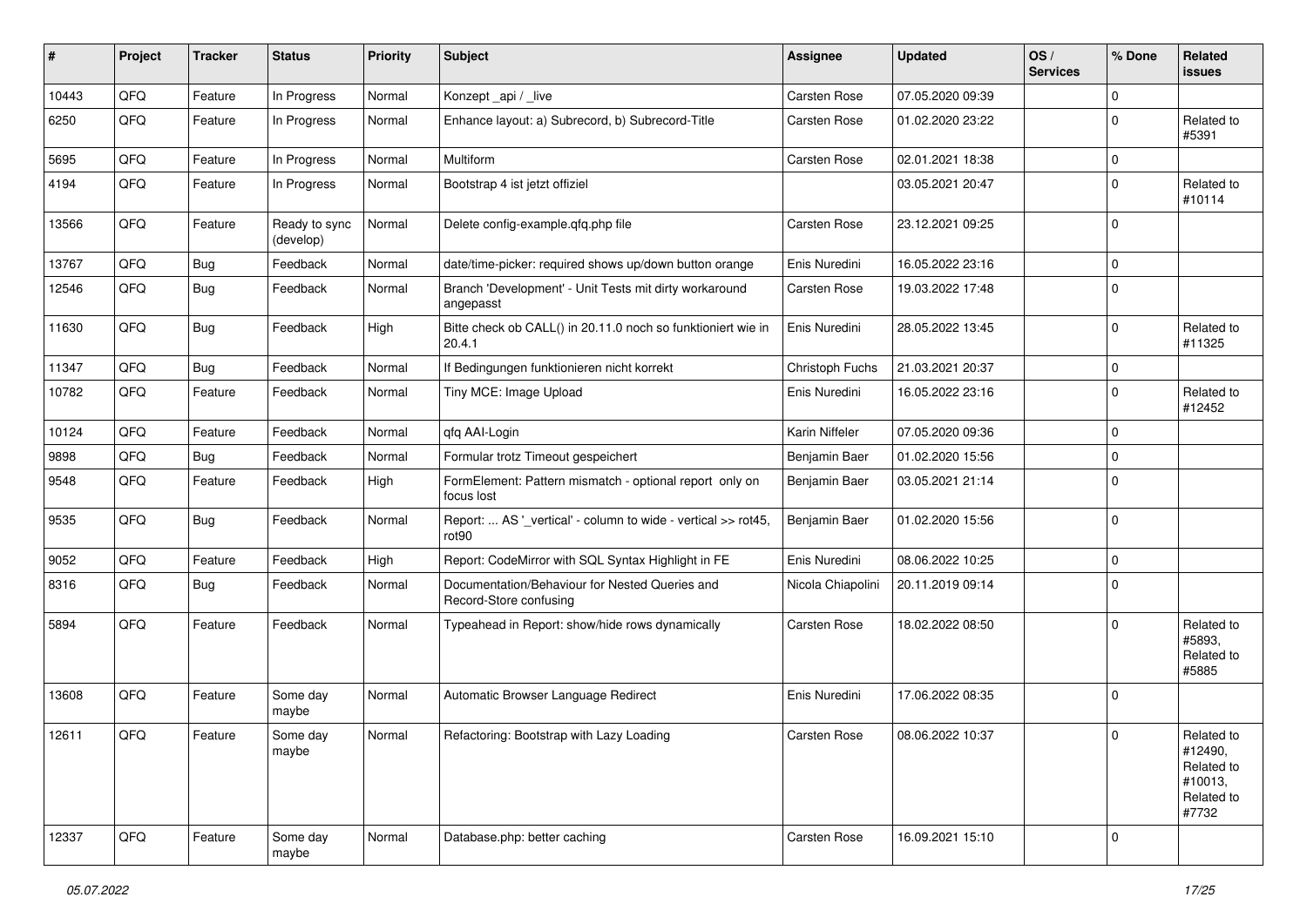| ∦     | Project | <b>Tracker</b> | <b>Status</b>              | <b>Priority</b> | <b>Subject</b>                                                           | <b>Assignee</b>   | <b>Updated</b>   | OS/<br><b>Services</b> | % Done      | Related<br>issues                                                     |
|-------|---------|----------------|----------------------------|-----------------|--------------------------------------------------------------------------|-------------------|------------------|------------------------|-------------|-----------------------------------------------------------------------|
| 10443 | QFQ     | Feature        | In Progress                | Normal          | Konzept_api / _live                                                      | Carsten Rose      | 07.05.2020 09:39 |                        | $\mathbf 0$ |                                                                       |
| 6250  | QFQ     | Feature        | In Progress                | Normal          | Enhance layout: a) Subrecord, b) Subrecord-Title                         | Carsten Rose      | 01.02.2020 23:22 |                        | $\mathbf 0$ | Related to<br>#5391                                                   |
| 5695  | QFQ     | Feature        | In Progress                | Normal          | Multiform                                                                | Carsten Rose      | 02.01.2021 18:38 |                        | 0           |                                                                       |
| 4194  | QFQ     | Feature        | In Progress                | Normal          | Bootstrap 4 ist jetzt offiziel                                           |                   | 03.05.2021 20:47 |                        | $\mathbf 0$ | Related to<br>#10114                                                  |
| 13566 | QFQ     | Feature        | Ready to sync<br>(develop) | Normal          | Delete config-example.qfq.php file                                       | Carsten Rose      | 23.12.2021 09:25 |                        | $\Omega$    |                                                                       |
| 13767 | QFQ     | <b>Bug</b>     | Feedback                   | Normal          | date/time-picker: required shows up/down button orange                   | Enis Nuredini     | 16.05.2022 23:16 |                        | $\Omega$    |                                                                       |
| 12546 | QFQ     | <b>Bug</b>     | Feedback                   | Normal          | Branch 'Development' - Unit Tests mit dirty workaround<br>angepasst      | Carsten Rose      | 19.03.2022 17:48 |                        | $\Omega$    |                                                                       |
| 11630 | QFQ     | Bug            | Feedback                   | High            | Bitte check ob CALL() in 20.11.0 noch so funktioniert wie in<br>20.4.1   | Enis Nuredini     | 28.05.2022 13:45 |                        | 0           | Related to<br>#11325                                                  |
| 11347 | QFQ     | <b>Bug</b>     | Feedback                   | Normal          | If Bedingungen funktionieren nicht korrekt                               | Christoph Fuchs   | 21.03.2021 20:37 |                        | $\mathbf 0$ |                                                                       |
| 10782 | QFQ     | Feature        | Feedback                   | Normal          | Tiny MCE: Image Upload                                                   | Enis Nuredini     | 16.05.2022 23:16 |                        | $\Omega$    | Related to<br>#12452                                                  |
| 10124 | QFQ     | Feature        | Feedback                   | Normal          | qfq AAI-Login                                                            | Karin Niffeler    | 07.05.2020 09:36 |                        | $\mathbf 0$ |                                                                       |
| 9898  | QFQ     | <b>Bug</b>     | Feedback                   | Normal          | Formular trotz Timeout gespeichert                                       | Benjamin Baer     | 01.02.2020 15:56 |                        | 0           |                                                                       |
| 9548  | QFQ     | Feature        | Feedback                   | High            | FormElement: Pattern mismatch - optional report only on<br>focus lost    | Benjamin Baer     | 03.05.2021 21:14 |                        | $\Omega$    |                                                                       |
| 9535  | QFQ     | Bug            | Feedback                   | Normal          | Report:  AS '_vertical' - column to wide - vertical >> rot45,<br>rot90   | Benjamin Baer     | 01.02.2020 15:56 |                        | $\Omega$    |                                                                       |
| 9052  | QFQ     | Feature        | Feedback                   | High            | Report: CodeMirror with SQL Syntax Highlight in FE                       | Enis Nuredini     | 08.06.2022 10:25 |                        | 0           |                                                                       |
| 8316  | QFQ     | <b>Bug</b>     | Feedback                   | Normal          | Documentation/Behaviour for Nested Queries and<br>Record-Store confusing | Nicola Chiapolini | 20.11.2019 09:14 |                        | $\mathbf 0$ |                                                                       |
| 5894  | QFQ     | Feature        | Feedback                   | Normal          | Typeahead in Report: show/hide rows dynamically                          | Carsten Rose      | 18.02.2022 08:50 |                        | $\Omega$    | Related to<br>#5893,<br>Related to<br>#5885                           |
| 13608 | QFQ     | Feature        | Some day<br>maybe          | Normal          | Automatic Browser Language Redirect                                      | Enis Nuredini     | 17.06.2022 08:35 |                        | $\Omega$    |                                                                       |
| 12611 | QFQ     | Feature        | Some day<br>maybe          | Normal          | Refactoring: Bootstrap with Lazy Loading                                 | Carsten Rose      | 08.06.2022 10:37 |                        | $\mathbf 0$ | Related to<br>#12490,<br>Related to<br>#10013,<br>Related to<br>#7732 |
| 12337 | QFQ     | Feature        | Some day<br>maybe          | Normal          | Database.php: better caching                                             | Carsten Rose      | 16.09.2021 15:10 |                        | 0           |                                                                       |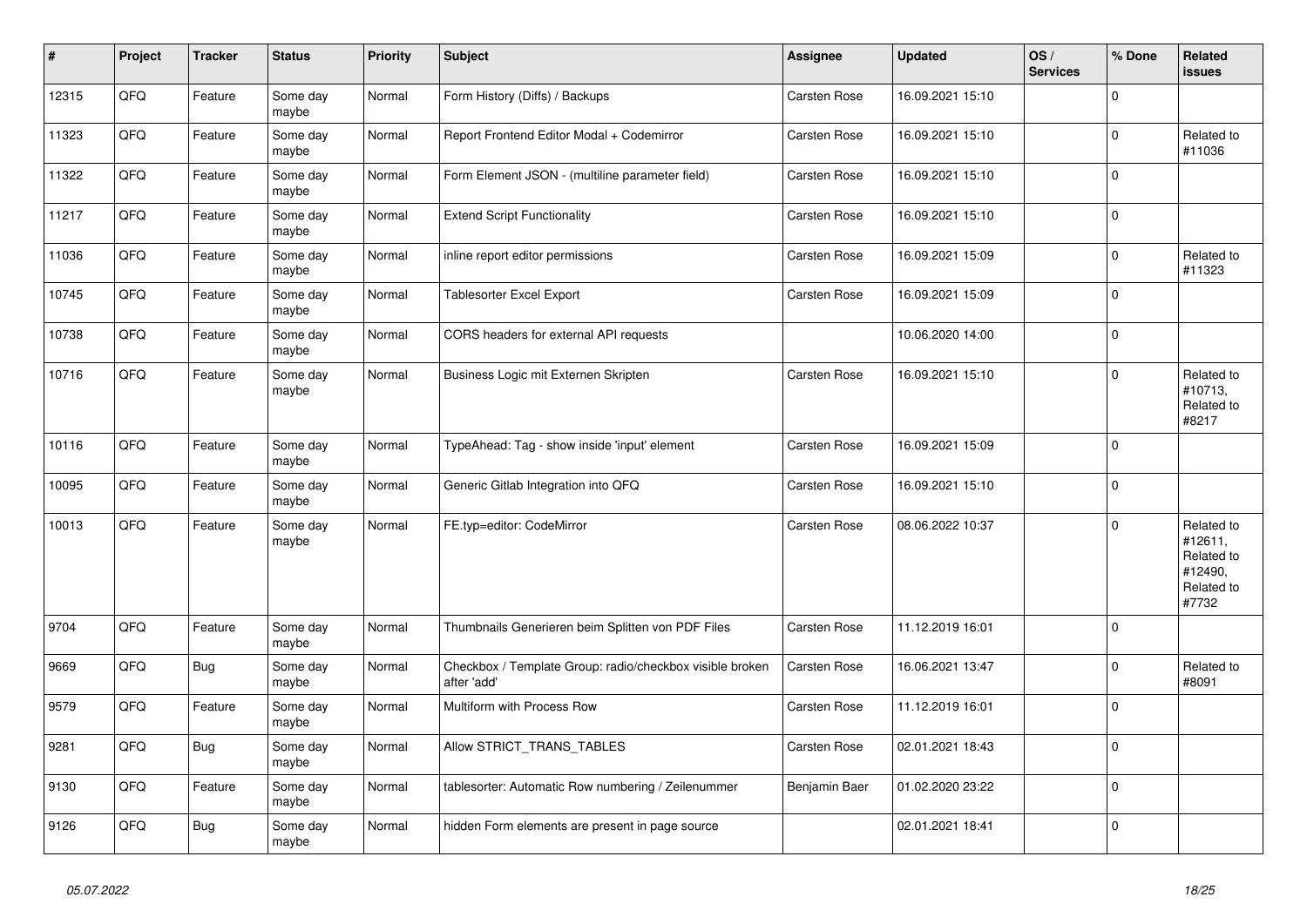| $\vert$ # | Project | <b>Tracker</b> | <b>Status</b>     | <b>Priority</b> | <b>Subject</b>                                                          | <b>Assignee</b> | <b>Updated</b>   | OS/<br><b>Services</b> | % Done      | Related<br><b>issues</b>                                              |
|-----------|---------|----------------|-------------------|-----------------|-------------------------------------------------------------------------|-----------------|------------------|------------------------|-------------|-----------------------------------------------------------------------|
| 12315     | QFQ     | Feature        | Some day<br>maybe | Normal          | Form History (Diffs) / Backups                                          | Carsten Rose    | 16.09.2021 15:10 |                        | $\mathbf 0$ |                                                                       |
| 11323     | QFQ     | Feature        | Some day<br>maybe | Normal          | Report Frontend Editor Modal + Codemirror                               | Carsten Rose    | 16.09.2021 15:10 |                        | $\mathbf 0$ | Related to<br>#11036                                                  |
| 11322     | QFQ     | Feature        | Some day<br>maybe | Normal          | Form Element JSON - (multiline parameter field)                         | Carsten Rose    | 16.09.2021 15:10 |                        | $\mathbf 0$ |                                                                       |
| 11217     | QFQ     | Feature        | Some day<br>maybe | Normal          | <b>Extend Script Functionality</b>                                      | Carsten Rose    | 16.09.2021 15:10 |                        | $\pmb{0}$   |                                                                       |
| 11036     | QFQ     | Feature        | Some day<br>maybe | Normal          | inline report editor permissions                                        | Carsten Rose    | 16.09.2021 15:09 |                        | $\mathbf 0$ | Related to<br>#11323                                                  |
| 10745     | QFQ     | Feature        | Some day<br>maybe | Normal          | Tablesorter Excel Export                                                | Carsten Rose    | 16.09.2021 15:09 |                        | $\pmb{0}$   |                                                                       |
| 10738     | QFQ     | Feature        | Some day<br>maybe | Normal          | CORS headers for external API requests                                  |                 | 10.06.2020 14:00 |                        | $\mathbf 0$ |                                                                       |
| 10716     | QFQ     | Feature        | Some day<br>maybe | Normal          | Business Logic mit Externen Skripten                                    | Carsten Rose    | 16.09.2021 15:10 |                        | $\mathbf 0$ | Related to<br>#10713,<br>Related to<br>#8217                          |
| 10116     | QFQ     | Feature        | Some day<br>maybe | Normal          | TypeAhead: Tag - show inside 'input' element                            | Carsten Rose    | 16.09.2021 15:09 |                        | $\Omega$    |                                                                       |
| 10095     | QFQ     | Feature        | Some day<br>maybe | Normal          | Generic Gitlab Integration into QFQ                                     | Carsten Rose    | 16.09.2021 15:10 |                        | $\mathbf 0$ |                                                                       |
| 10013     | QFQ     | Feature        | Some day<br>maybe | Normal          | FE.typ=editor: CodeMirror                                               | Carsten Rose    | 08.06.2022 10:37 |                        | $\mathbf 0$ | Related to<br>#12611,<br>Related to<br>#12490,<br>Related to<br>#7732 |
| 9704      | QFQ     | Feature        | Some day<br>maybe | Normal          | Thumbnails Generieren beim Splitten von PDF Files                       | Carsten Rose    | 11.12.2019 16:01 |                        | $\mathbf 0$ |                                                                       |
| 9669      | QFQ     | <b>Bug</b>     | Some day<br>maybe | Normal          | Checkbox / Template Group: radio/checkbox visible broken<br>after 'add' | Carsten Rose    | 16.06.2021 13:47 |                        | $\pmb{0}$   | Related to<br>#8091                                                   |
| 9579      | QFQ     | Feature        | Some day<br>maybe | Normal          | Multiform with Process Row                                              | Carsten Rose    | 11.12.2019 16:01 |                        | $\mathbf 0$ |                                                                       |
| 9281      | QFQ     | <b>Bug</b>     | Some day<br>maybe | Normal          | Allow STRICT_TRANS_TABLES                                               | Carsten Rose    | 02.01.2021 18:43 |                        | $\pmb{0}$   |                                                                       |
| 9130      | QFQ     | Feature        | Some day<br>maybe | Normal          | tablesorter: Automatic Row numbering / Zeilenummer                      | Benjamin Baer   | 01.02.2020 23:22 |                        | $\mathbf 0$ |                                                                       |
| 9126      | QFQ     | <b>Bug</b>     | Some day<br>maybe | Normal          | hidden Form elements are present in page source                         |                 | 02.01.2021 18:41 |                        | $\mathbf 0$ |                                                                       |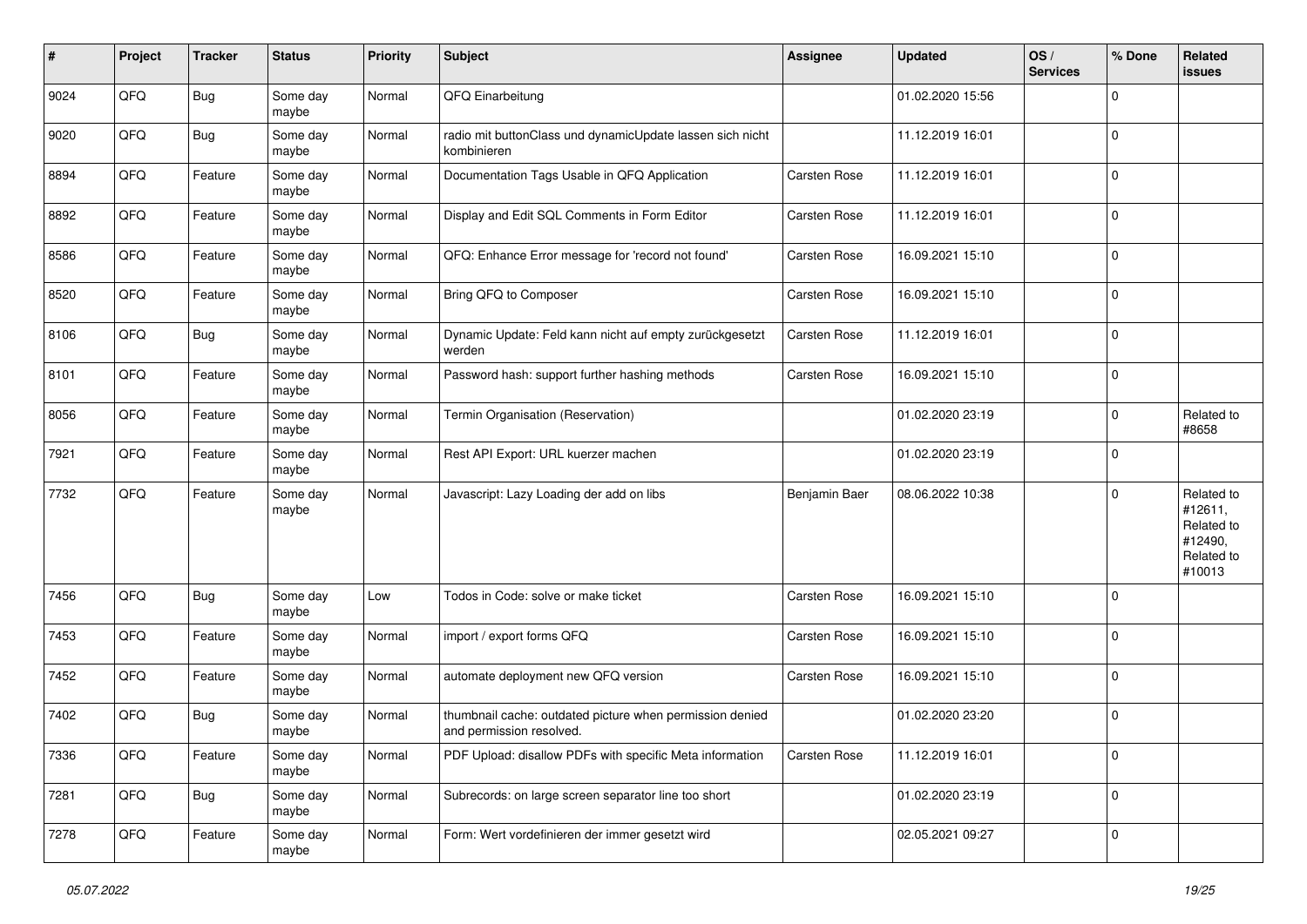| #    | Project | <b>Tracker</b> | <b>Status</b>     | <b>Priority</b> | <b>Subject</b>                                                                       | Assignee      | <b>Updated</b>   | OS/<br><b>Services</b> | % Done      | Related<br>issues                                                      |
|------|---------|----------------|-------------------|-----------------|--------------------------------------------------------------------------------------|---------------|------------------|------------------------|-------------|------------------------------------------------------------------------|
| 9024 | QFQ     | <b>Bug</b>     | Some day<br>maybe | Normal          | QFQ Einarbeitung                                                                     |               | 01.02.2020 15:56 |                        | $\mathbf 0$ |                                                                        |
| 9020 | QFQ     | <b>Bug</b>     | Some day<br>maybe | Normal          | radio mit buttonClass und dynamicUpdate lassen sich nicht<br>kombinieren             |               | 11.12.2019 16:01 |                        | $\mathbf 0$ |                                                                        |
| 8894 | QFQ     | Feature        | Some day<br>maybe | Normal          | Documentation Tags Usable in QFQ Application                                         | Carsten Rose  | 11.12.2019 16:01 |                        | 0           |                                                                        |
| 8892 | QFQ     | Feature        | Some day<br>maybe | Normal          | Display and Edit SQL Comments in Form Editor                                         | Carsten Rose  | 11.12.2019 16:01 |                        | $\mathbf 0$ |                                                                        |
| 8586 | QFQ     | Feature        | Some day<br>maybe | Normal          | QFQ: Enhance Error message for 'record not found'                                    | Carsten Rose  | 16.09.2021 15:10 |                        | $\mathbf 0$ |                                                                        |
| 8520 | QFQ     | Feature        | Some day<br>maybe | Normal          | Bring QFQ to Composer                                                                | Carsten Rose  | 16.09.2021 15:10 |                        | $\mathbf 0$ |                                                                        |
| 8106 | QFQ     | <b>Bug</b>     | Some day<br>maybe | Normal          | Dynamic Update: Feld kann nicht auf empty zurückgesetzt<br>werden                    | Carsten Rose  | 11.12.2019 16:01 |                        | $\mathbf 0$ |                                                                        |
| 8101 | QFQ     | Feature        | Some day<br>maybe | Normal          | Password hash: support further hashing methods                                       | Carsten Rose  | 16.09.2021 15:10 |                        | $\mathbf 0$ |                                                                        |
| 8056 | QFQ     | Feature        | Some day<br>maybe | Normal          | Termin Organisation (Reservation)                                                    |               | 01.02.2020 23:19 |                        | 0           | Related to<br>#8658                                                    |
| 7921 | QFQ     | Feature        | Some day<br>maybe | Normal          | Rest API Export: URL kuerzer machen                                                  |               | 01.02.2020 23:19 |                        | 0           |                                                                        |
| 7732 | QFQ     | Feature        | Some day<br>maybe | Normal          | Javascript: Lazy Loading der add on libs                                             | Benjamin Baer | 08.06.2022 10:38 |                        | $\mathbf 0$ | Related to<br>#12611,<br>Related to<br>#12490,<br>Related to<br>#10013 |
| 7456 | QFQ     | <b>Bug</b>     | Some day<br>maybe | Low             | Todos in Code: solve or make ticket                                                  | Carsten Rose  | 16.09.2021 15:10 |                        | 0           |                                                                        |
| 7453 | QFQ     | Feature        | Some day<br>maybe | Normal          | import / export forms QFQ                                                            | Carsten Rose  | 16.09.2021 15:10 |                        | 0           |                                                                        |
| 7452 | QFQ     | Feature        | Some day<br>maybe | Normal          | automate deployment new QFQ version                                                  | Carsten Rose  | 16.09.2021 15:10 |                        | $\mathbf 0$ |                                                                        |
| 7402 | QFQ     | Bug            | Some day<br>maybe | Normal          | thumbnail cache: outdated picture when permission denied<br>and permission resolved. |               | 01.02.2020 23:20 |                        | $\mathbf 0$ |                                                                        |
| 7336 | QFG     | Feature        | Some day<br>maybe | Normal          | PDF Upload: disallow PDFs with specific Meta information                             | Carsten Rose  | 11.12.2019 16:01 |                        | $\mathbf 0$ |                                                                        |
| 7281 | QFQ     | <b>Bug</b>     | Some day<br>maybe | Normal          | Subrecords: on large screen separator line too short                                 |               | 01.02.2020 23:19 |                        | $\pmb{0}$   |                                                                        |
| 7278 | QFG     | Feature        | Some day<br>maybe | Normal          | Form: Wert vordefinieren der immer gesetzt wird                                      |               | 02.05.2021 09:27 |                        | $\mathbf 0$ |                                                                        |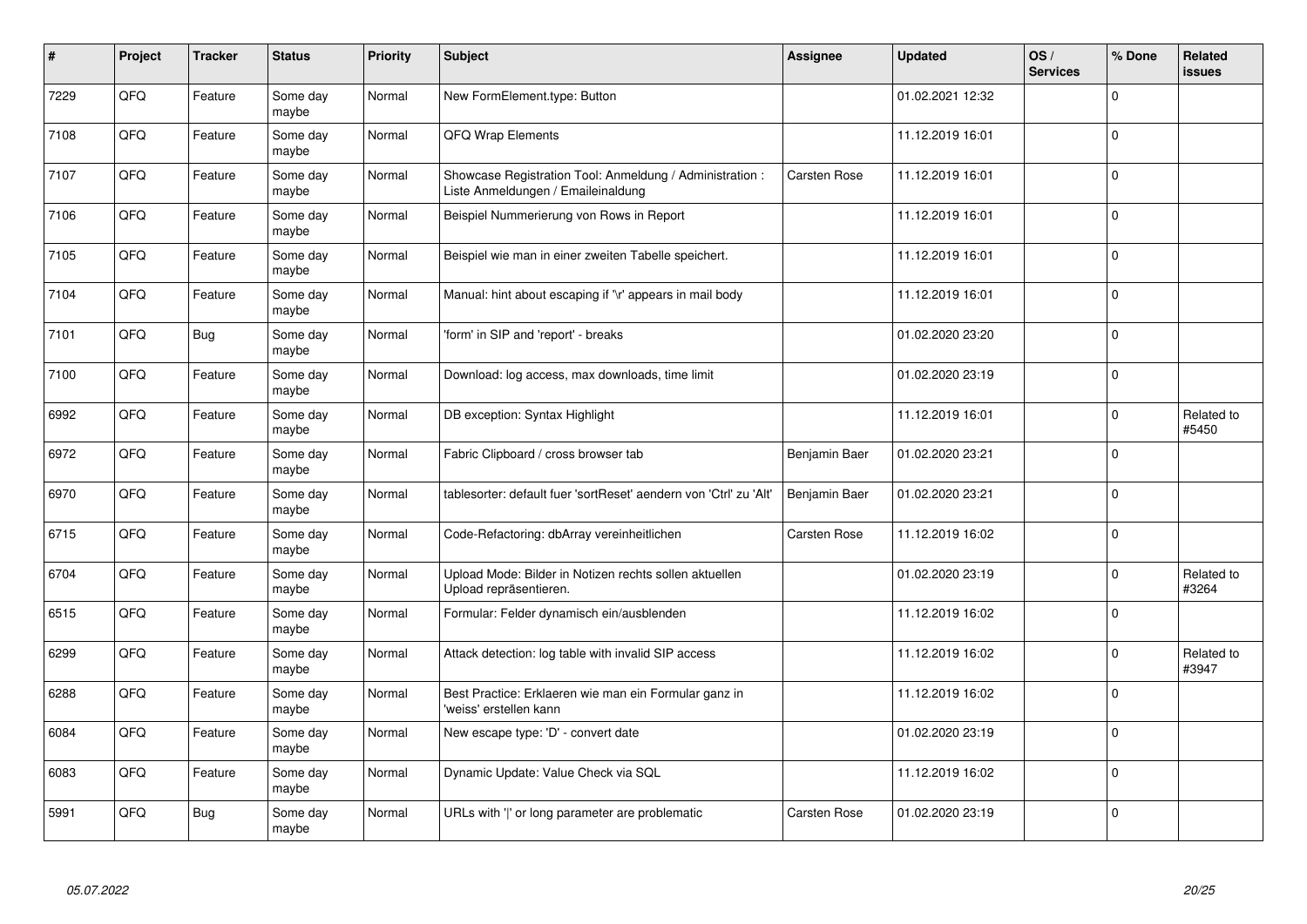| #    | Project | <b>Tracker</b> | <b>Status</b>     | <b>Priority</b> | <b>Subject</b>                                                                                 | <b>Assignee</b> | <b>Updated</b>   | OS/<br><b>Services</b> | % Done      | Related<br><b>issues</b> |
|------|---------|----------------|-------------------|-----------------|------------------------------------------------------------------------------------------------|-----------------|------------------|------------------------|-------------|--------------------------|
| 7229 | QFQ     | Feature        | Some day<br>maybe | Normal          | New FormElement.type: Button                                                                   |                 | 01.02.2021 12:32 |                        | $\Omega$    |                          |
| 7108 | QFQ     | Feature        | Some day<br>maybe | Normal          | QFQ Wrap Elements                                                                              |                 | 11.12.2019 16:01 |                        | $\mathbf 0$ |                          |
| 7107 | QFQ     | Feature        | Some day<br>maybe | Normal          | Showcase Registration Tool: Anmeldung / Administration :<br>Liste Anmeldungen / Emaileinaldung | Carsten Rose    | 11.12.2019 16:01 |                        | $\pmb{0}$   |                          |
| 7106 | QFQ     | Feature        | Some day<br>maybe | Normal          | Beispiel Nummerierung von Rows in Report                                                       |                 | 11.12.2019 16:01 |                        | $\Omega$    |                          |
| 7105 | QFQ     | Feature        | Some day<br>maybe | Normal          | Beispiel wie man in einer zweiten Tabelle speichert.                                           |                 | 11.12.2019 16:01 |                        | $\mathbf 0$ |                          |
| 7104 | QFQ     | Feature        | Some day<br>maybe | Normal          | Manual: hint about escaping if '\r' appears in mail body                                       |                 | 11.12.2019 16:01 |                        | $\pmb{0}$   |                          |
| 7101 | QFQ     | <b>Bug</b>     | Some day<br>maybe | Normal          | form' in SIP and 'report' - breaks                                                             |                 | 01.02.2020 23:20 |                        | $\mathbf 0$ |                          |
| 7100 | QFQ     | Feature        | Some day<br>maybe | Normal          | Download: log access, max downloads, time limit                                                |                 | 01.02.2020 23:19 |                        | $\mathbf 0$ |                          |
| 6992 | QFQ     | Feature        | Some day<br>maybe | Normal          | DB exception: Syntax Highlight                                                                 |                 | 11.12.2019 16:01 |                        | $\pmb{0}$   | Related to<br>#5450      |
| 6972 | QFQ     | Feature        | Some day<br>maybe | Normal          | Fabric Clipboard / cross browser tab                                                           | Benjamin Baer   | 01.02.2020 23:21 |                        | $\mathbf 0$ |                          |
| 6970 | QFQ     | Feature        | Some day<br>maybe | Normal          | tablesorter: default fuer 'sortReset' aendern von 'Ctrl' zu 'Alt'                              | Benjamin Baer   | 01.02.2020 23:21 |                        | $\mathbf 0$ |                          |
| 6715 | QFQ     | Feature        | Some day<br>maybe | Normal          | Code-Refactoring: dbArray vereinheitlichen                                                     | Carsten Rose    | 11.12.2019 16:02 |                        | $\pmb{0}$   |                          |
| 6704 | QFQ     | Feature        | Some day<br>maybe | Normal          | Upload Mode: Bilder in Notizen rechts sollen aktuellen<br>Upload repräsentieren.               |                 | 01.02.2020 23:19 |                        | $\mathbf 0$ | Related to<br>#3264      |
| 6515 | QFQ     | Feature        | Some day<br>maybe | Normal          | Formular: Felder dynamisch ein/ausblenden                                                      |                 | 11.12.2019 16:02 |                        | $\mathbf 0$ |                          |
| 6299 | QFQ     | Feature        | Some day<br>maybe | Normal          | Attack detection: log table with invalid SIP access                                            |                 | 11.12.2019 16:02 |                        | $\Omega$    | Related to<br>#3947      |
| 6288 | QFQ     | Feature        | Some day<br>maybe | Normal          | Best Practice: Erklaeren wie man ein Formular ganz in<br>'weiss' erstellen kann                |                 | 11.12.2019 16:02 |                        | $\mathbf 0$ |                          |
| 6084 | QFQ     | Feature        | Some day<br>maybe | Normal          | New escape type: 'D' - convert date                                                            |                 | 01.02.2020 23:19 |                        | $\mathbf 0$ |                          |
| 6083 | QFG     | Feature        | Some day<br>maybe | Normal          | Dynamic Update: Value Check via SQL                                                            |                 | 11.12.2019 16:02 |                        | $\pmb{0}$   |                          |
| 5991 | QFQ     | <b>Bug</b>     | Some day<br>maybe | Normal          | URLs with ' ' or long parameter are problematic                                                | Carsten Rose    | 01.02.2020 23:19 |                        | $\Omega$    |                          |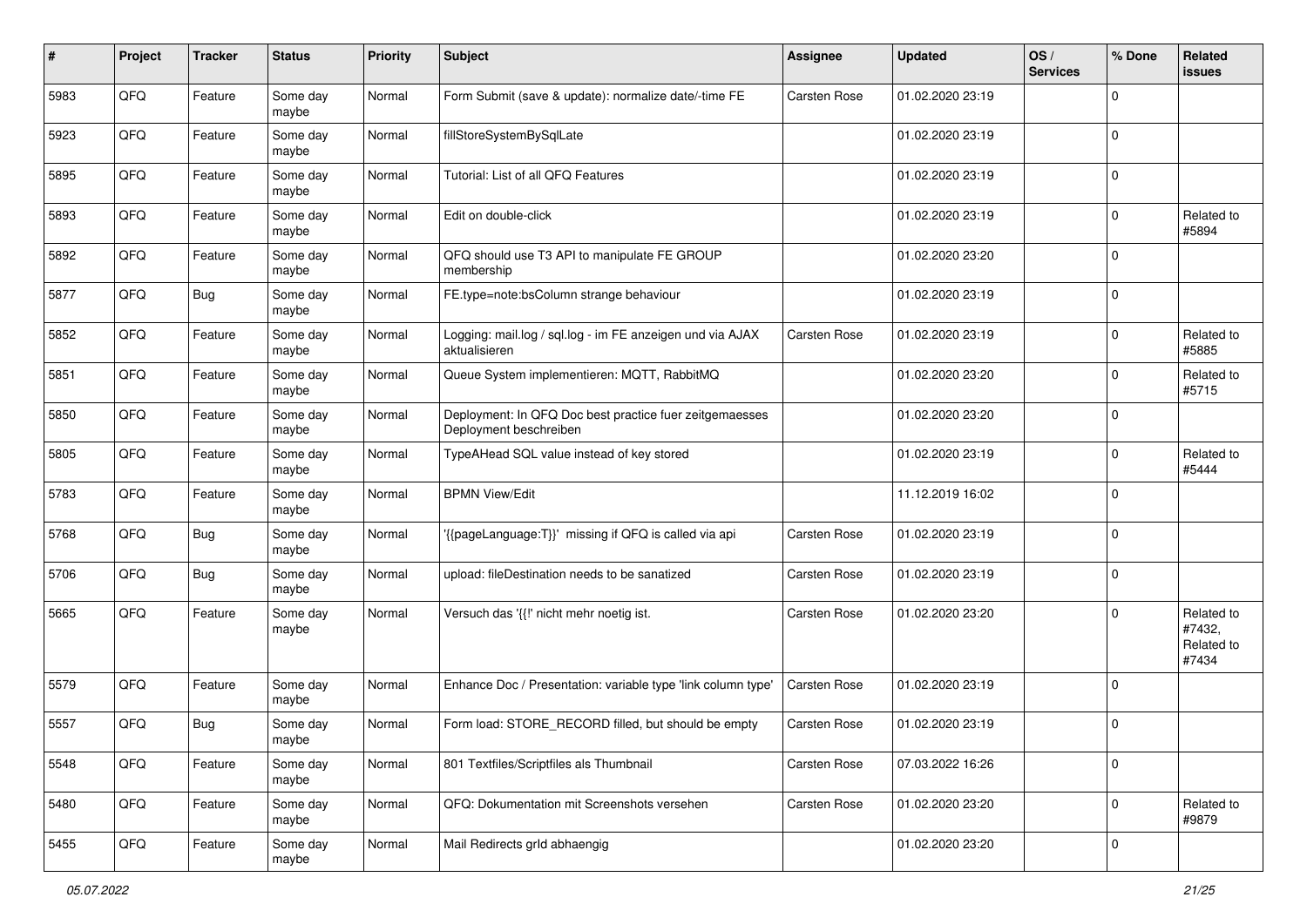| #    | Project | <b>Tracker</b> | <b>Status</b>     | <b>Priority</b> | <b>Subject</b>                                                                    | <b>Assignee</b> | <b>Updated</b>   | OS/<br><b>Services</b> | % Done      | Related<br>issues                           |
|------|---------|----------------|-------------------|-----------------|-----------------------------------------------------------------------------------|-----------------|------------------|------------------------|-------------|---------------------------------------------|
| 5983 | QFQ     | Feature        | Some day<br>maybe | Normal          | Form Submit (save & update): normalize date/-time FE                              | Carsten Rose    | 01.02.2020 23:19 |                        | $\mathbf 0$ |                                             |
| 5923 | QFQ     | Feature        | Some day<br>maybe | Normal          | fillStoreSystemBySqlLate                                                          |                 | 01.02.2020 23:19 |                        | $\Omega$    |                                             |
| 5895 | QFQ     | Feature        | Some day<br>maybe | Normal          | Tutorial: List of all QFQ Features                                                |                 | 01.02.2020 23:19 |                        | $\Omega$    |                                             |
| 5893 | QFQ     | Feature        | Some day<br>maybe | Normal          | Edit on double-click                                                              |                 | 01.02.2020 23:19 |                        | 0           | Related to<br>#5894                         |
| 5892 | QFQ     | Feature        | Some day<br>maybe | Normal          | QFQ should use T3 API to manipulate FE GROUP<br>membership                        |                 | 01.02.2020 23:20 |                        | $\Omega$    |                                             |
| 5877 | QFQ     | Bug            | Some day<br>maybe | Normal          | FE.type=note:bsColumn strange behaviour                                           |                 | 01.02.2020 23:19 |                        | 0           |                                             |
| 5852 | QFQ     | Feature        | Some day<br>maybe | Normal          | Logging: mail.log / sql.log - im FE anzeigen und via AJAX<br>aktualisieren        | Carsten Rose    | 01.02.2020 23:19 |                        | $\Omega$    | Related to<br>#5885                         |
| 5851 | QFQ     | Feature        | Some day<br>maybe | Normal          | Queue System implementieren: MQTT, RabbitMQ                                       |                 | 01.02.2020 23:20 |                        | $\Omega$    | Related to<br>#5715                         |
| 5850 | QFQ     | Feature        | Some day<br>maybe | Normal          | Deployment: In QFQ Doc best practice fuer zeitgemaesses<br>Deployment beschreiben |                 | 01.02.2020 23:20 |                        | $\mathbf 0$ |                                             |
| 5805 | QFQ     | Feature        | Some day<br>maybe | Normal          | TypeAHead SQL value instead of key stored                                         |                 | 01.02.2020 23:19 |                        | $\Omega$    | Related to<br>#5444                         |
| 5783 | QFQ     | Feature        | Some day<br>maybe | Normal          | <b>BPMN View/Edit</b>                                                             |                 | 11.12.2019 16:02 |                        | $\Omega$    |                                             |
| 5768 | QFQ     | <b>Bug</b>     | Some day<br>maybe | Normal          | '{{pageLanguage:T}}' missing if QFQ is called via api                             | Carsten Rose    | 01.02.2020 23:19 |                        | $\Omega$    |                                             |
| 5706 | QFQ     | <b>Bug</b>     | Some day<br>maybe | Normal          | upload: fileDestination needs to be sanatized                                     | Carsten Rose    | 01.02.2020 23:19 |                        | $\mathbf 0$ |                                             |
| 5665 | QFQ     | Feature        | Some day<br>maybe | Normal          | Versuch das '{{!' nicht mehr noetig ist.                                          | Carsten Rose    | 01.02.2020 23:20 |                        | $\Omega$    | Related to<br>#7432,<br>Related to<br>#7434 |
| 5579 | QFQ     | Feature        | Some day<br>maybe | Normal          | Enhance Doc / Presentation: variable type 'link column type'                      | Carsten Rose    | 01.02.2020 23:19 |                        | $\Omega$    |                                             |
| 5557 | QFQ     | <b>Bug</b>     | Some day<br>maybe | Normal          | Form load: STORE_RECORD filled, but should be empty                               | Carsten Rose    | 01.02.2020 23:19 |                        | $\mathbf 0$ |                                             |
| 5548 | QFQ     | Feature        | Some day<br>maybe | Normal          | 801 Textfiles/Scriptfiles als Thumbnail                                           | Carsten Rose    | 07.03.2022 16:26 |                        | $\mathbf 0$ |                                             |
| 5480 | QFQ     | Feature        | Some day<br>maybe | Normal          | QFQ: Dokumentation mit Screenshots versehen                                       | Carsten Rose    | 01.02.2020 23:20 |                        | $\pmb{0}$   | Related to<br>#9879                         |
| 5455 | QFG     | Feature        | Some day<br>maybe | Normal          | Mail Redirects grld abhaengig                                                     |                 | 01.02.2020 23:20 |                        | $\pmb{0}$   |                                             |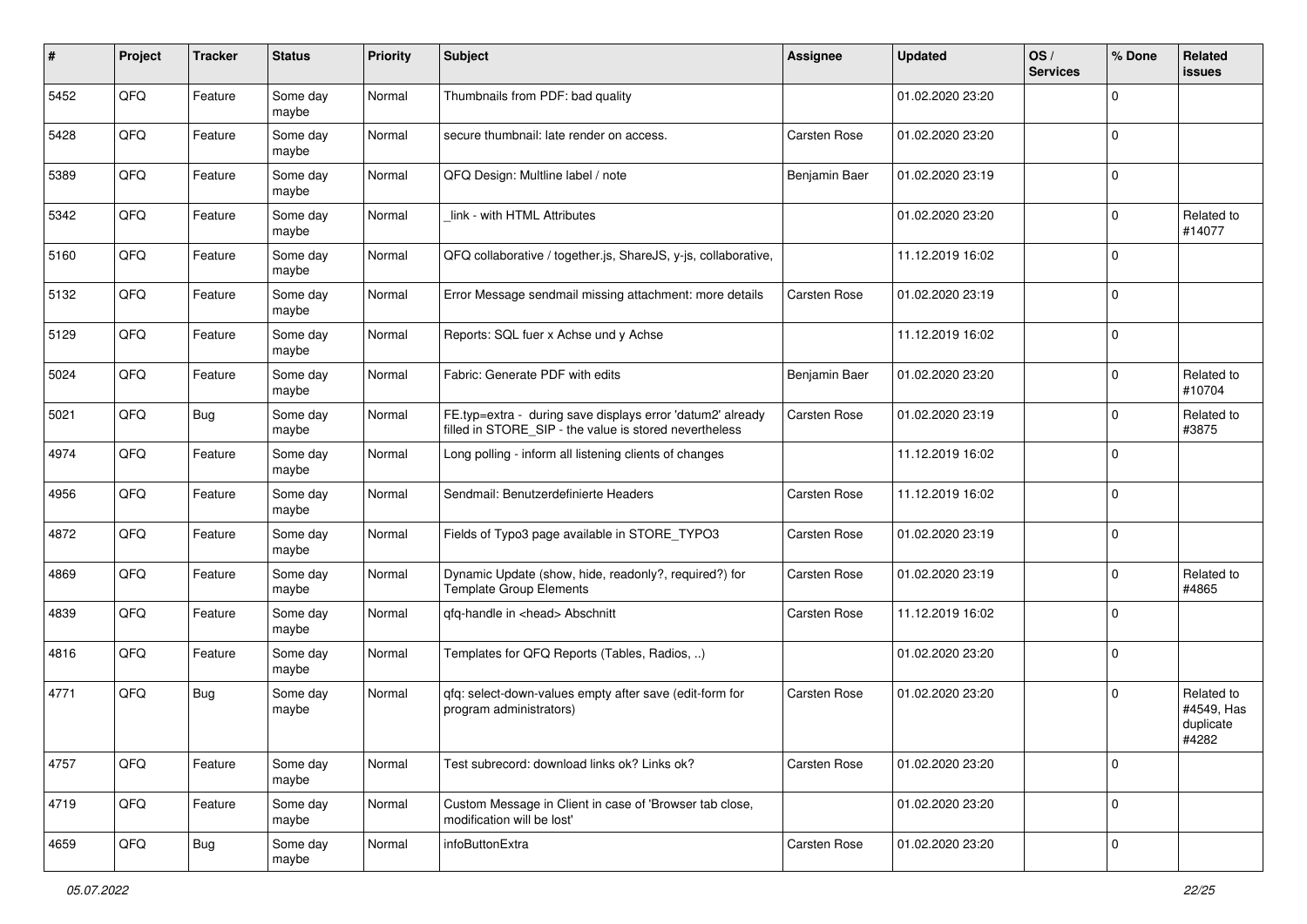| #    | Project | <b>Tracker</b> | <b>Status</b>     | <b>Priority</b> | <b>Subject</b>                                                                                                       | <b>Assignee</b> | <b>Updated</b>   | OS/<br><b>Services</b> | % Done      | Related<br>issues                              |
|------|---------|----------------|-------------------|-----------------|----------------------------------------------------------------------------------------------------------------------|-----------------|------------------|------------------------|-------------|------------------------------------------------|
| 5452 | QFQ     | Feature        | Some day<br>maybe | Normal          | Thumbnails from PDF: bad quality                                                                                     |                 | 01.02.2020 23:20 |                        | $\mathbf 0$ |                                                |
| 5428 | QFQ     | Feature        | Some day<br>maybe | Normal          | secure thumbnail: late render on access.                                                                             | Carsten Rose    | 01.02.2020 23:20 |                        | $\Omega$    |                                                |
| 5389 | QFQ     | Feature        | Some day<br>maybe | Normal          | QFQ Design: Multline label / note                                                                                    | Benjamin Baer   | 01.02.2020 23:19 |                        | $\mathbf 0$ |                                                |
| 5342 | QFQ     | Feature        | Some day<br>maybe | Normal          | link - with HTML Attributes                                                                                          |                 | 01.02.2020 23:20 |                        | 0           | Related to<br>#14077                           |
| 5160 | QFQ     | Feature        | Some day<br>maybe | Normal          | QFQ collaborative / together.js, ShareJS, y-js, collaborative,                                                       |                 | 11.12.2019 16:02 |                        | $\Omega$    |                                                |
| 5132 | QFQ     | Feature        | Some day<br>maybe | Normal          | Error Message sendmail missing attachment: more details                                                              | Carsten Rose    | 01.02.2020 23:19 |                        | 0           |                                                |
| 5129 | QFQ     | Feature        | Some day<br>maybe | Normal          | Reports: SQL fuer x Achse und y Achse                                                                                |                 | 11.12.2019 16:02 |                        | $\Omega$    |                                                |
| 5024 | QFQ     | Feature        | Some day<br>maybe | Normal          | Fabric: Generate PDF with edits                                                                                      | Benjamin Baer   | 01.02.2020 23:20 |                        | 0           | Related to<br>#10704                           |
| 5021 | QFQ     | Bug            | Some day<br>maybe | Normal          | FE.typ=extra - during save displays error 'datum2' already<br>filled in STORE SIP - the value is stored nevertheless | Carsten Rose    | 01.02.2020 23:19 |                        | $\Omega$    | Related to<br>#3875                            |
| 4974 | QFQ     | Feature        | Some day<br>maybe | Normal          | Long polling - inform all listening clients of changes                                                               |                 | 11.12.2019 16:02 |                        | 0           |                                                |
| 4956 | QFQ     | Feature        | Some day<br>maybe | Normal          | Sendmail: Benutzerdefinierte Headers                                                                                 | Carsten Rose    | 11.12.2019 16:02 |                        | $\mathbf 0$ |                                                |
| 4872 | QFQ     | Feature        | Some day<br>maybe | Normal          | Fields of Typo3 page available in STORE_TYPO3                                                                        | Carsten Rose    | 01.02.2020 23:19 |                        | $\Omega$    |                                                |
| 4869 | QFQ     | Feature        | Some day<br>maybe | Normal          | Dynamic Update (show, hide, readonly?, required?) for<br><b>Template Group Elements</b>                              | Carsten Rose    | 01.02.2020 23:19 |                        | $\Omega$    | Related to<br>#4865                            |
| 4839 | QFQ     | Feature        | Some day<br>maybe | Normal          | gfg-handle in <head> Abschnitt</head>                                                                                | Carsten Rose    | 11.12.2019 16:02 |                        | $\Omega$    |                                                |
| 4816 | QFQ     | Feature        | Some day<br>maybe | Normal          | Templates for QFQ Reports (Tables, Radios, )                                                                         |                 | 01.02.2020 23:20 |                        | 0           |                                                |
| 4771 | QFQ     | Bug            | Some day<br>maybe | Normal          | qfq: select-down-values empty after save (edit-form for<br>program administrators)                                   | Carsten Rose    | 01.02.2020 23:20 |                        | $\Omega$    | Related to<br>#4549, Has<br>duplicate<br>#4282 |
| 4757 | QFQ     | Feature        | Some day<br>maybe | Normal          | Test subrecord: download links ok? Links ok?                                                                         | Carsten Rose    | 01.02.2020 23:20 |                        | 0           |                                                |
| 4719 | QFQ     | Feature        | Some day<br>maybe | Normal          | Custom Message in Client in case of 'Browser tab close,<br>modification will be lost'                                |                 | 01.02.2020 23:20 |                        | $\mathbf 0$ |                                                |
| 4659 | QFG     | <b>Bug</b>     | Some day<br>maybe | Normal          | infoButtonExtra                                                                                                      | Carsten Rose    | 01.02.2020 23:20 |                        | $\pmb{0}$   |                                                |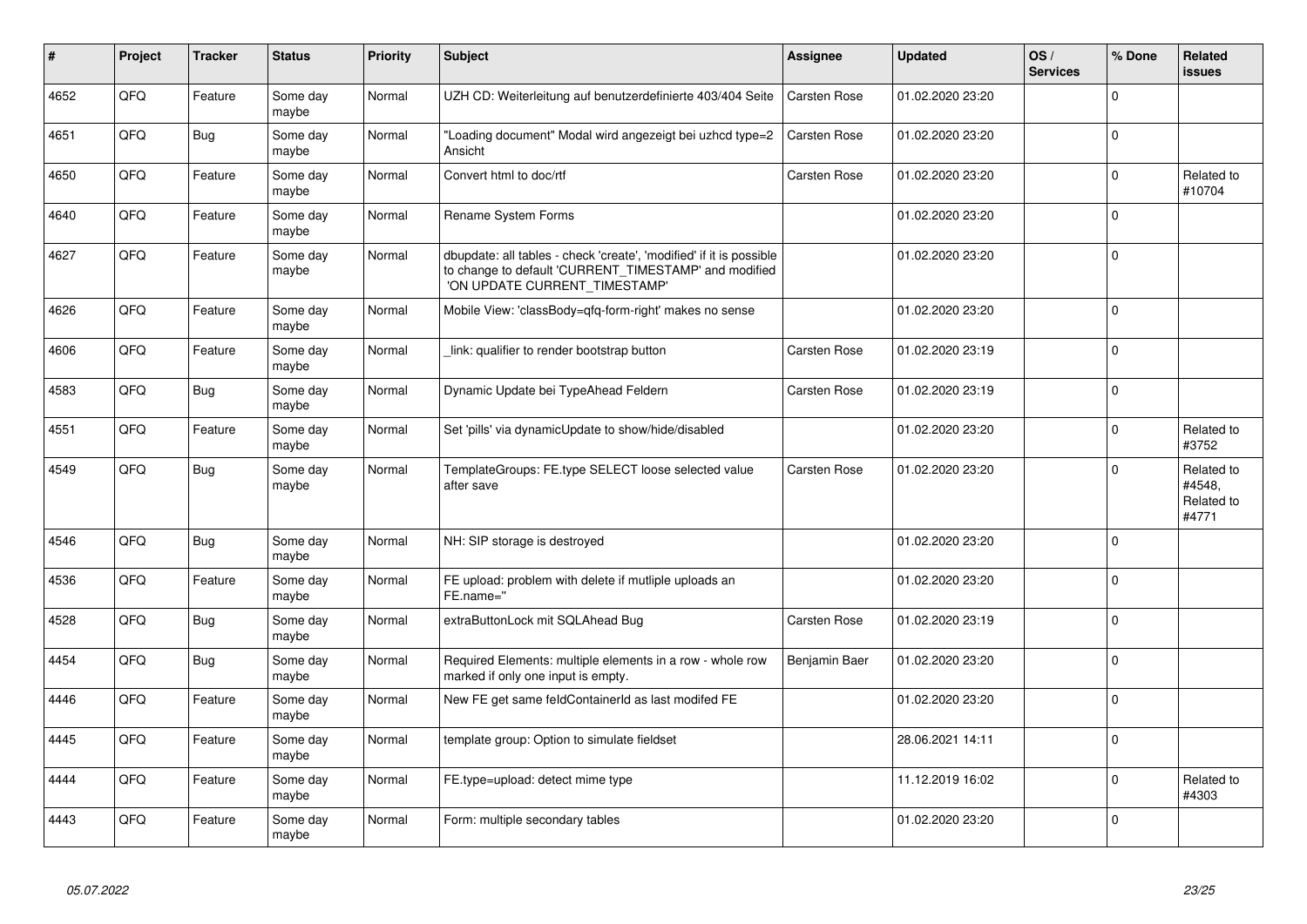| #    | Project | <b>Tracker</b> | <b>Status</b>     | <b>Priority</b> | <b>Subject</b>                                                                                                                                                | Assignee      | <b>Updated</b>   | OS/<br><b>Services</b> | % Done      | Related<br><b>issues</b>                    |
|------|---------|----------------|-------------------|-----------------|---------------------------------------------------------------------------------------------------------------------------------------------------------------|---------------|------------------|------------------------|-------------|---------------------------------------------|
| 4652 | QFQ     | Feature        | Some day<br>maybe | Normal          | UZH CD: Weiterleitung auf benutzerdefinierte 403/404 Seite                                                                                                    | Carsten Rose  | 01.02.2020 23:20 |                        | $\mathbf 0$ |                                             |
| 4651 | QFQ     | Bug            | Some day<br>maybe | Normal          | "Loading document" Modal wird angezeigt bei uzhcd type=2<br>Ansicht                                                                                           | Carsten Rose  | 01.02.2020 23:20 |                        | $\mathbf 0$ |                                             |
| 4650 | QFQ     | Feature        | Some day<br>maybe | Normal          | Convert html to doc/rtf                                                                                                                                       | Carsten Rose  | 01.02.2020 23:20 |                        | 0           | Related to<br>#10704                        |
| 4640 | QFQ     | Feature        | Some day<br>maybe | Normal          | Rename System Forms                                                                                                                                           |               | 01.02.2020 23:20 |                        | $\mathbf 0$ |                                             |
| 4627 | QFQ     | Feature        | Some day<br>maybe | Normal          | dbupdate: all tables - check 'create', 'modified' if it is possible<br>to change to default 'CURRENT_TIMESTAMP' and modified<br>'ON UPDATE CURRENT TIMESTAMP' |               | 01.02.2020 23:20 |                        | $\mathbf 0$ |                                             |
| 4626 | QFQ     | Feature        | Some day<br>maybe | Normal          | Mobile View: 'classBody=qfq-form-right' makes no sense                                                                                                        |               | 01.02.2020 23:20 |                        | $\mathbf 0$ |                                             |
| 4606 | QFQ     | Feature        | Some day<br>maybe | Normal          | link: qualifier to render bootstrap button                                                                                                                    | Carsten Rose  | 01.02.2020 23:19 |                        | $\mathbf 0$ |                                             |
| 4583 | QFQ     | Bug            | Some day<br>maybe | Normal          | Dynamic Update bei TypeAhead Feldern                                                                                                                          | Carsten Rose  | 01.02.2020 23:19 |                        | $\mathbf 0$ |                                             |
| 4551 | QFQ     | Feature        | Some day<br>maybe | Normal          | Set 'pills' via dynamicUpdate to show/hide/disabled                                                                                                           |               | 01.02.2020 23:20 |                        | $\mathbf 0$ | Related to<br>#3752                         |
| 4549 | QFQ     | Bug            | Some day<br>maybe | Normal          | TemplateGroups: FE.type SELECT loose selected value<br>after save                                                                                             | Carsten Rose  | 01.02.2020 23:20 |                        | $\Omega$    | Related to<br>#4548,<br>Related to<br>#4771 |
| 4546 | QFQ     | Bug            | Some day<br>maybe | Normal          | NH: SIP storage is destroyed                                                                                                                                  |               | 01.02.2020 23:20 |                        | $\mathbf 0$ |                                             |
| 4536 | QFQ     | Feature        | Some day<br>maybe | Normal          | FE upload: problem with delete if mutliple uploads an<br>FE.name="                                                                                            |               | 01.02.2020 23:20 |                        | $\mathbf 0$ |                                             |
| 4528 | QFQ     | Bug            | Some day<br>maybe | Normal          | extraButtonLock mit SQLAhead Bug                                                                                                                              | Carsten Rose  | 01.02.2020 23:19 |                        | $\pmb{0}$   |                                             |
| 4454 | QFQ     | <b>Bug</b>     | Some day<br>maybe | Normal          | Required Elements: multiple elements in a row - whole row<br>marked if only one input is empty.                                                               | Benjamin Baer | 01.02.2020 23:20 |                        | $\mathbf 0$ |                                             |
| 4446 | QFQ     | Feature        | Some day<br>maybe | Normal          | New FE get same feldContainerId as last modifed FE                                                                                                            |               | 01.02.2020 23:20 |                        | $\Omega$    |                                             |
| 4445 | QFQ     | Feature        | Some day<br>maybe | Normal          | template group: Option to simulate fieldset                                                                                                                   |               | 28.06.2021 14:11 |                        | $\mathbf 0$ |                                             |
| 4444 | QFQ     | Feature        | Some day<br>maybe | Normal          | FE.type=upload: detect mime type                                                                                                                              |               | 11.12.2019 16:02 |                        | $\mathbf 0$ | Related to<br>#4303                         |
| 4443 | QFQ     | Feature        | Some day<br>maybe | Normal          | Form: multiple secondary tables                                                                                                                               |               | 01.02.2020 23:20 |                        | $\mathbf 0$ |                                             |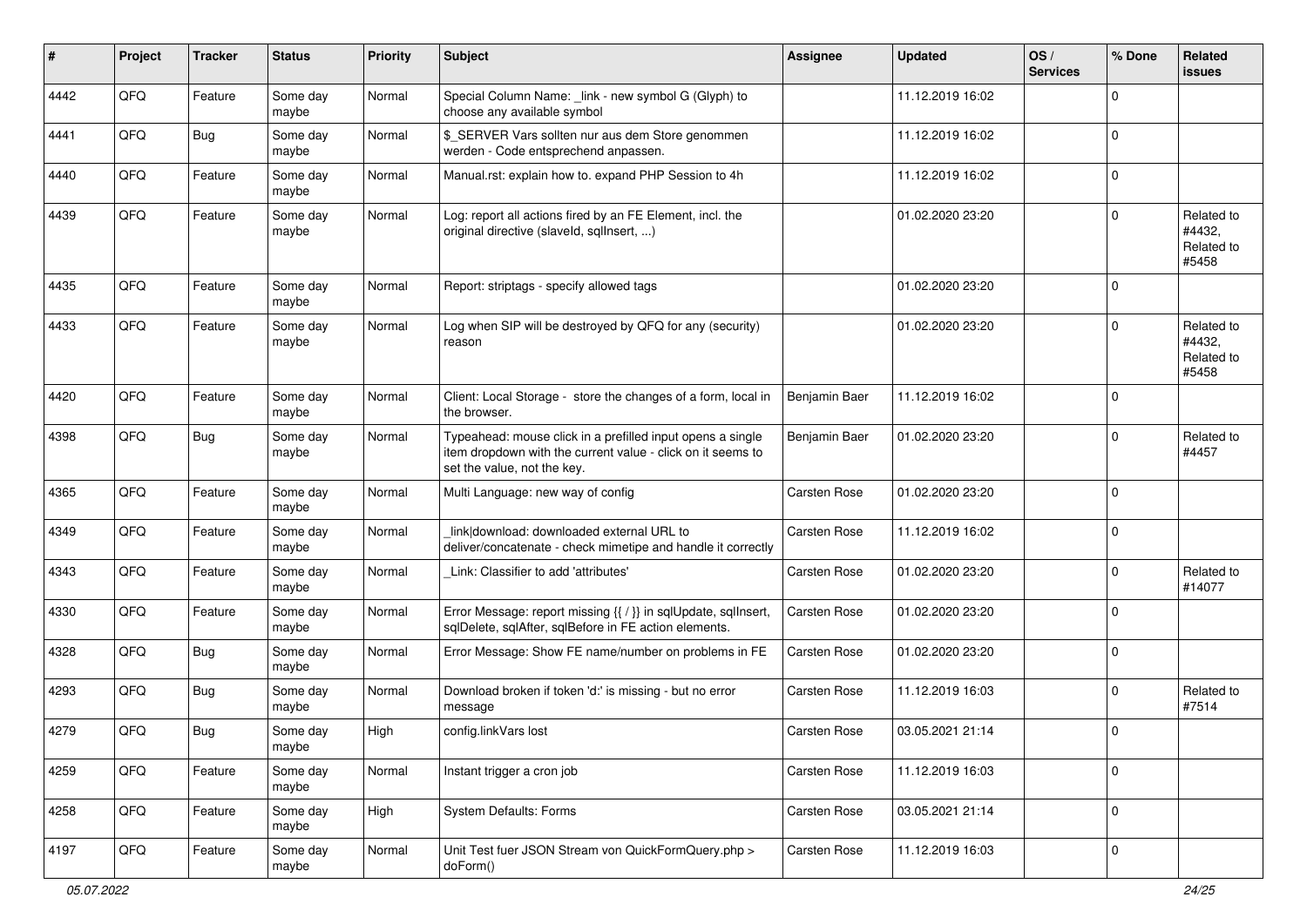| ∦    | Project | <b>Tracker</b> | <b>Status</b>     | <b>Priority</b> | <b>Subject</b>                                                                                                                                           | <b>Assignee</b> | <b>Updated</b>   | OS/<br><b>Services</b> | % Done      | Related<br>issues                           |
|------|---------|----------------|-------------------|-----------------|----------------------------------------------------------------------------------------------------------------------------------------------------------|-----------------|------------------|------------------------|-------------|---------------------------------------------|
| 4442 | QFQ     | Feature        | Some day<br>maybe | Normal          | Special Column Name: _link - new symbol G (Glyph) to<br>choose any available symbol                                                                      |                 | 11.12.2019 16:02 |                        | 0           |                                             |
| 4441 | QFQ     | Bug            | Some day<br>maybe | Normal          | \$_SERVER Vars sollten nur aus dem Store genommen<br>werden - Code entsprechend anpassen.                                                                |                 | 11.12.2019 16:02 |                        | $\Omega$    |                                             |
| 4440 | QFQ     | Feature        | Some day<br>maybe | Normal          | Manual.rst: explain how to. expand PHP Session to 4h                                                                                                     |                 | 11.12.2019 16:02 |                        | $\Omega$    |                                             |
| 4439 | QFQ     | Feature        | Some day<br>maybe | Normal          | Log: report all actions fired by an FE Element, incl. the<br>original directive (slaveld, sgllnsert, )                                                   |                 | 01.02.2020 23:20 |                        | $\mathbf 0$ | Related to<br>#4432,<br>Related to<br>#5458 |
| 4435 | QFQ     | Feature        | Some day<br>maybe | Normal          | Report: striptags - specify allowed tags                                                                                                                 |                 | 01.02.2020 23:20 |                        | $\Omega$    |                                             |
| 4433 | QFQ     | Feature        | Some day<br>maybe | Normal          | Log when SIP will be destroyed by QFQ for any (security)<br>reason                                                                                       |                 | 01.02.2020 23:20 |                        | $\Omega$    | Related to<br>#4432,<br>Related to<br>#5458 |
| 4420 | QFQ     | Feature        | Some day<br>maybe | Normal          | Client: Local Storage - store the changes of a form, local in<br>the browser.                                                                            | Benjamin Baer   | 11.12.2019 16:02 |                        | $\Omega$    |                                             |
| 4398 | QFQ     | <b>Bug</b>     | Some day<br>maybe | Normal          | Typeahead: mouse click in a prefilled input opens a single<br>item dropdown with the current value - click on it seems to<br>set the value, not the key. | Benjamin Baer   | 01.02.2020 23:20 |                        | $\Omega$    | Related to<br>#4457                         |
| 4365 | QFQ     | Feature        | Some day<br>maybe | Normal          | Multi Language: new way of config                                                                                                                        | Carsten Rose    | 01.02.2020 23:20 |                        | $\Omega$    |                                             |
| 4349 | QFQ     | Feature        | Some day<br>maybe | Normal          | link download: downloaded external URL to<br>deliver/concatenate - check mimetipe and handle it correctly                                                | Carsten Rose    | 11.12.2019 16:02 |                        | 0           |                                             |
| 4343 | QFQ     | Feature        | Some day<br>maybe | Normal          | Link: Classifier to add 'attributes'                                                                                                                     | Carsten Rose    | 01.02.2020 23:20 |                        | $\Omega$    | Related to<br>#14077                        |
| 4330 | QFQ     | Feature        | Some day<br>maybe | Normal          | Error Message: report missing {{ / }} in sqlUpdate, sqlInsert,<br>sqlDelete, sqlAfter, sqlBefore in FE action elements.                                  | Carsten Rose    | 01.02.2020 23:20 |                        | 0           |                                             |
| 4328 | QFQ     | <b>Bug</b>     | Some day<br>maybe | Normal          | Error Message: Show FE name/number on problems in FE                                                                                                     | Carsten Rose    | 01.02.2020 23:20 |                        | 0           |                                             |
| 4293 | QFQ     | <b>Bug</b>     | Some day<br>maybe | Normal          | Download broken if token 'd:' is missing - but no error<br>message                                                                                       | Carsten Rose    | 11.12.2019 16:03 |                        | 0           | Related to<br>#7514                         |
| 4279 | QFQ     | Bug            | Some day<br>maybe | High            | config.linkVars lost                                                                                                                                     | Carsten Rose    | 03.05.2021 21:14 |                        | $\mathbf 0$ |                                             |
| 4259 | QFQ     | Feature        | Some day<br>maybe | Normal          | Instant trigger a cron job                                                                                                                               | Carsten Rose    | 11.12.2019 16:03 |                        | 0           |                                             |
| 4258 | QFG     | Feature        | Some day<br>maybe | High            | <b>System Defaults: Forms</b>                                                                                                                            | Carsten Rose    | 03.05.2021 21:14 |                        | 0           |                                             |
| 4197 | QFO     | Feature        | Some day<br>maybe | Normal          | Unit Test fuer JSON Stream von QuickFormQuery.php ><br>doForm()                                                                                          | Carsten Rose    | 11.12.2019 16:03 |                        | $\pmb{0}$   |                                             |